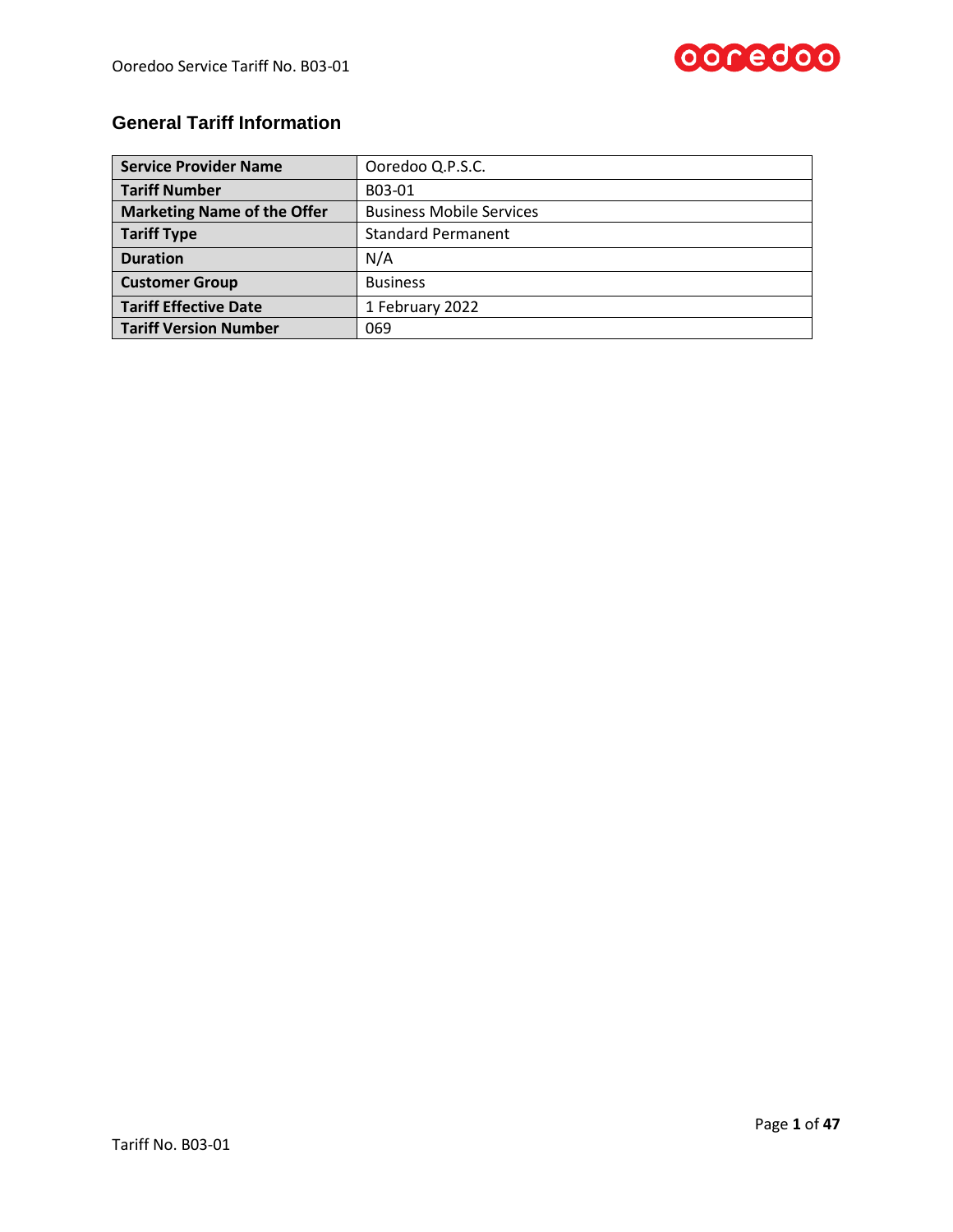

# **General Tariff Information**

| <b>Service Provider Name</b>       | Ooredoo Q.P.S.C.                |
|------------------------------------|---------------------------------|
| <b>Tariff Number</b>               | B03-01                          |
| <b>Marketing Name of the Offer</b> | <b>Business Mobile Services</b> |
| <b>Tariff Type</b>                 | <b>Standard Permanent</b>       |
| <b>Duration</b>                    | N/A                             |
| <b>Customer Group</b>              | <b>Business</b>                 |
| <b>Tariff Effective Date</b>       | 1 February 2022                 |
| <b>Tariff Version Number</b>       | 069                             |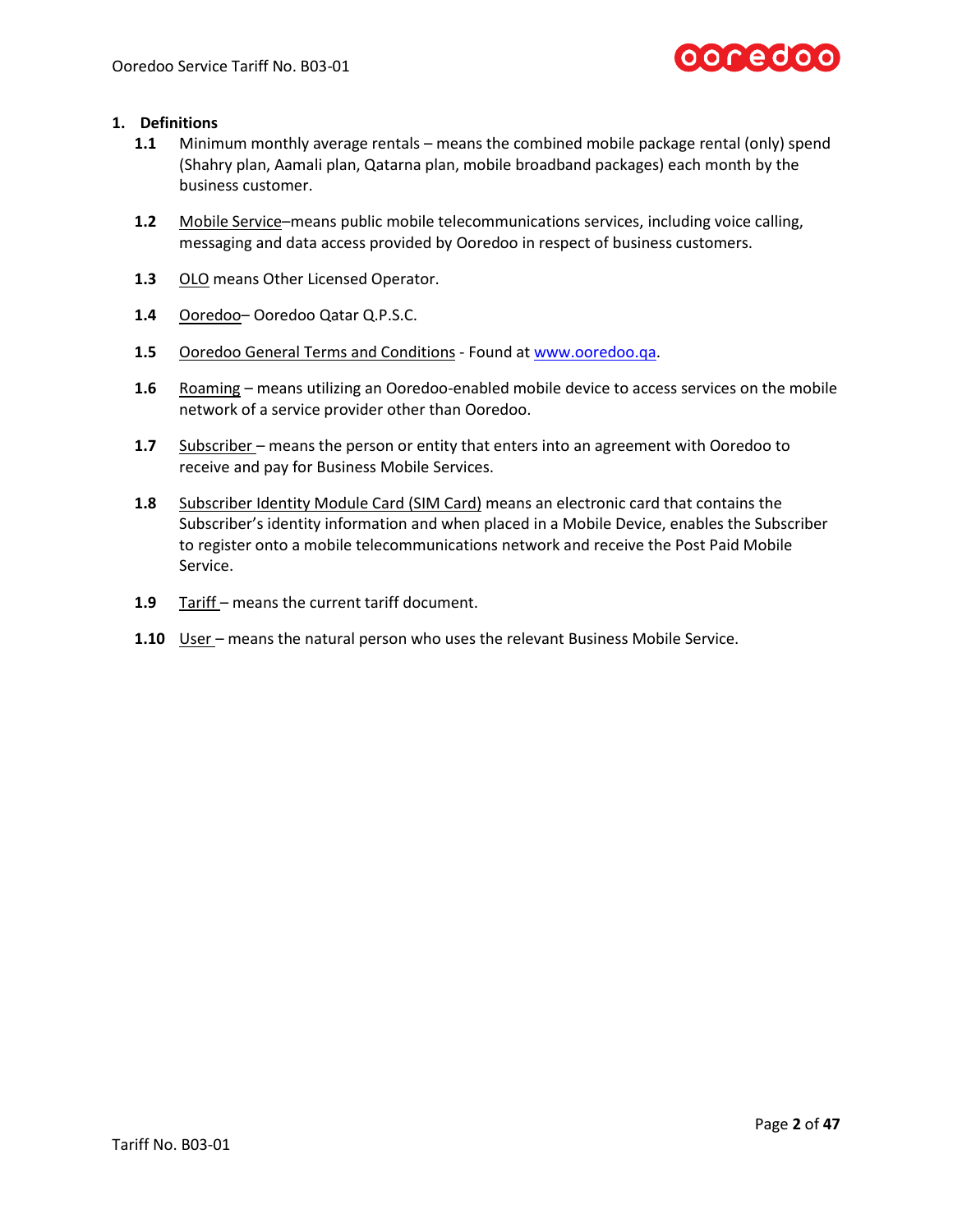

### **1. Definitions**

- **1.1** Minimum monthly average rentals means the combined mobile package rental (only) spend (Shahry plan, Aamali plan, Qatarna plan, mobile broadband packages) each month by the business customer.
- **1.2** Mobile Service–means public mobile telecommunications services, including voice calling, messaging and data access provided by Ooredoo in respect of business customers.
- **1.3** OLO means Other Licensed Operator.
- **1.4** Ooredoo– Ooredoo Qatar Q.P.S.C.
- **1.5** Ooredoo General Terms and Conditions Found at [www.ooredoo.qa.](http://www.ooredoo.qa/)
- **1.6** Roaming means utilizing an Ooredoo-enabled mobile device to access services on the mobile network of a service provider other than Ooredoo.
- **1.7** Subscriber means the person or entity that enters into an agreement with Ooredoo to receive and pay for Business Mobile Services.
- **1.8** Subscriber Identity Module Card (SIM Card) means an electronic card that contains the Subscriber's identity information and when placed in a Mobile Device, enables the Subscriber to register onto a mobile telecommunications network and receive the Post Paid Mobile Service.
- 1.9 Tariff means the current tariff document.
- **1.10** User means the natural person who uses the relevant Business Mobile Service.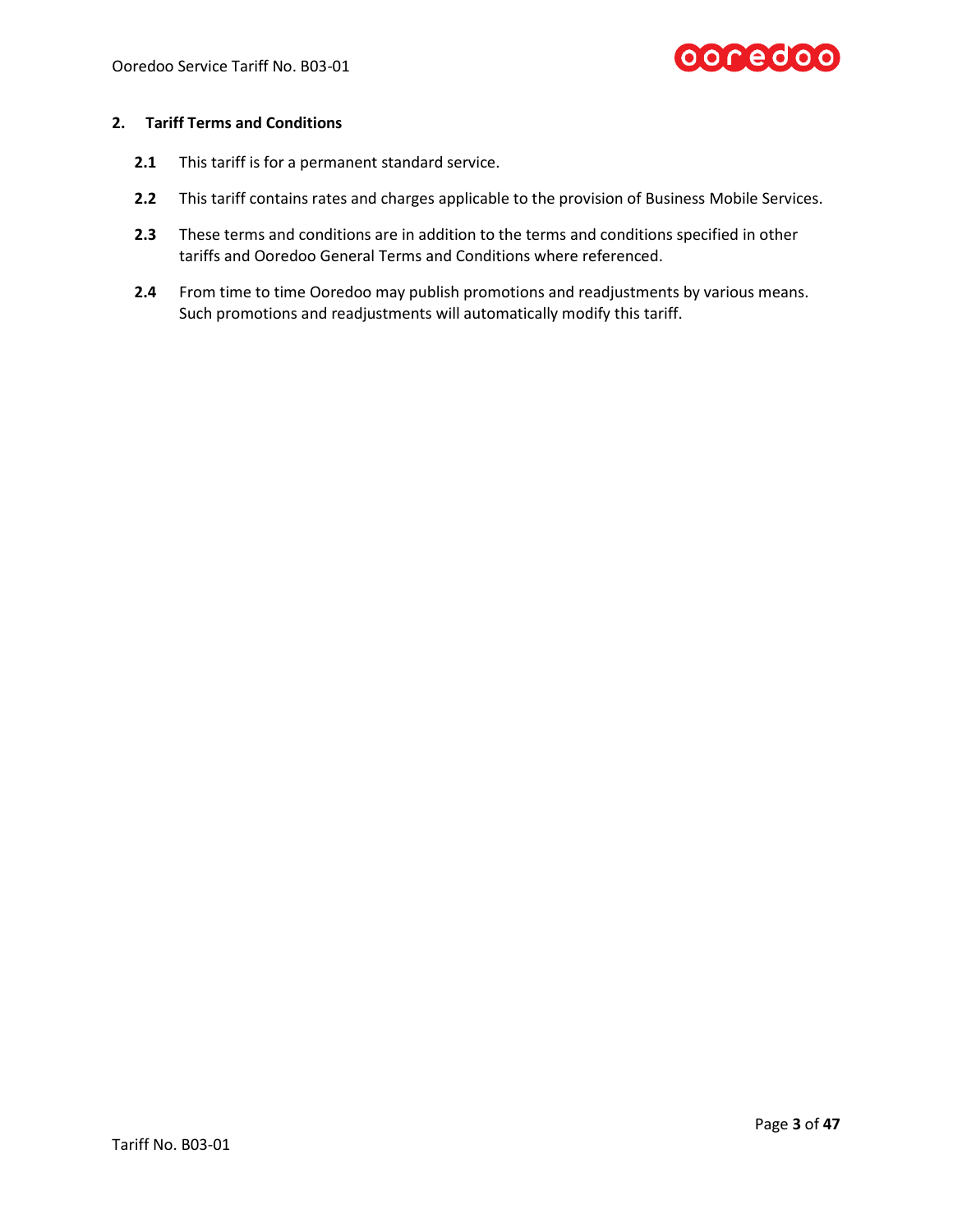

# **2. Tariff Terms and Conditions**

- **2.1** This tariff is for a permanent standard service.
- **2.2** This tariff contains rates and charges applicable to the provision of Business Mobile Services.
- **2.3** These terms and conditions are in addition to the terms and conditions specified in other tariffs and Ooredoo General Terms and Conditions where referenced.
- **2.4** From time to time Ooredoo may publish promotions and readjustments by various means. Such promotions and readjustments will automatically modify this tariff.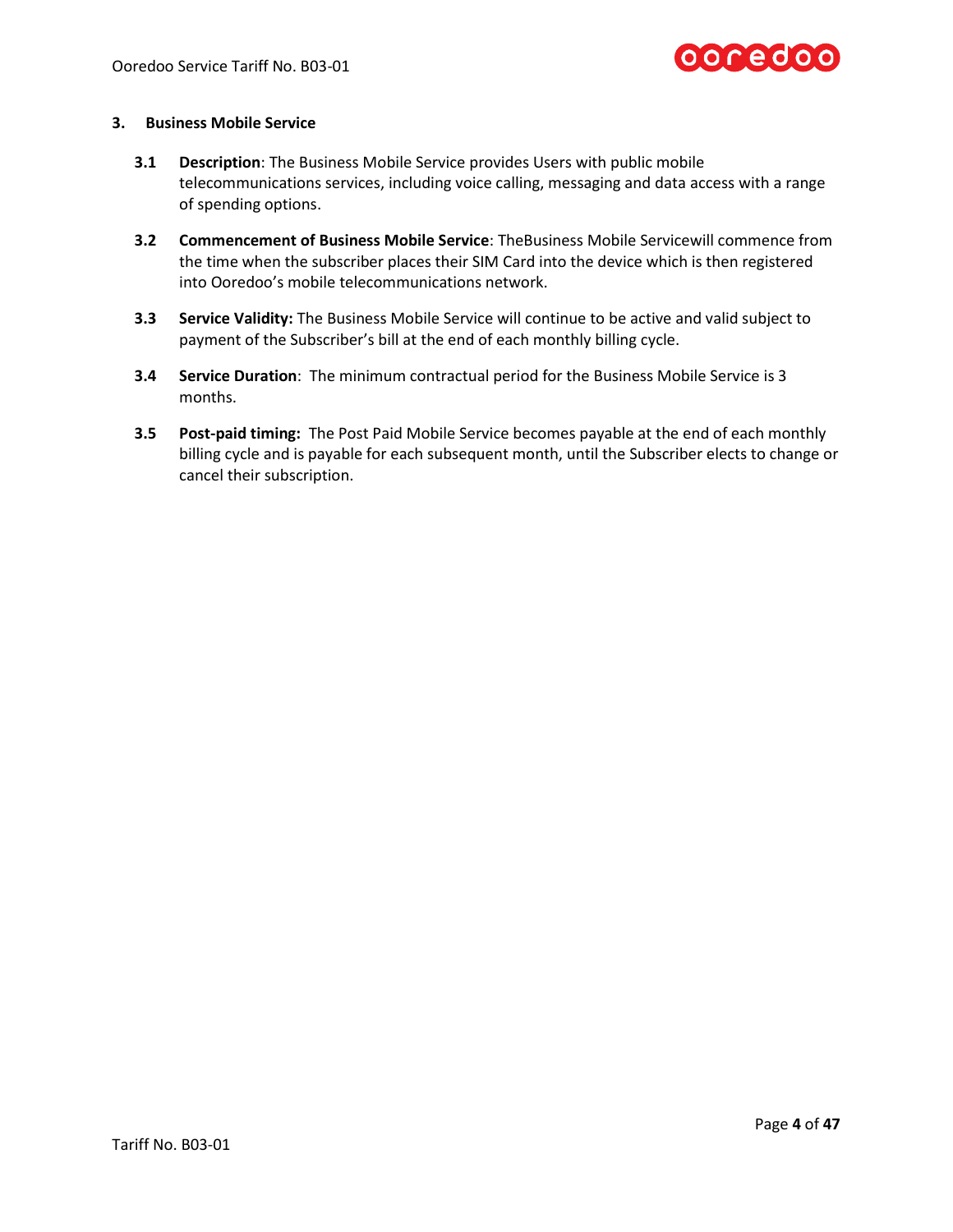

# **3. Business Mobile Service**

- **3.1 Description**: The Business Mobile Service provides Users with public mobile telecommunications services, including voice calling, messaging and data access with a range of spending options.
- **3.2 Commencement of Business Mobile Service**: TheBusiness Mobile Servicewill commence from the time when the subscriber places their SIM Card into the device which is then registered into Ooredoo's mobile telecommunications network.
- **3.3 Service Validity:** The Business Mobile Service will continue to be active and valid subject to payment of the Subscriber's bill at the end of each monthly billing cycle.
- **3.4 Service Duration**: The minimum contractual period for the Business Mobile Service is 3 months.
- **3.5 Post-paid timing:** The Post Paid Mobile Service becomes payable at the end of each monthly billing cycle and is payable for each subsequent month, until the Subscriber elects to change or cancel their subscription.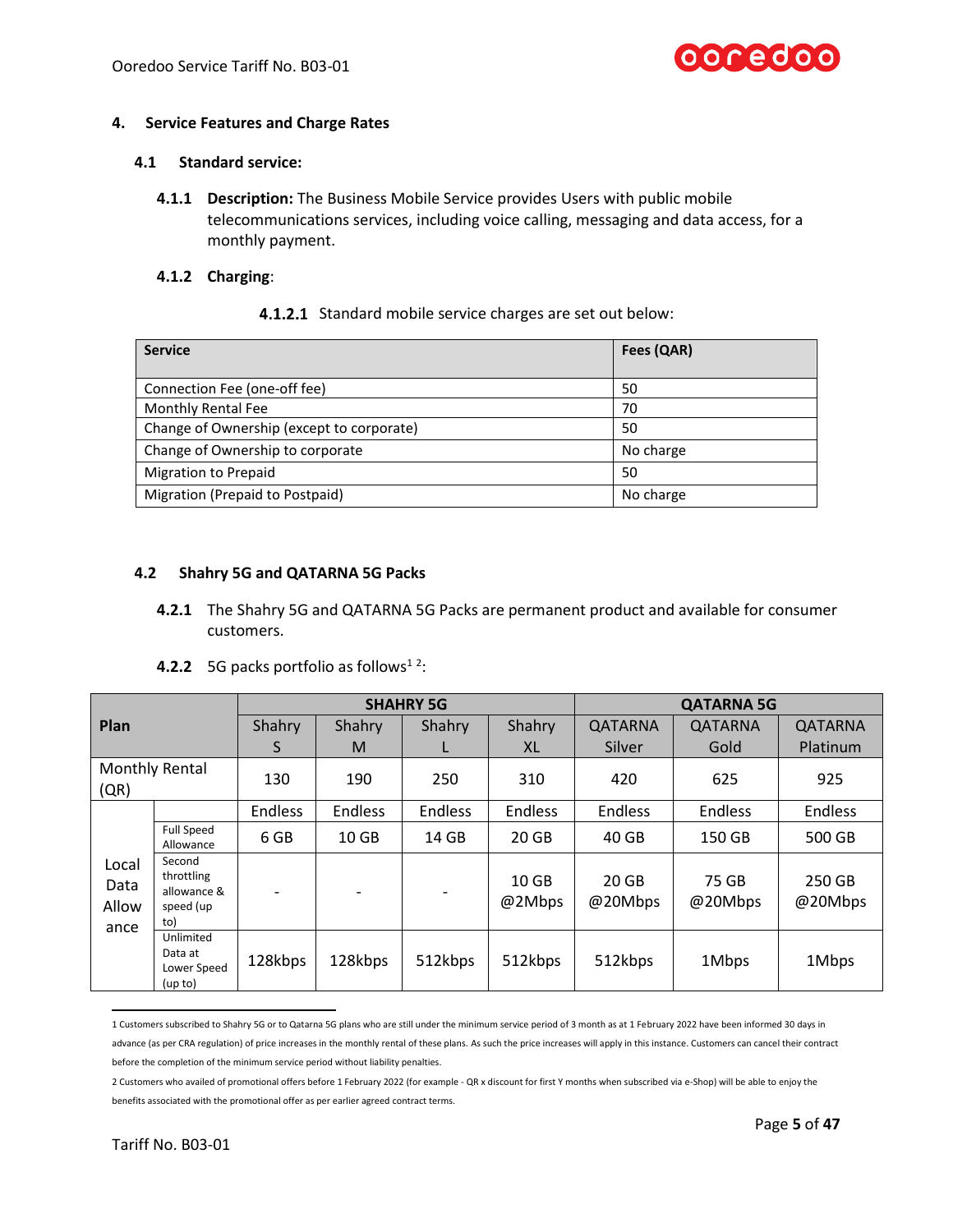

### **4. Service Features and Charge Rates**

### **4.1 Standard service:**

**4.1.1 Description:** The Business Mobile Service provides Users with public mobile telecommunications services, including voice calling, messaging and data access, for a monthly payment.

### **4.1.2 Charging**:

<span id="page-4-0"></span>4.1.2.1 Standard mobile service charges are set out below:

| <b>Service</b>                            | Fees (QAR) |
|-------------------------------------------|------------|
|                                           |            |
| Connection Fee (one-off fee)              | 50         |
| Monthly Rental Fee                        | 70         |
| Change of Ownership (except to corporate) | 50         |
| Change of Ownership to corporate          | No charge  |
| <b>Migration to Prepaid</b>               | 50         |
| Migration (Prepaid to Postpaid)           | No charge  |

### **4.2 Shahry 5G and QATARNA 5G Packs**

**4.2.1** The Shahry 5G and QATARNA 5G Packs are permanent product and available for consumer customers.

|  |  |  | <b>4.2.2</b> 5G packs portfolio as follows <sup>12</sup> : |  |
|--|--|--|------------------------------------------------------------|--|
|--|--|--|------------------------------------------------------------|--|

<span id="page-4-1"></span>

|                        |                                                         |         |                  | <b>SHAHRY 5G</b> | <b>QATARNA 5G</b>          |                  |                  |                   |
|------------------------|---------------------------------------------------------|---------|------------------|------------------|----------------------------|------------------|------------------|-------------------|
| Plan                   |                                                         | Shahry  | Shahry           | <b>Shahry</b>    | Shahry                     | QATARNA          | QATARNA          | QATARNA           |
|                        |                                                         | S       | M                |                  | XL                         | Silver           | Gold             | Platinum          |
| (QR)                   | Monthly Rental                                          | 130     | 190              | 250              | 310                        | 420              | 625              | 925               |
|                        |                                                         | Endless | <b>Endless</b>   | <b>Endless</b>   | <b>Endless</b>             | <b>Endless</b>   | <b>Endless</b>   | <b>Endless</b>    |
|                        | <b>Full Speed</b><br>Allowance                          | 6 GB    | 10 <sub>GB</sub> | 14 GB            | 20 GB                      | 40 GB            | 150 GB           | 500 GB            |
| Local<br>Data<br>Allow | Second<br>throttling<br>allowance &<br>speed (up<br>to) |         |                  |                  | 10 <sub>GB</sub><br>@2Mbps | 20 GB<br>@20Mbps | 75 GB<br>@20Mbps | 250 GB<br>@20Mbps |
| ance                   | Unlimited<br>Data at<br>Lower Speed<br>(up to)          | 128kbps | 128kbps          | 512kbps          | 512kbps                    | 512kbps          | 1Mbps            | 1Mbps             |

<sup>1</sup> Customers subscribed to Shahry 5G or to Qatarna 5G plans who are still under the minimum service period of 3 month as at 1 February 2022 have been informed 30 days in advance (as per CRA regulation) of price increases in the monthly rental of these plans. As such the price increases will apply in this instance. Customers can cancel their contract before the completion of the minimum service period without liability penalties.

<sup>2</sup> Customers who availed of promotional offers before 1 February 2022 (for example - QR x discount for first Y months when subscribed via e-Shop) will be able to enjoy the benefits associated with the promotional offer as per earlier agreed contract terms.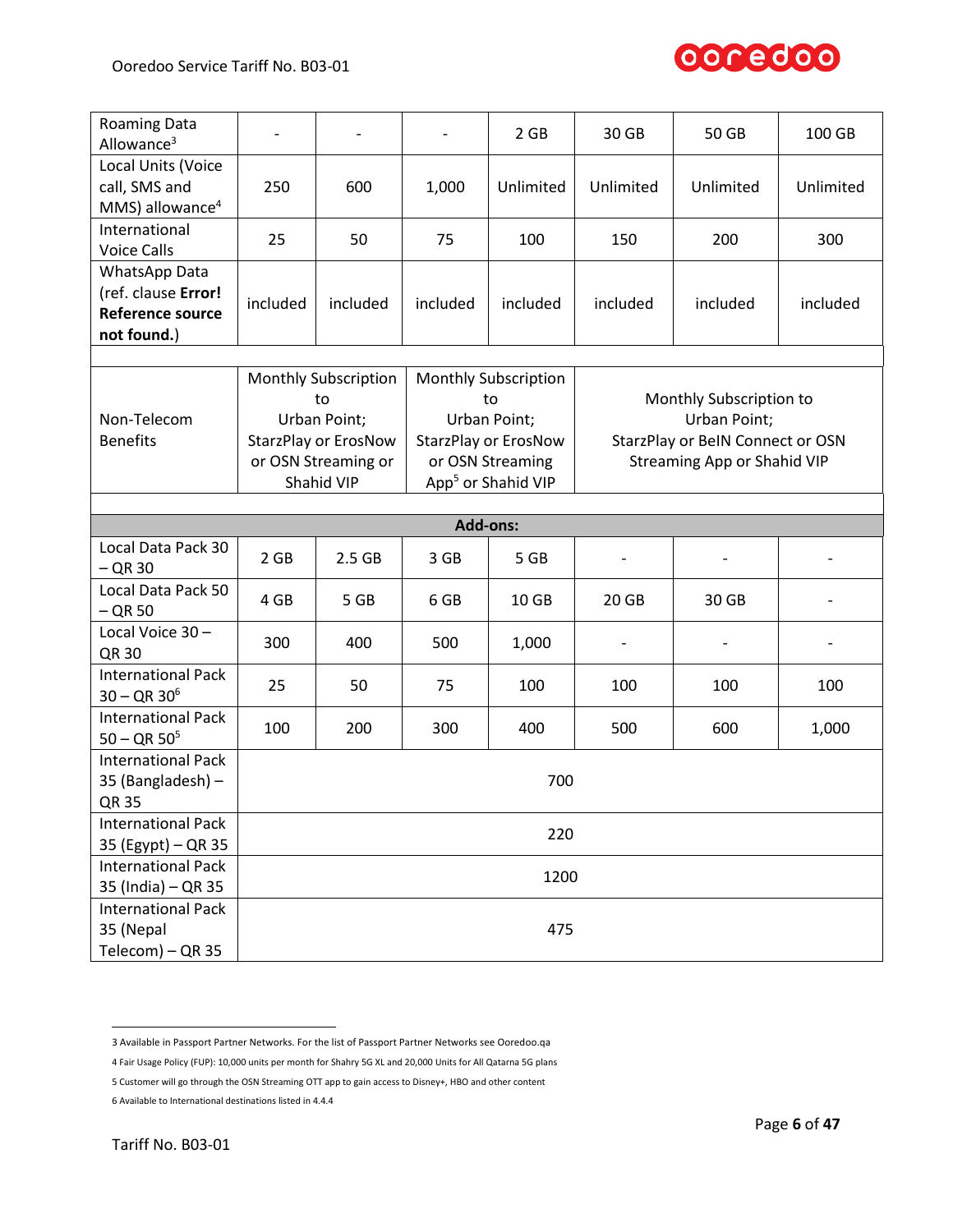

| <b>Roaming Data</b><br>Allowance <sup>3</sup>                                  |                                              | $\overline{\phantom{0}}$    | $\qquad \qquad \blacksquare$ | 2 GB                        | 30 GB                              | 50 GB                            | 100 GB    |
|--------------------------------------------------------------------------------|----------------------------------------------|-----------------------------|------------------------------|-----------------------------|------------------------------------|----------------------------------|-----------|
| Local Units (Voice<br>call, SMS and<br>MMS) allowance <sup>4</sup>             | 250                                          | 600                         | 1,000                        | Unlimited                   | Unlimited                          | Unlimited                        | Unlimited |
| International<br><b>Voice Calls</b>                                            | 25                                           | 50                          | 75                           | 100                         | 150                                | 200                              | 300       |
| WhatsApp Data<br>(ref. clause Error!<br><b>Reference source</b><br>not found.) | included                                     | included                    | included                     | included                    | included                           | included                         | included  |
|                                                                                |                                              |                             |                              |                             |                                    |                                  |           |
|                                                                                |                                              | <b>Monthly Subscription</b> |                              | <b>Monthly Subscription</b> |                                    |                                  |           |
|                                                                                |                                              | to                          |                              | to                          |                                    | Monthly Subscription to          |           |
| Non-Telecom                                                                    |                                              | Urban Point;                |                              | Urban Point;                |                                    | Urban Point;                     |           |
| <b>Benefits</b>                                                                |                                              | <b>StarzPlay or ErosNow</b> |                              | <b>StarzPlay or ErosNow</b> |                                    | StarzPlay or BeIN Connect or OSN |           |
|                                                                                |                                              | or OSN Streaming or         | or OSN Streaming             |                             | <b>Streaming App or Shahid VIP</b> |                                  |           |
|                                                                                | App <sup>5</sup> or Shahid VIP<br>Shahid VIP |                             |                              |                             |                                    |                                  |           |
|                                                                                |                                              |                             |                              |                             |                                    |                                  |           |
|                                                                                |                                              |                             | <b>Add-ons:</b>              |                             |                                    |                                  |           |
| Local Data Pack 30<br>$-$ QR 30                                                | 2 GB                                         | 2.5 <sub>GB</sub>           | 3 GB                         | 5 GB                        |                                    |                                  |           |
| Local Data Pack 50<br>$-$ QR 50                                                | 4 GB                                         | 5 GB                        | 6 GB                         | 10 GB                       | 20 GB                              | 30 GB                            |           |
| Local Voice 30-<br>QR 30                                                       | 300                                          | 400                         | 500                          | 1,000                       |                                    |                                  |           |
| <b>International Pack</b><br>$30 - QR 30^6$                                    | 25                                           | 50                          | 75                           | 100                         | 100                                | 100                              | 100       |
| <b>International Pack</b><br>$50 - QR 50^5$                                    | 100                                          | 200                         | 300                          | 400                         | 500                                | 600                              | 1,000     |
| <b>International Pack</b><br>35 (Bangladesh) -<br><b>QR 35</b>                 | 700                                          |                             |                              |                             |                                    |                                  |           |
| <b>International Pack</b><br>35 (Egypt) - QR 35                                | 220                                          |                             |                              |                             |                                    |                                  |           |
| <b>International Pack</b><br>35 (India) – QR 35                                | 1200                                         |                             |                              |                             |                                    |                                  |           |
| <b>International Pack</b><br>35 (Nepal<br>Telecom) - QR 35                     |                                              |                             |                              | 475                         |                                    |                                  |           |
|                                                                                |                                              |                             |                              |                             |                                    |                                  |           |

<sup>3</sup> Available in Passport Partner Networks. For the list of Passport Partner Networks see Ooredoo.qa

<sup>4</sup> Fair Usage Policy (FUP): 10,000 units per month for Shahry 5G XL and 20,000 Units for All Qatarna 5G plans

<sup>5</sup> Customer will go through the OSN Streaming OTT app to gain access to Disney+, HBO and other content

<sup>6</sup> Available to International destinations listed in 4.4.4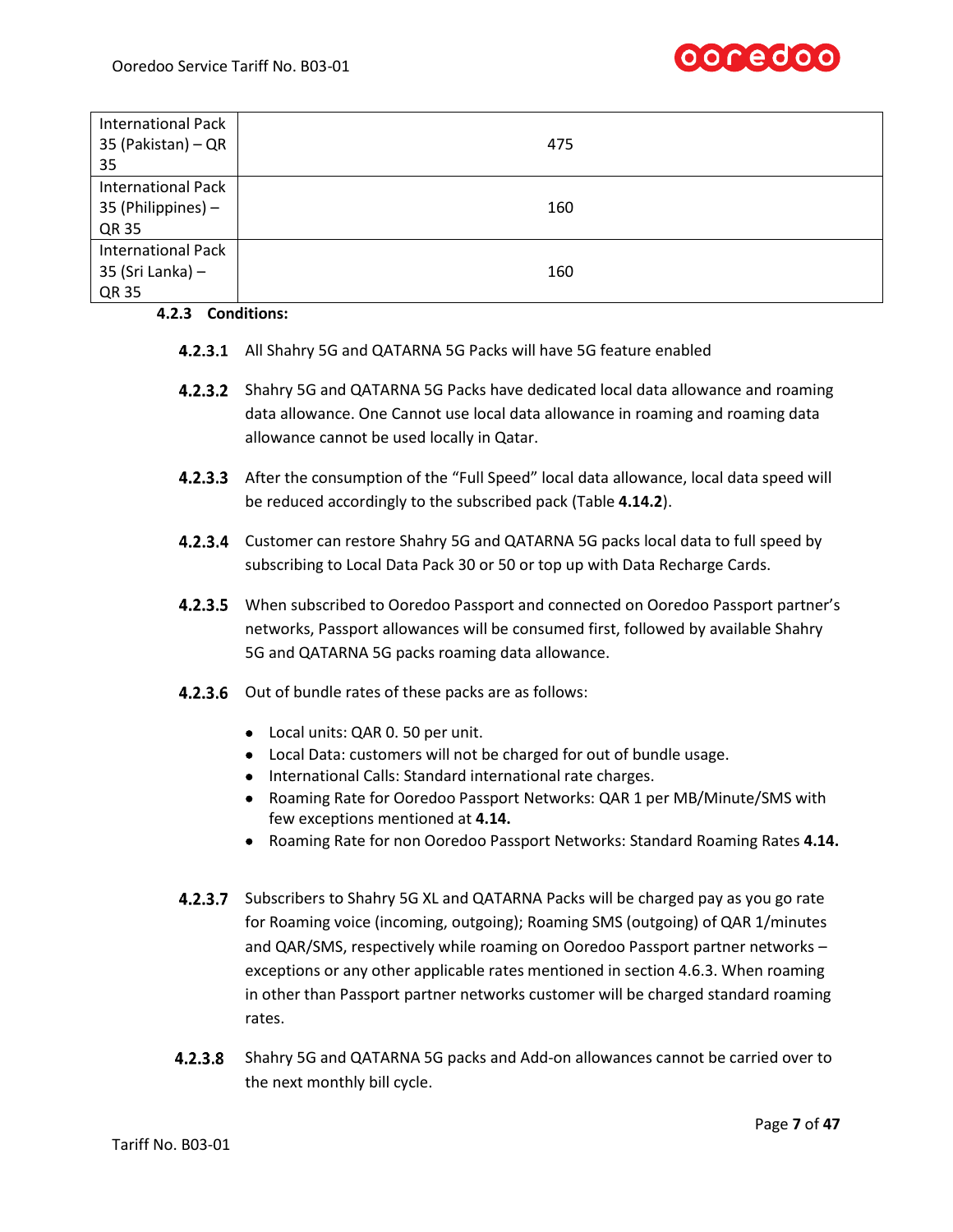

| <b>International Pack</b><br>35 (Pakistan) - QR<br>35    | 475 |
|----------------------------------------------------------|-----|
| <b>International Pack</b><br>35 (Philippines) -<br>QR 35 | 160 |
| <b>International Pack</b><br>35 (Sri Lanka) $-$<br>QR 35 | 160 |

# **4.2.3 Conditions:**

- 4.2.3.1 All Shahry 5G and QATARNA 5G Packs will have 5G feature enabled
- **4.2.3.2** Shahry 5G and QATARNA 5G Packs have dedicated local data allowance and roaming data allowance. One Cannot use local data allowance in roaming and roaming data allowance cannot be used locally in Qatar.
- After the consumption of the "Full Speed" local data allowance, local data speed will be reduced accordingly to the subscribed pack (Table **4.14.2**).
- **4.2.3.4** Customer can restore Shahry 5G and QATARNA 5G packs local data to full speed by subscribing to Local Data Pack 30 or 50 or top up with Data Recharge Cards.
- **4.2.3.5** When subscribed to Ooredoo Passport and connected on Ooredoo Passport partner's networks, Passport allowances will be consumed first, followed by available Shahry 5G and QATARNA 5G packs roaming data allowance.
- <span id="page-6-0"></span>4.2.3.6 Out of bundle rates of these packs are as follows:
	- Local units: QAR 0. 50 per unit.
	- Local Data: customers will not be charged for out of bundle usage.
	- International Calls: Standard international rate charges.
	- Roaming Rate for Ooredoo Passport Networks: QAR 1 per MB/Minute/SMS with few exceptions mentioned at **4.14.**
	- Roaming Rate for non Ooredoo Passport Networks: Standard Roaming Rates **4.14.**
- 4.2.3.7 Subscribers to Shahry 5G XL and QATARNA Packs will be charged pay as you go rate for Roaming voice (incoming, outgoing); Roaming SMS (outgoing) of QAR 1/minutes and QAR/SMS, respectively while roaming on Ooredoo Passport partner networks – exceptions or any other applicable rates mentioned in section 4.6.3. When roaming in other than Passport partner networks customer will be charged standard roaming rates.
- 4.2.3.8 Shahry 5G and QATARNA 5G packs and Add-on allowances cannot be carried over to the next monthly bill cycle.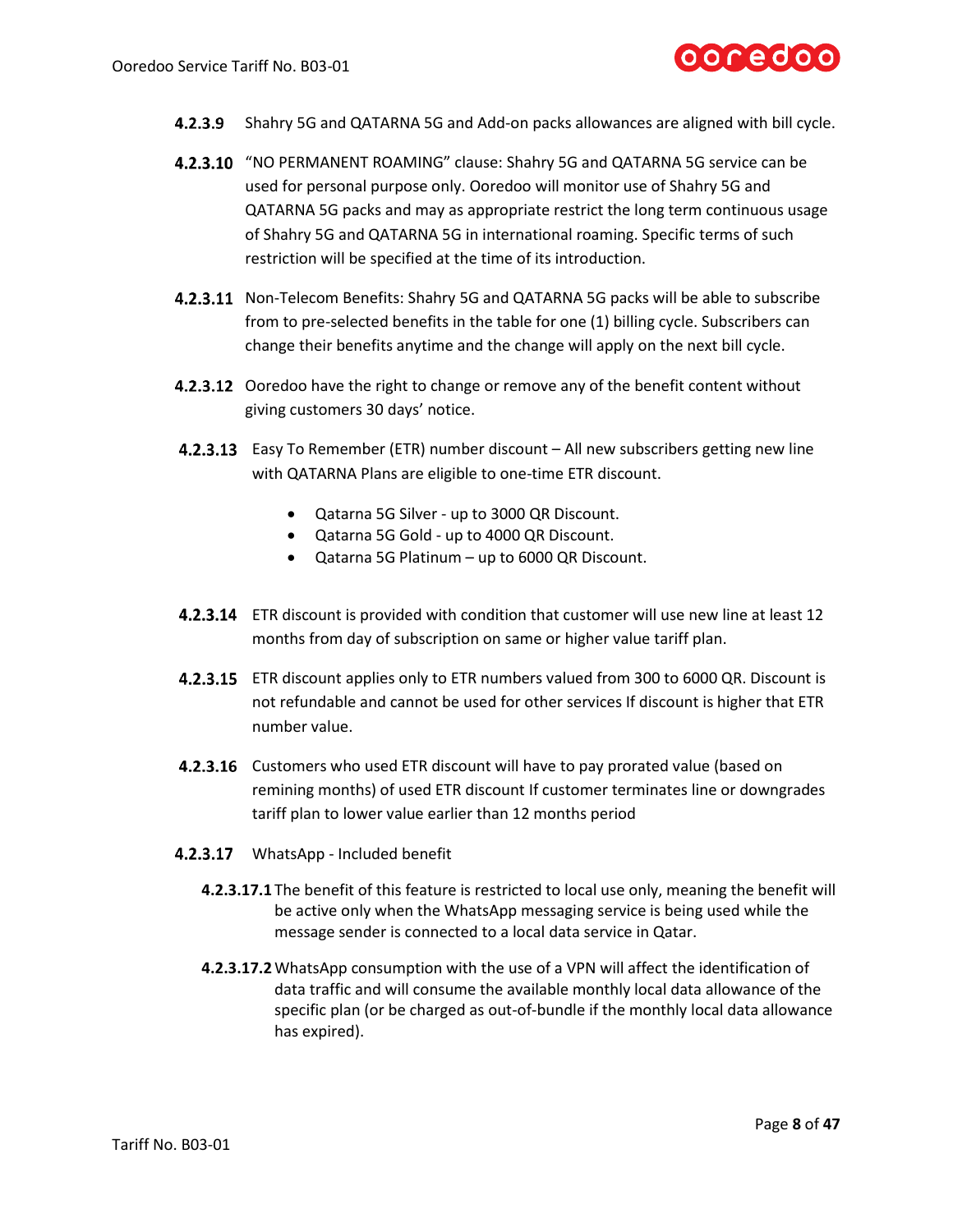

- **4.2.3.9** Shahry 5G and QATARNA 5G and Add-on packs allowances are aligned with bill cycle.
- 4.2.3.10 "NO PERMANENT ROAMING" clause: Shahry 5G and QATARNA 5G service can be used for personal purpose only. Ooredoo will monitor use of Shahry 5G and QATARNA 5G packs and may as appropriate restrict the long term continuous usage of Shahry 5G and QATARNA 5G in international roaming. Specific terms of such restriction will be specified at the time of its introduction.
- 4.2.3.11 Non-Telecom Benefits: Shahry 5G and QATARNA 5G packs will be able to subscribe from to pre-selected benefits in the table for one (1) billing cycle. Subscribers can change their benefits anytime and the change will apply on the next bill cycle.
- **4.2.3.12** Ooredoo have the right to change or remove any of the benefit content without giving customers 30 days' notice.
- **4.2.3.13** Easy To Remember (ETR) number discount All new subscribers getting new line with QATARNA Plans are eligible to one-time ETR discount.
	- Qatarna 5G Silver up to 3000 QR Discount.
	- Qatarna 5G Gold up to 4000 QR Discount.
	- Qatarna 5G Platinum up to 6000 QR Discount.
- **4.2.3.14** ETR discount is provided with condition that customer will use new line at least 12 months from day of subscription on same or higher value tariff plan.
- **4.2.3.15** ETR discount applies only to ETR numbers valued from 300 to 6000 QR. Discount is not refundable and cannot be used for other services If discount is higher that ETR number value.
- **4.2.3.16** Customers who used ETR discount will have to pay prorated value (based on remining months) of used ETR discount If customer terminates line or downgrades tariff plan to lower value earlier than 12 months period
- 4.2.3.17 WhatsApp Included benefit
	- **4.2.3.17.1** The benefit of this feature is restricted to local use only, meaning the benefit will be active only when the WhatsApp messaging service is being used while the message sender is connected to a local data service in Qatar.
	- **4.2.3.17.2**WhatsApp consumption with the use of a VPN will affect the identification of data traffic and will consume the available monthly local data allowance of the specific plan (or be charged as out-of-bundle if the monthly local data allowance has expired).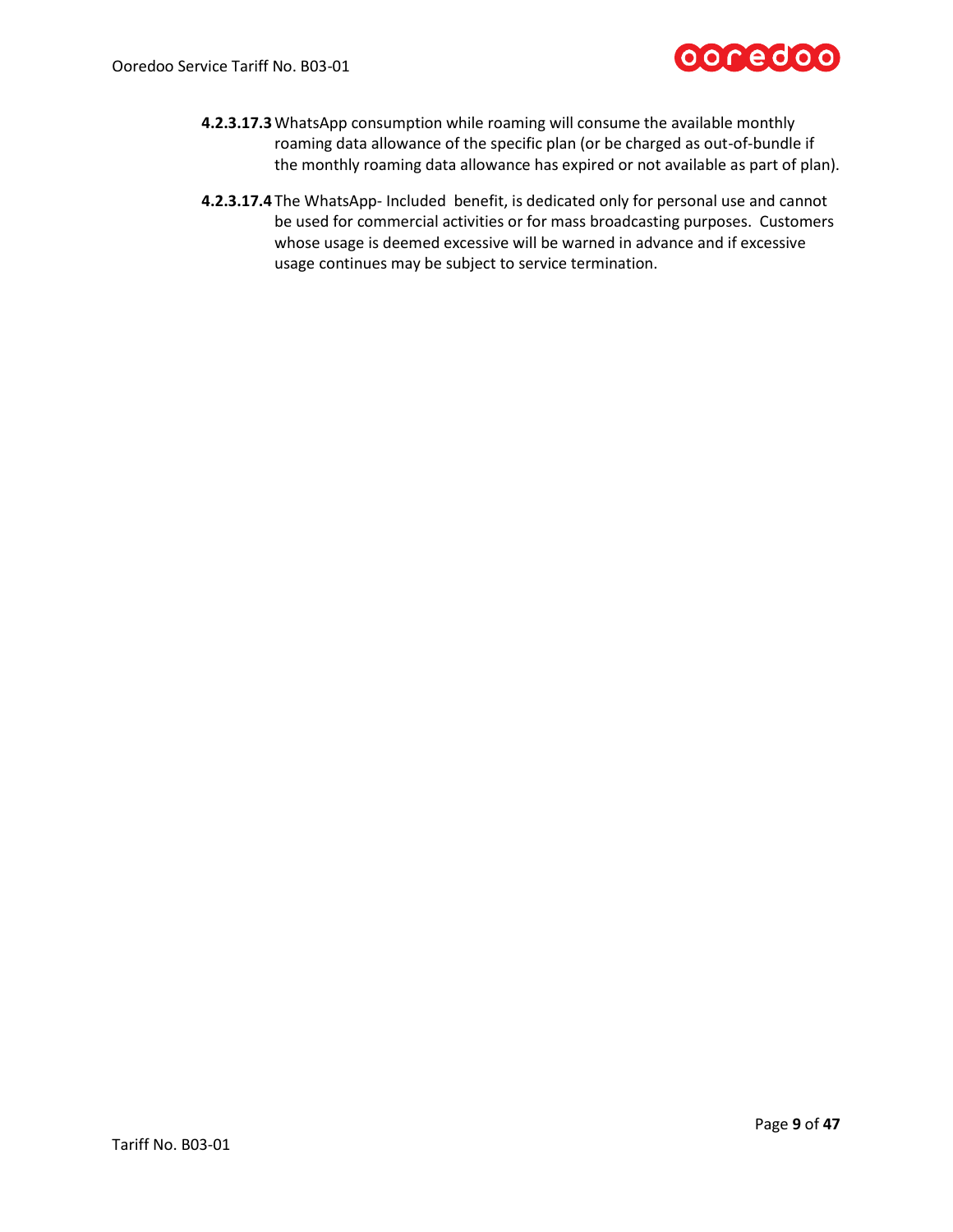

- **4.2.3.17.3**WhatsApp consumption while roaming will consume the available monthly roaming data allowance of the specific plan (or be charged as out-of-bundle if the monthly roaming data allowance has expired or not available as part of plan).
- **4.2.3.17.4** The WhatsApp- Included benefit, is dedicated only for personal use and cannot be used for commercial activities or for mass broadcasting purposes. Customers whose usage is deemed excessive will be warned in advance and if excessive usage continues may be subject to service termination.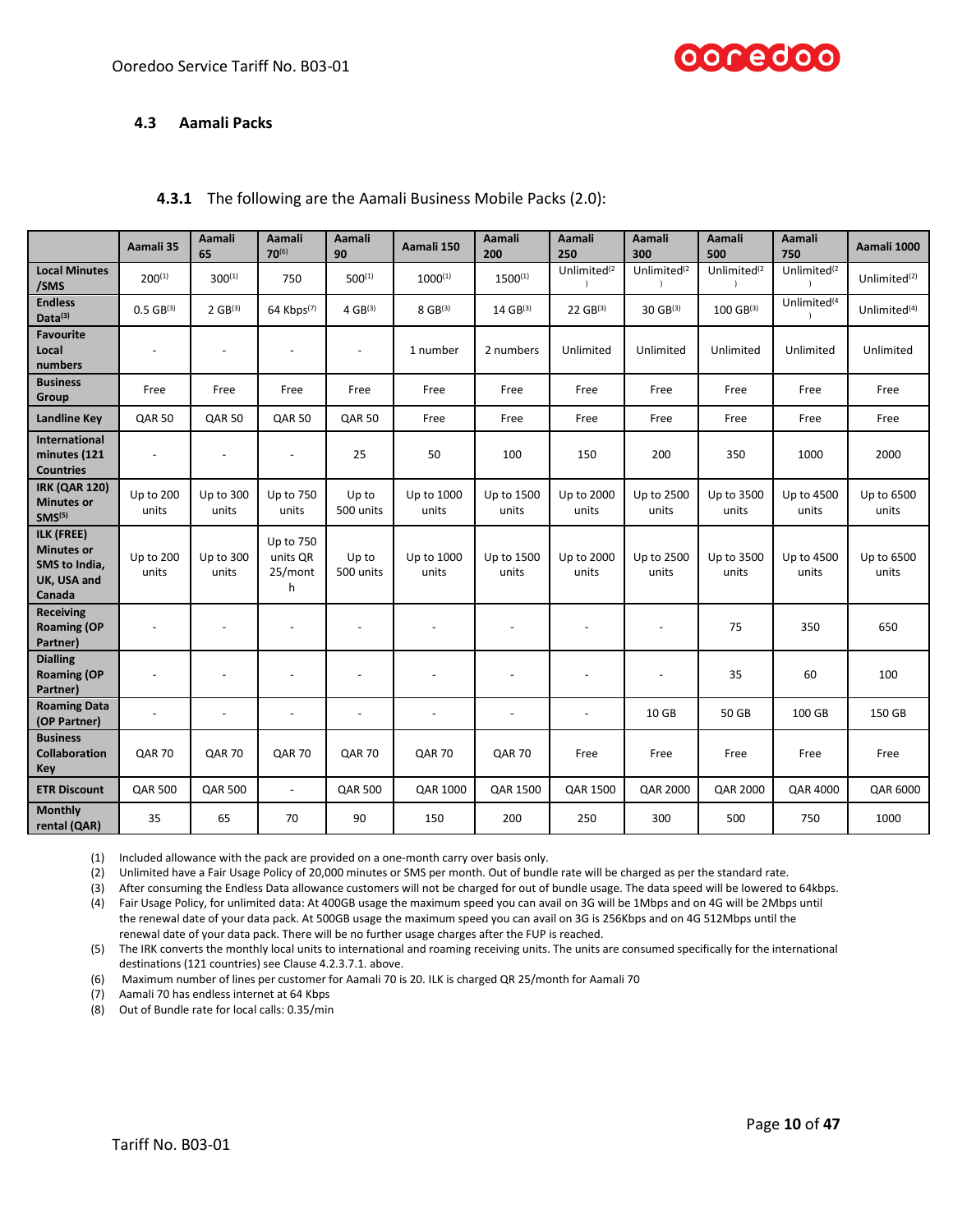

### **4.3 Aamali Packs**

# <span id="page-9-0"></span>**4.3.1** The following are the Aamali Business Mobile Packs (2.0):

|                                                                           | Aamali 35                | Aamali<br>65             | Aamali<br>$70^{(6)}$                  | Aamali<br>90             | Aamali 150          | Aamali<br>200            | Aamali<br>250            | Aamali<br>300            | Aamali<br>500           | Aamali<br>750           | Aamali 1000              |
|---------------------------------------------------------------------------|--------------------------|--------------------------|---------------------------------------|--------------------------|---------------------|--------------------------|--------------------------|--------------------------|-------------------------|-------------------------|--------------------------|
| <b>Local Minutes</b><br>/SMS                                              | $200^{(1)}$              | $300^{(1)}$              | 750                                   | $500^{(1)}$              | $1000^{(1)}$        | $1500^{(1)}$             | Unlimited <sup>(2</sup>  | Unlimited <sup>(2</sup>  | Unlimited <sup>(2</sup> | Unlimited <sup>(2</sup> | Unlimited $(2)$          |
| <b>Endless</b><br>Data(3)                                                 | $0.5$ GB(3)              | $2 GB^{(3)}$             | 64 Kbps(7)                            | $4 GB^{(3)}$             | $8$ GB(3)           | 14 GB(3)                 | 22 GB(3)                 | 30 GB(3)                 | 100 GB(3)               | Unlimited <sup>(4</sup> | Unlimited <sup>(4)</sup> |
| <b>Favourite</b><br>Local<br>numbers                                      |                          |                          |                                       | $\blacksquare$           | 1 number            | 2 numbers                | Unlimited                | Unlimited                | Unlimited               | Unlimited               | Unlimited                |
| <b>Business</b><br>Group                                                  | Free                     | Free                     | Free                                  | Free                     | Free                | Free                     | Free                     | Free                     | Free                    | Free                    | Free                     |
| <b>Landline Key</b>                                                       | <b>QAR 50</b>            | <b>QAR 50</b>            | <b>QAR 50</b>                         | <b>QAR 50</b>            | Free                | Free                     | Free                     | Free                     | Free                    | Free                    | Free                     |
| International<br>minutes (121<br><b>Countries</b>                         |                          |                          | $\overline{\phantom{a}}$              | 25                       | 50                  | 100                      | 150                      | 200                      | 350                     | 1000                    | 2000                     |
| <b>IRK (QAR 120)</b><br><b>Minutes or</b><br>SMS <sup>(5)</sup>           | Up to 200<br>units       | Up to 300<br>units       | Up to 750<br>units                    | Up to<br>500 units       | Up to 1000<br>units | Up to 1500<br>units      | Up to 2000<br>units      | Up to 2500<br>units      | Up to 3500<br>units     | Up to 4500<br>units     | Up to 6500<br>units      |
| ILK (FREE)<br><b>Minutes or</b><br>SMS to India,<br>UK, USA and<br>Canada | Up to 200<br>units       | Up to 300<br>units       | Up to 750<br>units OR<br>25/mont<br>h | Up to<br>500 units       | Up to 1000<br>units | Up to 1500<br>units      | Up to 2000<br>units      | Up to 2500<br>units      | Up to 3500<br>units     | Up to 4500<br>units     | Up to 6500<br>units      |
| <b>Receiving</b><br><b>Roaming (OP</b><br>Partner)                        | $\overline{\phantom{a}}$ | $\overline{\phantom{a}}$ |                                       | $\overline{\phantom{a}}$ |                     | $\overline{\phantom{a}}$ | $\overline{\phantom{a}}$ | $\overline{\phantom{a}}$ | 75                      | 350                     | 650                      |
| <b>Dialling</b><br><b>Roaming (OP</b><br>Partner)                         | $\overline{\phantom{a}}$ |                          |                                       |                          |                     |                          |                          |                          | 35                      | 60                      | 100                      |
| <b>Roaming Data</b><br>(OP Partner)                                       | $\overline{a}$           | $\overline{a}$           | $\overline{a}$                        | $\overline{a}$           | $\overline{a}$      | $\overline{a}$           | $\overline{a}$           | 10 GB                    | 50 GB                   | 100 GB                  | 150 GB                   |
| <b>Business</b><br>Collaboration<br>Key                                   | <b>QAR 70</b>            | <b>QAR 70</b>            | <b>QAR 70</b>                         | <b>QAR 70</b>            | <b>QAR 70</b>       | <b>QAR 70</b>            | Free                     | Free                     | Free                    | Free                    | Free                     |
| <b>ETR Discount</b>                                                       | <b>QAR 500</b>           | <b>QAR 500</b>           | $\overline{\phantom{a}}$              | <b>QAR 500</b>           | QAR 1000            | QAR 1500                 | QAR 1500                 | QAR 2000                 | <b>QAR 2000</b>         | <b>QAR 4000</b>         | QAR 6000                 |
| <b>Monthly</b><br>rental (QAR)                                            | 35                       | 65                       | 70                                    | 90                       | 150                 | 200                      | 250                      | 300                      | 500                     | 750                     | 1000                     |

(1) Included allowance with the pack are provided on a one-month carry over basis only.

(2) Unlimited have a Fair Usage Policy of 20,000 minutes or SMS per month. Out of bundle rate will be charged as per the standard rate.

(3) After consuming the Endless Data allowance customers will not be charged for out of bundle usage. The data speed will be lowered to 64kbps.

(4) Fair Usage Policy, for unlimited data: At 400GB usage the maximum speed you can avail on 3G will be 1Mbps and on 4G will be 2Mbps until the renewal date of your data pack. At 500GB usage the maximum speed you can avail on 3G is 256Kbps and on 4G 512Mbps until the renewal date of your data pack. There will be no further usage charges after the FUP is reached.

(5) The IRK converts the monthly local units to international and roaming receiving units. The units are consumed specifically for the international destinations (121 countries) see Clause 4.2.3.7.1. above.

(6) Maximum number of lines per customer for Aamali 70 is 20. ILK is charged QR 25/month for Aamali 70

(7) Aamali 70 has endless internet at 64 Kbps

(8) Out of Bundle rate for local calls: 0.35/min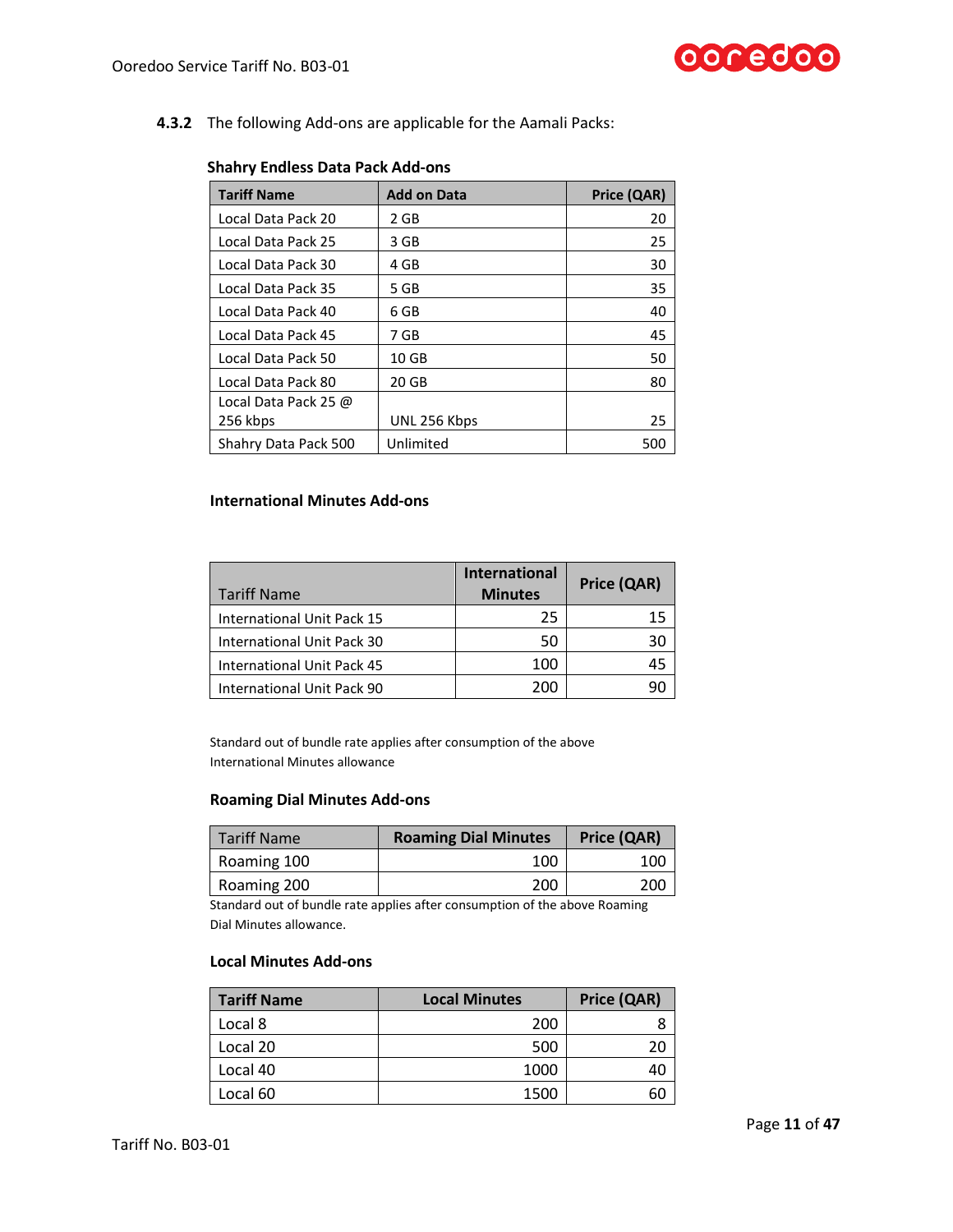

# **4.3.2** The following Add-ons are applicable for the Aamali Packs:

| <b>Tariff Name</b>   | <b>Add on Data</b> | Price (QAR) |
|----------------------|--------------------|-------------|
| Local Data Pack 20   | 2 GB               | 20          |
| Local Data Pack 25   | 3 GB               | 25          |
| Local Data Pack 30   | 4 GB               | 30          |
| Local Data Pack 35   | 5 GB               | 35          |
| Local Data Pack 40   | 6 GB               | 40          |
| Local Data Pack 45   | 7 GB               | 45          |
| Local Data Pack 50   | 10 <sub>GB</sub>   | 50          |
| Local Data Pack 80   | 20 GB              | 80          |
| Local Data Pack 25 @ |                    |             |
| 256 kbps             | UNL 256 Kbps       | 25          |
| Shahry Data Pack 500 | Unlimited          | 500         |

# **Shahry Endless Data Pack Add-ons**

# **International Minutes Add-ons**

| <b>Tariff Name</b>         | <b>International</b><br><b>Minutes</b> | Price (QAR) |
|----------------------------|----------------------------------------|-------------|
| International Unit Pack 15 | 25                                     | 15          |
| International Unit Pack 30 | 50                                     |             |
| International Unit Pack 45 | 100                                    | 45          |
| International Unit Pack 90 | 200                                    |             |

Standard out of bundle rate applies after consumption of the above International Minutes allowance

# **Roaming Dial Minutes Add-ons**

| <b>Tariff Name</b> | <b>Roaming Dial Minutes</b> | Price (QAR) |  |
|--------------------|-----------------------------|-------------|--|
| Roaming 100        | 100                         | 100         |  |
| Roaming 200        | 200                         | 200         |  |

Standard out of bundle rate applies after consumption of the above Roaming Dial Minutes allowance.

### **Local Minutes Add-ons**

| <b>Tariff Name</b> | <b>Local Minutes</b> | Price (QAR) |
|--------------------|----------------------|-------------|
| Local 8            | 200                  |             |
| Local 20           | 500                  |             |
| Local 40           | 1000                 |             |
| Local 60           | 1500                 | 60          |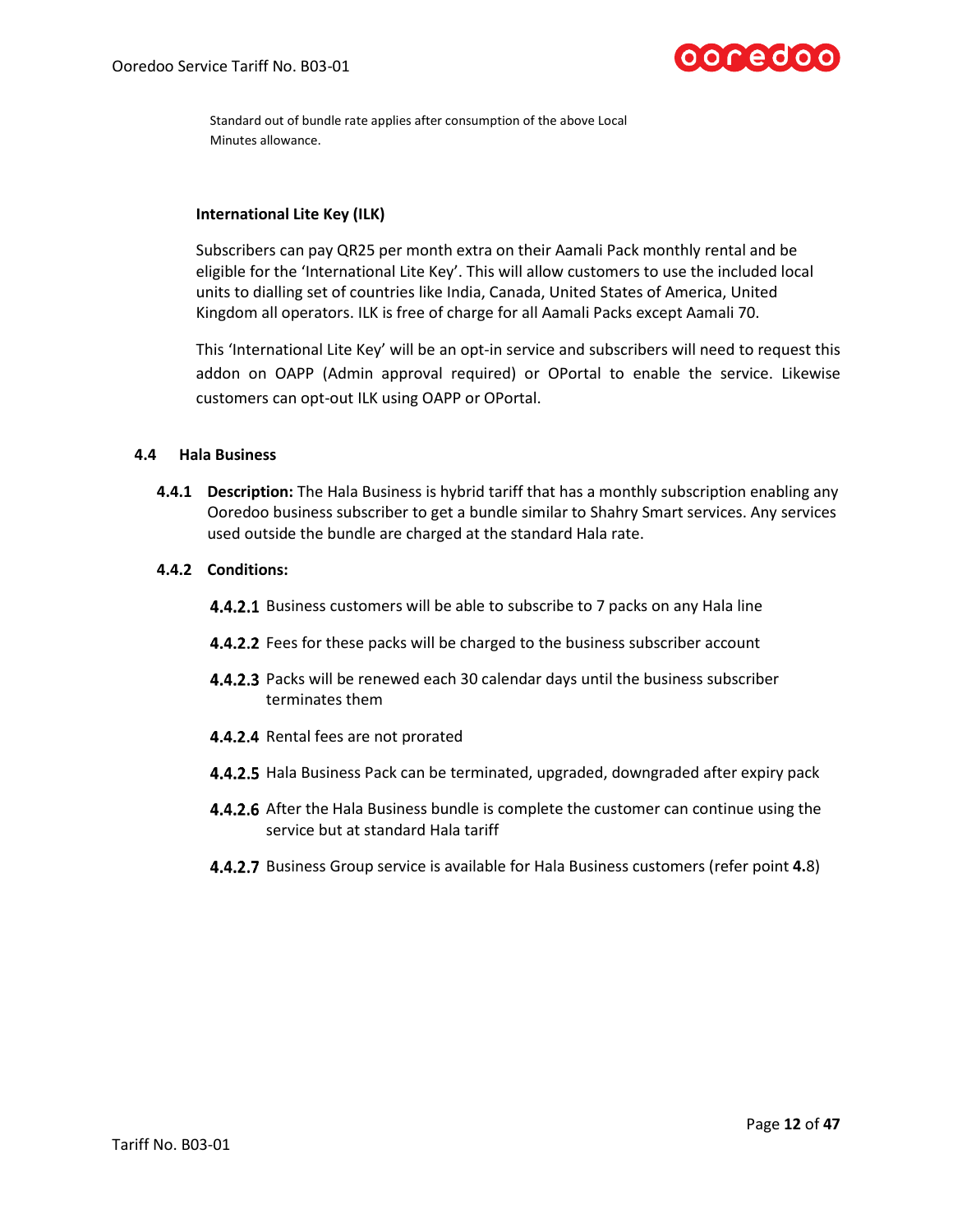

Standard out of bundle rate applies after consumption of the above Local Minutes allowance.

# **International Lite Key (ILK)**

Subscribers can pay QR25 per month extra on their Aamali Pack monthly rental and be eligible for the 'International Lite Key'. This will allow customers to use the included local units to dialling set of countries like India, Canada, United States of America, United Kingdom all operators. ILK is free of charge for all Aamali Packs except Aamali 70.

This 'International Lite Key' will be an opt-in service and subscribers will need to request this addon on OAPP (Admin approval required) or OPortal to enable the service. Likewise customers can opt-out ILK using OAPP or OPortal.

### **4.4 Hala Business**

**4.4.1 Description:** The Hala Business is hybrid tariff that has a monthly subscription enabling any Ooredoo business subscriber to get a bundle similar to Shahry Smart services. Any services used outside the bundle are charged at the standard Hala rate.

# **4.4.2 Conditions:**

- **4.4.2.1** Business customers will be able to subscribe to 7 packs on any Hala line
- **4.4.2.2** Fees for these packs will be charged to the business subscriber account
- **4.4.2.3** Packs will be renewed each 30 calendar days until the business subscriber terminates them
- 4.4.2.4 Rental fees are not prorated
- 4.4.2.5 Hala Business Pack can be terminated, upgraded, downgraded after expiry pack
- **4.4.2.6** After the Hala Business bundle is complete the customer can continue using the service but at standard Hala tariff
- Business Group service is available for Hala Business customers (refer point **4.**8)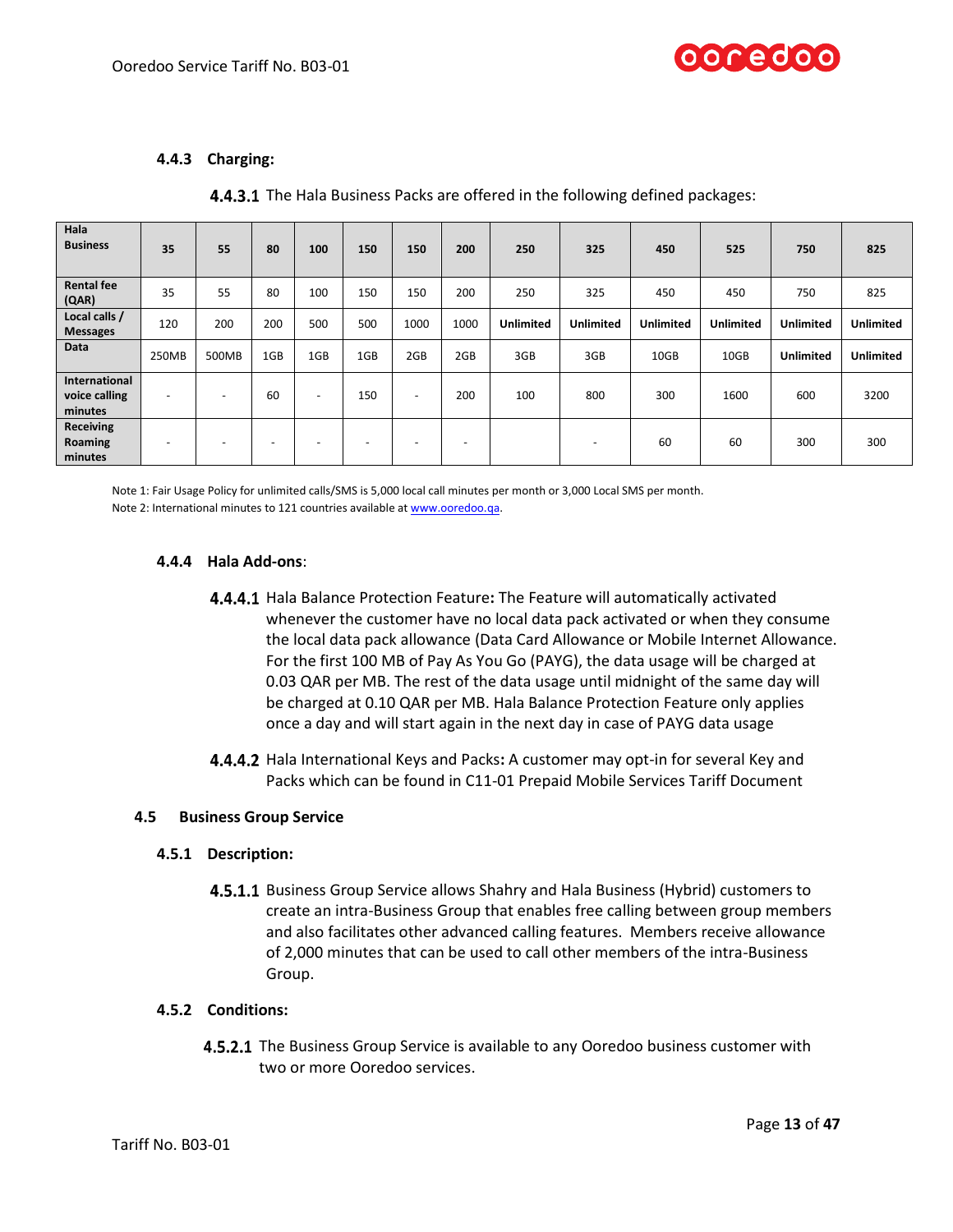

# **4.4.3 Charging:**

|  | 4.4.3.1 The Hala Business Packs are offered in the following defined packages: |  |  |  |  |  |
|--|--------------------------------------------------------------------------------|--|--|--|--|--|
|--|--------------------------------------------------------------------------------|--|--|--|--|--|

| Hala<br><b>Business</b>                   | 35    | 55                       | 80                       | 100                      | 150                      | 150                      | 200  | 250              | 325                      | 450              | 525              | 750              | 825              |
|-------------------------------------------|-------|--------------------------|--------------------------|--------------------------|--------------------------|--------------------------|------|------------------|--------------------------|------------------|------------------|------------------|------------------|
| <b>Rental fee</b><br>(QAR)                | 35    | 55                       | 80                       | 100                      | 150                      | 150                      | 200  | 250              | 325                      | 450              | 450              | 750              | 825              |
| Local calls /<br><b>Messages</b>          | 120   | 200                      | 200                      | 500                      | 500                      | 1000                     | 1000 | <b>Unlimited</b> | <b>Unlimited</b>         | <b>Unlimited</b> | <b>Unlimited</b> | <b>Unlimited</b> | <b>Unlimited</b> |
| Data                                      | 250MB | 500MB                    | 1GB                      | 1GB                      | 1GB                      | 2GB                      | 2GB  | 3GB              | 3GB                      | 10GB             | 10GB             | <b>Unlimited</b> | <b>Unlimited</b> |
| International<br>voice calling<br>minutes | -     |                          | 60                       | $\overline{\phantom{a}}$ | 150                      | $\overline{\phantom{0}}$ | 200  | 100              | 800                      | 300              | 1600             | 600              | 3200             |
| <b>Receiving</b><br>Roaming<br>minutes    | ٠     | $\overline{\phantom{a}}$ | $\overline{\phantom{0}}$ |                          | $\overline{\phantom{a}}$ | $\overline{\phantom{a}}$ | -    |                  | $\overline{\phantom{a}}$ | 60               | 60               | 300              | 300              |

Note 1: Fair Usage Policy for unlimited calls/SMS is 5,000 local call minutes per month or 3,000 Local SMS per month.

Note 2: International minutes to 121 countries available a[t www.ooredoo.qa.](http://www.ooredoo.qa/)

# **4.4.4 Hala Add-ons**:

- Hala Balance Protection Feature**:** The Feature will automatically activated whenever the customer have no local data pack activated or when they consume the local data pack allowance (Data Card Allowance or Mobile Internet Allowance. For the first 100 MB of Pay As You Go (PAYG), the data usage will be charged at 0.03 QAR per MB. The rest of the data usage until midnight of the same day will be charged at 0.10 QAR per MB. Hala Balance Protection Feature only applies once a day and will start again in the next day in case of PAYG data usage
- Hala International Keys and Packs**:** A customer may opt-in for several Key and Packs which can be found in C11-01 Prepaid Mobile Services Tariff Document

### **4.5 Business Group Service**

### **4.5.1 Description:**

**4.5.1.1** Business Group Service allows Shahry and Hala Business (Hybrid) customers to create an intra-Business Group that enables free calling between group members and also facilitates other advanced calling features. Members receive allowance of 2,000 minutes that can be used to call other members of the intra-Business Group.

### **4.5.2 Conditions:**

**4.5.2.1** The Business Group Service is available to any Ooredoo business customer with two or more Ooredoo services.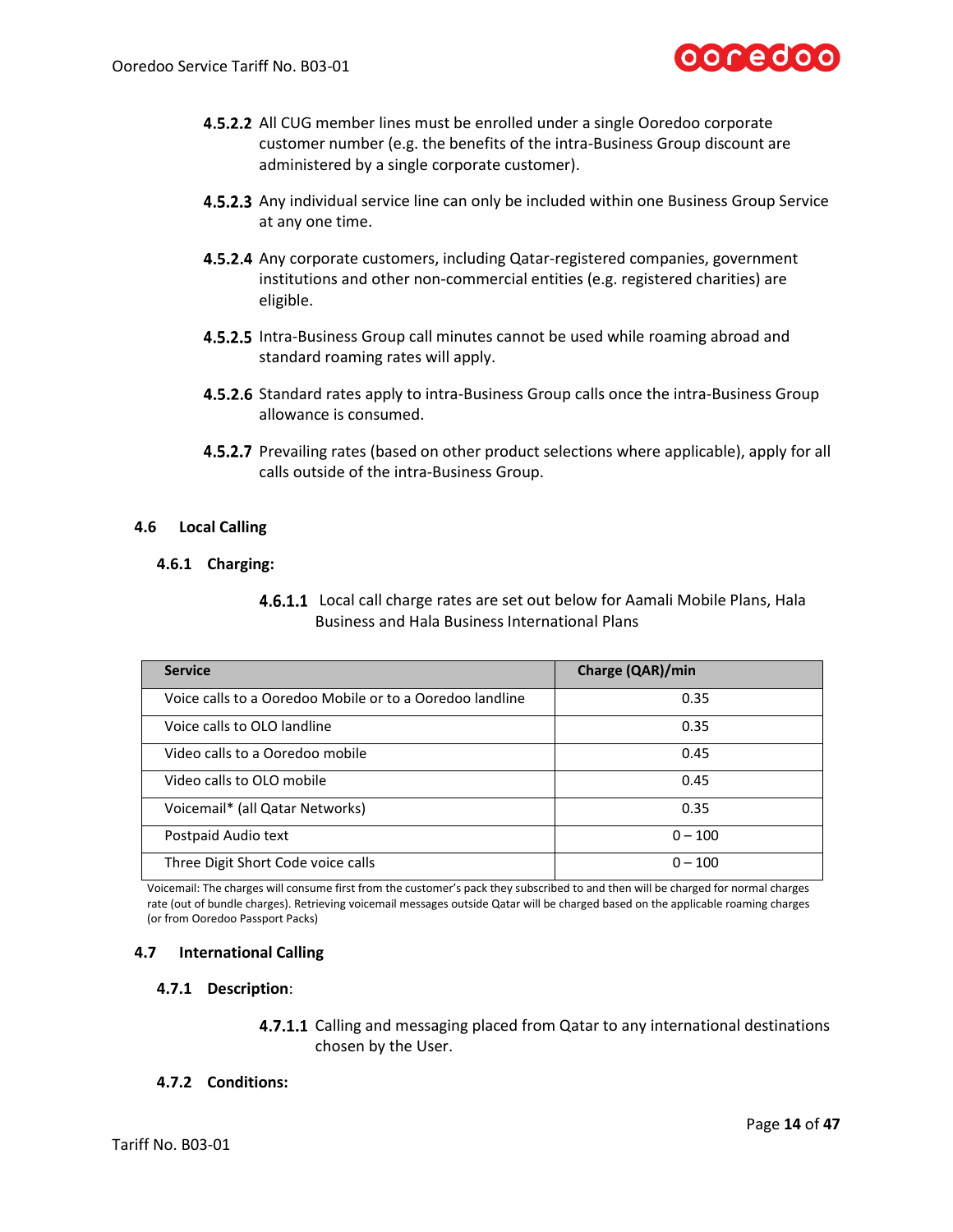

- **4.5.2.2** All CUG member lines must be enrolled under a single Ooredoo corporate customer number (e.g. the benefits of the intra-Business Group discount are administered by a single corporate customer).
- **4.5.2.3** Any individual service line can only be included within one Business Group Service at any one time.
- **4.5.2.4** Any corporate customers, including Qatar-registered companies, government institutions and other non-commercial entities (e.g. registered charities) are eligible.
- **4.5.2.5** Intra-Business Group call minutes cannot be used while roaming abroad and standard roaming rates will apply.
- 4.5.2.6 Standard rates apply to intra-Business Group calls once the intra-Business Group allowance is consumed.
- **4.5.2.7** Prevailing rates (based on other product selections where applicable), apply for all calls outside of the intra-Business Group.

### **4.6 Local Calling**

#### **4.6.1 Charging:**

<span id="page-13-0"></span>**4.6.1.1** Local call charge rates are set out below for Aamali Mobile Plans, Hala Business and Hala Business International Plans

| <b>Service</b>                                           | Charge (QAR)/min |
|----------------------------------------------------------|------------------|
| Voice calls to a Ooredoo Mobile or to a Ooredoo landline | 0.35             |
| Voice calls to OLO landline                              | 0.35             |
| Video calls to a Ooredoo mobile                          | 0.45             |
| Video calls to OLO mobile                                | 0.45             |
| Voicemail* (all Qatar Networks)                          | 0.35             |
| Postpaid Audio text                                      | $0 - 100$        |
| Three Digit Short Code voice calls                       | $0 - 100$        |

Voicemail: The charges will consume first from the customer's pack they subscribed to and then will be charged for normal charges rate (out of bundle charges). Retrieving voicemail messages outside Qatar will be charged based on the applicable roaming charges (or from Ooredoo Passport Packs)

### **4.7 International Calling**

#### **4.7.1 Description**:

4.7.1.1 Calling and messaging placed from Qatar to any international destinations chosen by the User.

# **4.7.2 Conditions:**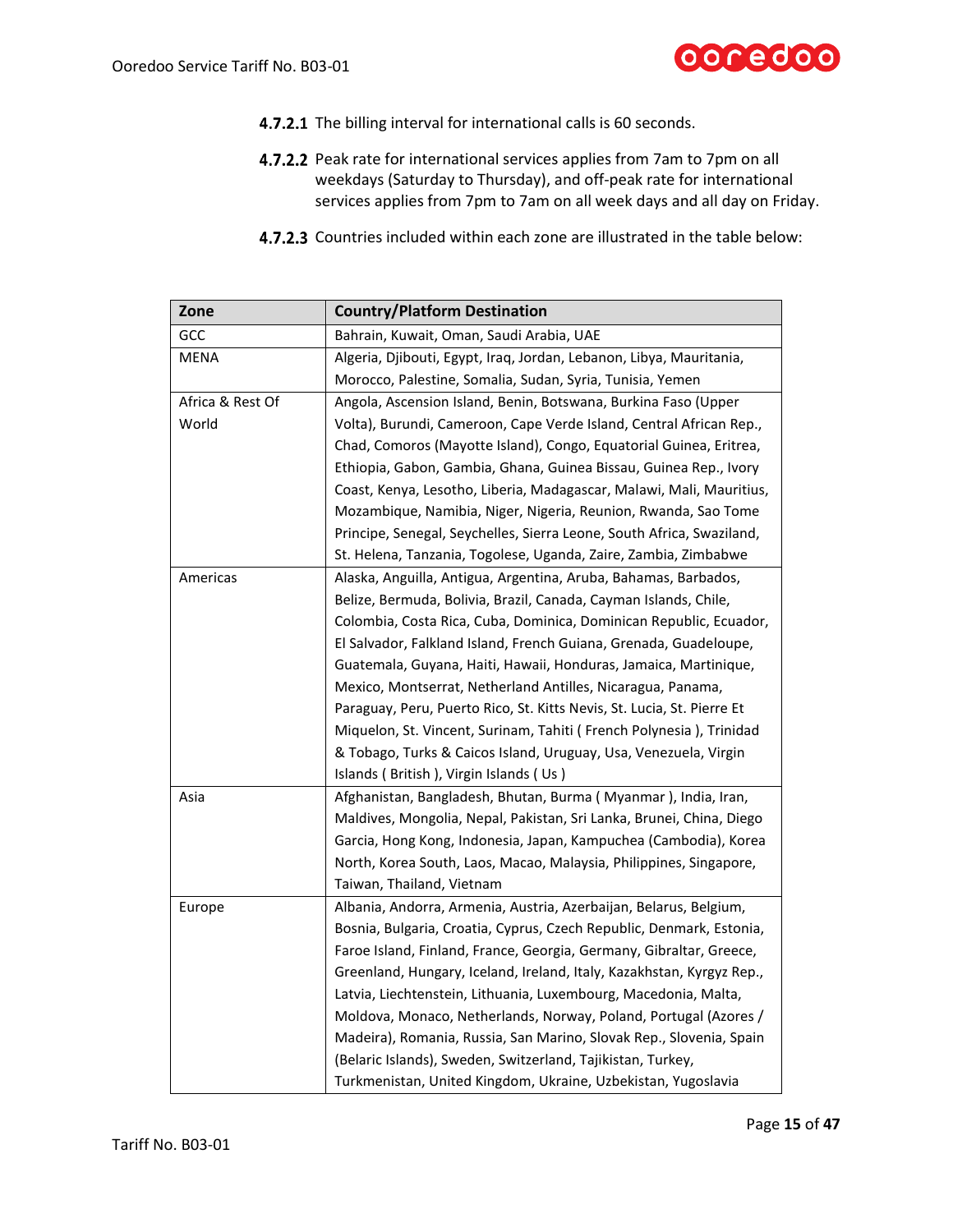

- 4.7.2.1 The billing interval for international calls is 60 seconds.
- 4.7.2.2 Peak rate for international services applies from 7am to 7pm on all weekdays (Saturday to Thursday), and off-peak rate for international services applies from 7pm to 7am on all week days and all day on Friday.
- 4.7.2.3 Countries included within each zone are illustrated in the table below:

| Zone             | <b>Country/Platform Destination</b>                                    |  |  |  |  |
|------------------|------------------------------------------------------------------------|--|--|--|--|
| GCC              | Bahrain, Kuwait, Oman, Saudi Arabia, UAE                               |  |  |  |  |
| <b>MENA</b>      | Algeria, Djibouti, Egypt, Iraq, Jordan, Lebanon, Libya, Mauritania,    |  |  |  |  |
|                  | Morocco, Palestine, Somalia, Sudan, Syria, Tunisia, Yemen              |  |  |  |  |
| Africa & Rest Of | Angola, Ascension Island, Benin, Botswana, Burkina Faso (Upper         |  |  |  |  |
| World            | Volta), Burundi, Cameroon, Cape Verde Island, Central African Rep.,    |  |  |  |  |
|                  | Chad, Comoros (Mayotte Island), Congo, Equatorial Guinea, Eritrea,     |  |  |  |  |
|                  | Ethiopia, Gabon, Gambia, Ghana, Guinea Bissau, Guinea Rep., Ivory      |  |  |  |  |
|                  | Coast, Kenya, Lesotho, Liberia, Madagascar, Malawi, Mali, Mauritius,   |  |  |  |  |
|                  | Mozambique, Namibia, Niger, Nigeria, Reunion, Rwanda, Sao Tome         |  |  |  |  |
|                  | Principe, Senegal, Seychelles, Sierra Leone, South Africa, Swaziland,  |  |  |  |  |
|                  | St. Helena, Tanzania, Togolese, Uganda, Zaire, Zambia, Zimbabwe        |  |  |  |  |
| Americas         | Alaska, Anguilla, Antigua, Argentina, Aruba, Bahamas, Barbados,        |  |  |  |  |
|                  | Belize, Bermuda, Bolivia, Brazil, Canada, Cayman Islands, Chile,       |  |  |  |  |
|                  | Colombia, Costa Rica, Cuba, Dominica, Dominican Republic, Ecuador,     |  |  |  |  |
|                  | El Salvador, Falkland Island, French Guiana, Grenada, Guadeloupe,      |  |  |  |  |
|                  | Guatemala, Guyana, Haiti, Hawaii, Honduras, Jamaica, Martinique,       |  |  |  |  |
|                  | Mexico, Montserrat, Netherland Antilles, Nicaragua, Panama,            |  |  |  |  |
|                  | Paraguay, Peru, Puerto Rico, St. Kitts Nevis, St. Lucia, St. Pierre Et |  |  |  |  |
|                  | Miquelon, St. Vincent, Surinam, Tahiti (French Polynesia), Trinidad    |  |  |  |  |
|                  | & Tobago, Turks & Caicos Island, Uruguay, Usa, Venezuela, Virgin       |  |  |  |  |
|                  | Islands (British), Virgin Islands (Us)                                 |  |  |  |  |
| Asia             | Afghanistan, Bangladesh, Bhutan, Burma (Myanmar), India, Iran,         |  |  |  |  |
|                  | Maldives, Mongolia, Nepal, Pakistan, Sri Lanka, Brunei, China, Diego   |  |  |  |  |
|                  | Garcia, Hong Kong, Indonesia, Japan, Kampuchea (Cambodia), Korea       |  |  |  |  |
|                  | North, Korea South, Laos, Macao, Malaysia, Philippines, Singapore,     |  |  |  |  |
|                  | Taiwan, Thailand, Vietnam                                              |  |  |  |  |
| Europe           | Albania, Andorra, Armenia, Austria, Azerbaijan, Belarus, Belgium,      |  |  |  |  |
|                  | Bosnia, Bulgaria, Croatia, Cyprus, Czech Republic, Denmark, Estonia,   |  |  |  |  |
|                  | Faroe Island, Finland, France, Georgia, Germany, Gibraltar, Greece,    |  |  |  |  |
|                  | Greenland, Hungary, Iceland, Ireland, Italy, Kazakhstan, Kyrgyz Rep.,  |  |  |  |  |
|                  | Latvia, Liechtenstein, Lithuania, Luxembourg, Macedonia, Malta,        |  |  |  |  |
|                  | Moldova, Monaco, Netherlands, Norway, Poland, Portugal (Azores /       |  |  |  |  |
|                  | Madeira), Romania, Russia, San Marino, Slovak Rep., Slovenia, Spain    |  |  |  |  |
|                  | (Belaric Islands), Sweden, Switzerland, Tajikistan, Turkey,            |  |  |  |  |
|                  | Turkmenistan, United Kingdom, Ukraine, Uzbekistan, Yugoslavia          |  |  |  |  |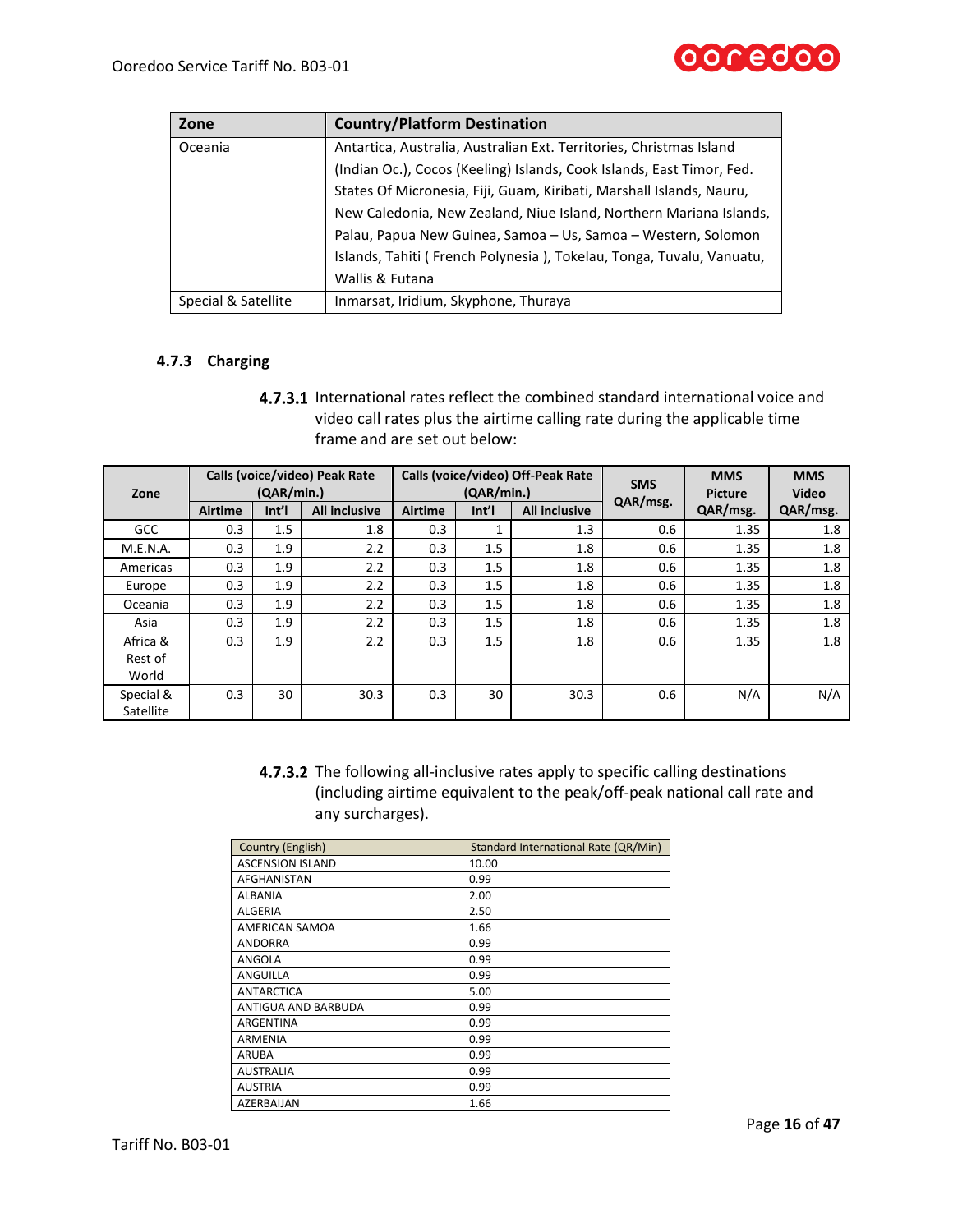| Zone                | <b>Country/Platform Destination</b>                                   |
|---------------------|-----------------------------------------------------------------------|
| Oceania             | Antartica, Australia, Australian Ext. Territories, Christmas Island   |
|                     | (Indian Oc.), Cocos (Keeling) Islands, Cook Islands, East Timor, Fed. |
|                     | States Of Micronesia, Fiji, Guam, Kiribati, Marshall Islands, Nauru,  |
|                     | New Caledonia, New Zealand, Niue Island, Northern Mariana Islands,    |
|                     | Palau, Papua New Guinea, Samoa – Us, Samoa – Western, Solomon         |
|                     | Islands, Tahiti (French Polynesia), Tokelau, Tonga, Tuvalu, Vanuatu,  |
|                     | Wallis & Futana                                                       |
| Special & Satellite | Inmarsat, Iridium, Skyphone, Thuraya                                  |

# **4.7.3 Charging**

4.7.3.1 International rates reflect the combined standard international voice and video call rates plus the airtime calling rate during the applicable time frame and are set out below:

| Zone       |                | (QAR/min.) | Calls (voice/video) Peak Rate | Calls (voice/video) Off-Peak Rate<br>(OAR/min.) |       |                      | <b>SMS</b> | <b>MMS</b><br><b>Picture</b> | <b>MMS</b><br><b>Video</b> |
|------------|----------------|------------|-------------------------------|-------------------------------------------------|-------|----------------------|------------|------------------------------|----------------------------|
|            | <b>Airtime</b> | Int        | <b>All inclusive</b>          | <b>Airtime</b>                                  | Int'l | <b>All inclusive</b> | QAR/msg.   | QAR/msg.                     | QAR/msg.                   |
| <b>GCC</b> | 0.3            | 1.5        | 1.8                           | 0.3                                             |       | 1.3                  | 0.6        | 1.35                         | 1.8                        |
| M.E.N.A.   | 0.3            | 1.9        | 2.2                           | 0.3                                             | 1.5   | 1.8                  | 0.6        | 1.35                         | 1.8                        |
| Americas   | 0.3            | 1.9        | 2.2                           | 0.3                                             | 1.5   | 1.8                  | 0.6        | 1.35                         | 1.8                        |
| Europe     | 0.3            | 1.9        | 2.2                           | 0.3                                             | 1.5   | 1.8                  | 0.6        | 1.35                         | 1.8                        |
| Oceania    | 0.3            | 1.9        | 2.2                           | 0.3                                             | 1.5   | 1.8                  | 0.6        | 1.35                         | 1.8                        |
| Asia       | 0.3            | 1.9        | 2.2                           | 0.3                                             | 1.5   | 1.8                  | 0.6        | 1.35                         | 1.8                        |
| Africa &   | 0.3            | 1.9        | 2.2                           | 0.3                                             | 1.5   | 1.8                  | 0.6        | 1.35                         | 1.8                        |
| Rest of    |                |            |                               |                                                 |       |                      |            |                              |                            |
| World      |                |            |                               |                                                 |       |                      |            |                              |                            |
| Special &  | 0.3            | 30         | 30.3                          | 0.3                                             | 30    | 30.3                 | 0.6        | N/A                          | N/A                        |
| Satellite  |                |            |                               |                                                 |       |                      |            |                              |                            |

4.7.3.2 The following all-inclusive rates apply to specific calling destinations (including airtime equivalent to the peak/off-peak national call rate and any surcharges).

| Country (English)       | Standard International Rate (QR/Min) |
|-------------------------|--------------------------------------|
| <b>ASCENSION ISLAND</b> | 10.00                                |
| AFGHANISTAN             | 0.99                                 |
| <b>ALBANIA</b>          | 2.00                                 |
| <b>ALGERIA</b>          | 2.50                                 |
| AMERICAN SAMOA          | 1.66                                 |
| <b>ANDORRA</b>          | 0.99                                 |
| ANGOLA                  | 0.99                                 |
| <b>ANGUILLA</b>         | 0.99                                 |
| <b>ANTARCTICA</b>       | 5.00                                 |
| ANTIGUA AND BARBUDA     | 0.99                                 |
| <b>ARGENTINA</b>        | 0.99                                 |
| <b>ARMENIA</b>          | 0.99                                 |
| ARUBA                   | 0.99                                 |
| <b>AUSTRALIA</b>        | 0.99                                 |
| <b>AUSTRIA</b>          | 0.99                                 |
| AZERBAIJAN              | 1.66                                 |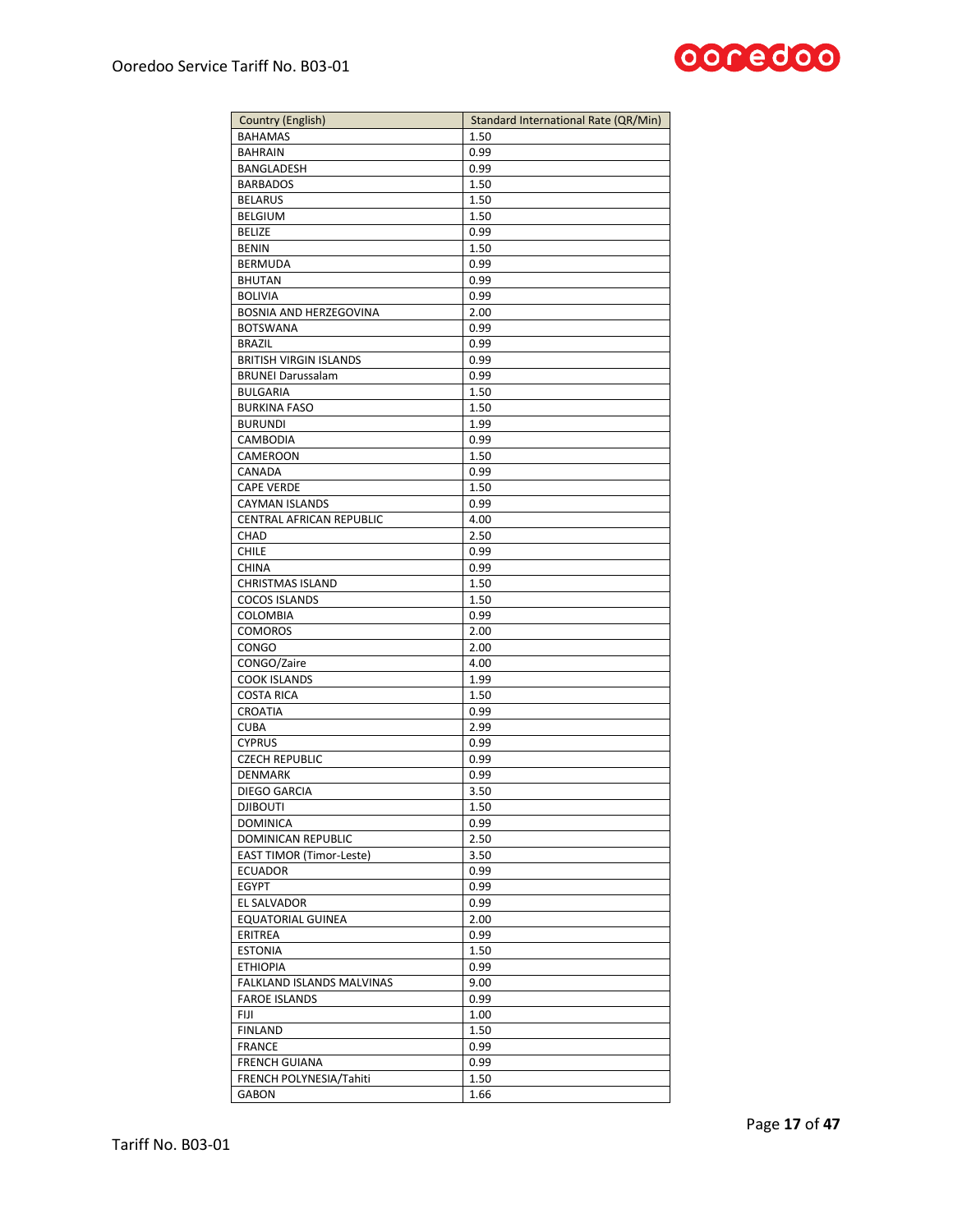

| <b>Country (English)</b>            | Standard International Rate (QR/Min) |
|-------------------------------------|--------------------------------------|
| <b>BAHAMAS</b>                      | 1.50                                 |
| <b>BAHRAIN</b>                      | 0.99                                 |
| BANGLADESH                          | 0.99                                 |
| <b>BARBADOS</b>                     | 1.50                                 |
| <b>BELARUS</b>                      | 1.50                                 |
| <b>BELGIUM</b>                      | 1.50                                 |
| <b>BELIZE</b>                       | 0.99                                 |
| <b>BENIN</b>                        | 1.50                                 |
| <b>BERMUDA</b>                      | 0.99                                 |
| <b>BHUTAN</b>                       | 0.99                                 |
| <b>BOLIVIA</b>                      | 0.99                                 |
| BOSNIA AND HERZEGOVINA              | 2.00                                 |
| <b>BOTSWANA</b>                     | 0.99                                 |
| <b>BRAZIL</b>                       | 0.99                                 |
| <b>BRITISH VIRGIN ISLANDS</b>       | 0.99                                 |
| <b>BRUNEI Darussalam</b>            | 0.99                                 |
| <b>BULGARIA</b>                     | 1.50                                 |
| <b>BURKINA FASO</b>                 | 1.50                                 |
| <b>BURUNDI</b>                      | 1.99                                 |
| CAMBODIA                            | 0.99                                 |
| CAMEROON                            | 1.50                                 |
| CANADA                              | 0.99                                 |
| <b>CAPE VERDE</b>                   | 1.50                                 |
| CAYMAN ISLANDS                      | 0.99                                 |
| CENTRAL AFRICAN REPUBLIC            | 4.00                                 |
| <b>CHAD</b>                         | 2.50                                 |
|                                     |                                      |
| <b>CHILE</b><br><b>CHINA</b>        | 0.99                                 |
| <b>CHRISTMAS ISLAND</b>             | 0.99<br>1.50                         |
| <b>COCOS ISLANDS</b>                | 1.50                                 |
|                                     |                                      |
| COLOMBIA                            | 0.99                                 |
| <b>COMOROS</b>                      | 2.00                                 |
| <b>CONGO</b>                        | 2.00                                 |
| CONGO/Zaire                         | 4.00                                 |
| <b>COOK ISLANDS</b>                 | 1.99                                 |
| <b>COSTA RICA</b><br><b>CROATIA</b> | 1.50                                 |
|                                     | 0.99                                 |
| <b>CUBA</b>                         | 2.99                                 |
| <b>CYPRUS</b>                       | 0.99                                 |
| <b>CZECH REPUBLIC</b>               | 0.99                                 |
| DENMARK                             | 0.99                                 |
| DIEGO GARCIA                        | 3.50                                 |
| <b>DJIBOUTI</b>                     | 1.50                                 |
| <b>DOMINICA</b>                     | 0.99                                 |
| DOMINICAN REPUBLIC                  | 2.50                                 |
| <b>EAST TIMOR (Timor-Leste)</b>     | 3.50                                 |
| <b>ECUADOR</b>                      | 0.99                                 |
| <b>EGYPT</b>                        | 0.99                                 |
| EL SALVADOR                         | 0.99                                 |
| <b>EQUATORIAL GUINEA</b>            | 2.00                                 |
| ERITREA                             | 0.99                                 |
| <b>ESTONIA</b>                      | 1.50                                 |
| <b>ETHIOPIA</b>                     | 0.99                                 |
| FALKLAND ISLANDS MALVINAS           | 9.00                                 |
| <b>FAROE ISLANDS</b>                | 0.99                                 |
| FIJI                                | 1.00                                 |
| <b>FINLAND</b>                      | 1.50                                 |
| <b>FRANCE</b>                       | 0.99                                 |
| <b>FRENCH GUIANA</b>                | 0.99                                 |
| FRENCH POLYNESIA/Tahiti             | 1.50                                 |
| <b>GABON</b>                        | 1.66                                 |
|                                     |                                      |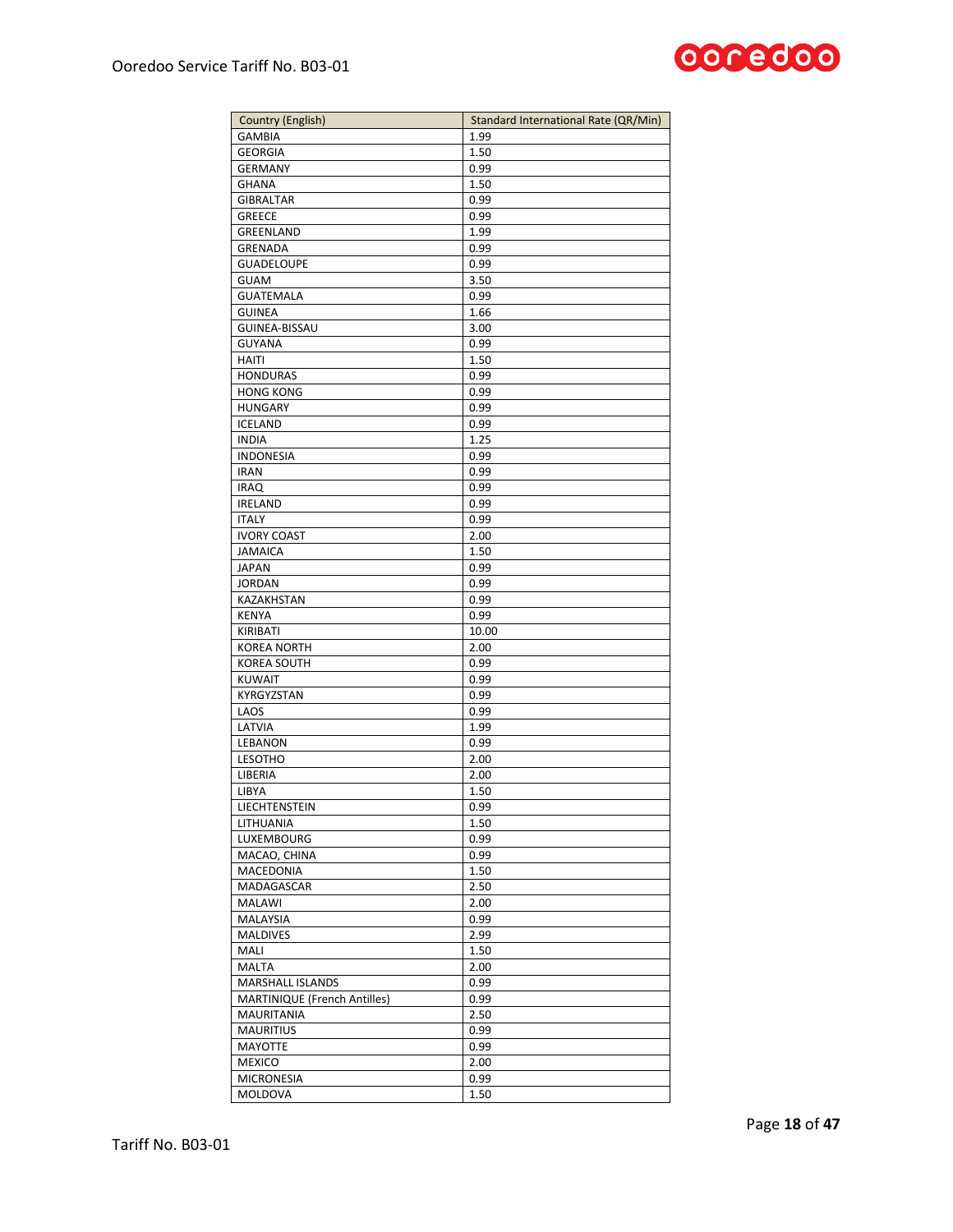

| <b>Country (English)</b>     | Standard International Rate (QR/Min) |
|------------------------------|--------------------------------------|
| <b>GAMBIA</b>                | 1.99                                 |
| <b>GEORGIA</b>               | 1.50                                 |
| <b>GERMANY</b>               | 0.99                                 |
| <b>GHANA</b>                 | 1.50                                 |
| <b>GIBRALTAR</b>             | 0.99                                 |
| <b>GREECE</b>                | 0.99                                 |
| GREENLAND                    | 1.99                                 |
| GRENADA                      | 0.99                                 |
| <b>GUADELOUPE</b>            | 0.99                                 |
| <b>GUAM</b>                  | 3.50                                 |
| <b>GUATEMALA</b>             | 0.99                                 |
| <b>GUINEA</b>                | 1.66                                 |
| GUINEA-BISSAU                | 3.00                                 |
| <b>GUYANA</b>                | 0.99                                 |
| <b>HAITI</b>                 | 1.50                                 |
| <b>HONDURAS</b>              | 0.99                                 |
| <b>HONG KONG</b>             | 0.99                                 |
| <b>HUNGARY</b>               | 0.99                                 |
| <b>ICELAND</b>               | 0.99                                 |
| <b>INDIA</b>                 | 1.25                                 |
| <b>INDONESIA</b>             | 0.99                                 |
| <b>IRAN</b>                  | 0.99                                 |
| <b>IRAQ</b>                  | 0.99                                 |
| <b>IRELAND</b>               | 0.99                                 |
| <b>ITALY</b>                 | 0.99                                 |
| <b>IVORY COAST</b>           | 2.00                                 |
| <b>JAMAICA</b>               | 1.50                                 |
| <b>JAPAN</b>                 | 0.99                                 |
| <b>JORDAN</b>                | 0.99                                 |
| KAZAKHSTAN                   | 0.99                                 |
| <b>KENYA</b>                 | 0.99                                 |
| KIRIBATI                     | 10.00                                |
| <b>KOREA NORTH</b>           | 2.00                                 |
| <b>KOREA SOUTH</b>           | 0.99                                 |
| <b>KUWAIT</b>                | 0.99                                 |
| KYRGYZSTAN                   | 0.99                                 |
| LAOS                         | 0.99                                 |
| LATVIA                       | 1.99                                 |
| LEBANON                      | 0.99                                 |
| LESOTHO                      | 2.00                                 |
| LIBERIA                      | 2.00                                 |
| <b>LIBYA</b>                 | 1.50                                 |
| LIECHTENSTEIN                | 0.99                                 |
| LITHUANIA                    | 1.50                                 |
| LUXEMBOURG                   | 0.99                                 |
| MACAO, CHINA                 |                                      |
| MACEDONIA                    | 0.99                                 |
|                              | 1.50                                 |
| MADAGASCAR                   | 2.50                                 |
| MALAWI                       | 2.00                                 |
| MALAYSIA                     | 0.99                                 |
| <b>MALDIVES</b>              | 2.99                                 |
| MALI                         | 1.50                                 |
| <b>MALTA</b>                 | 2.00                                 |
| MARSHALL ISLANDS             | 0.99                                 |
| MARTINIQUE (French Antilles) | 0.99                                 |
| MAURITANIA                   | 2.50                                 |
| <b>MAURITIUS</b>             | 0.99                                 |
| MAYOTTE                      | 0.99                                 |
| <b>MEXICO</b>                | 2.00                                 |
| <b>MICRONESIA</b>            | 0.99                                 |
| MOLDOVA                      | 1.50                                 |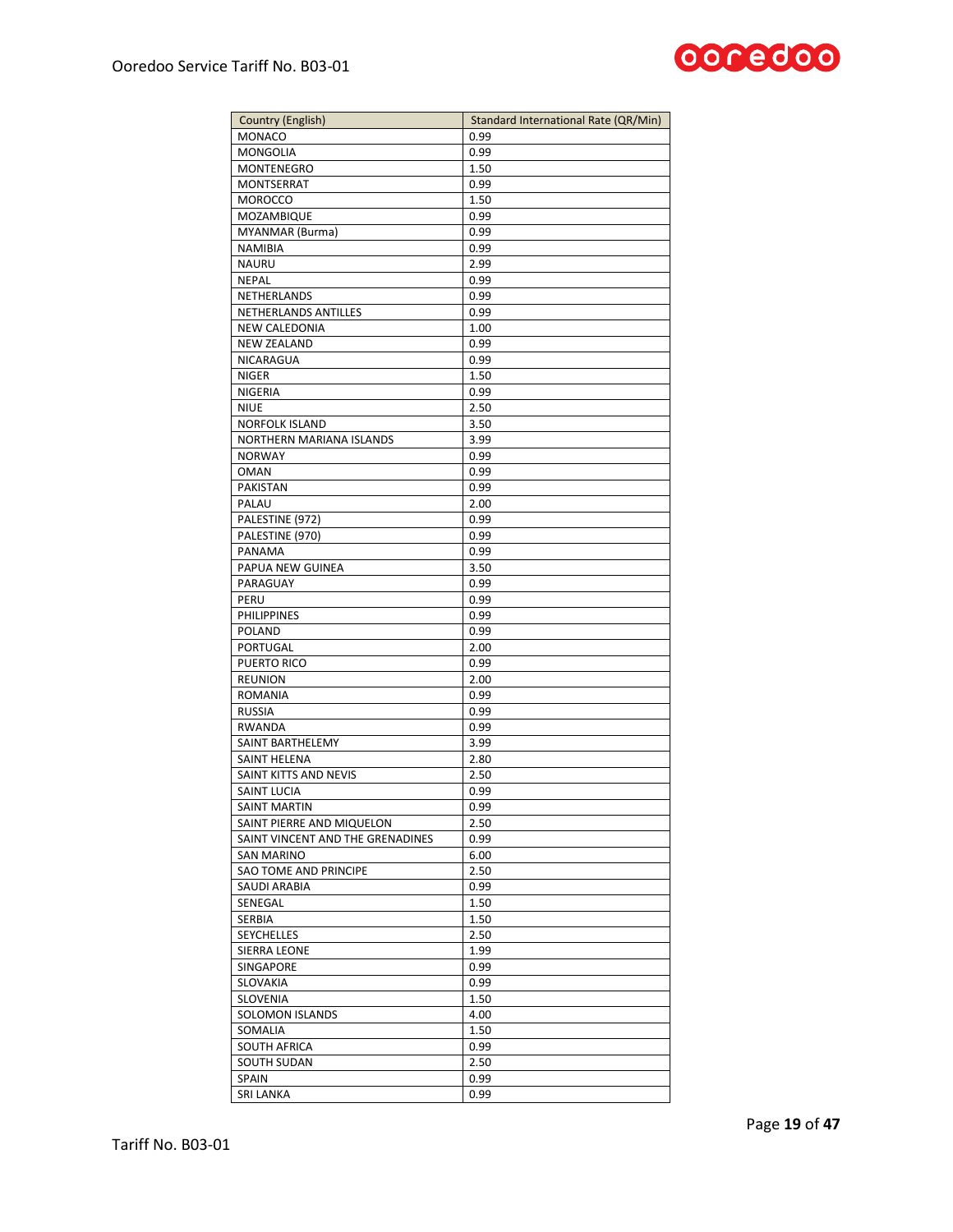

| <b>MONACO</b><br>0.99<br><b>MONGOLIA</b><br>0.99<br>1.50<br><b>MONTENEGRO</b><br>MONTSERRAT<br>0.99<br><b>MOROCCO</b><br>1.50<br>MOZAMBIQUE<br>0.99<br>MYANMAR (Burma)<br>0.99<br>NAMIBIA<br>0.99<br><b>NAURU</b><br>2.99<br><b>NEPAL</b><br>0.99<br>NETHERLANDS<br>0.99<br>NETHERLANDS ANTILLES<br>0.99<br>NEW CALEDONIA<br>1.00<br><b>NEW ZEALAND</b><br>0.99<br>NICARAGUA<br>0.99<br><b>NIGER</b><br>1.50<br>NIGERIA<br>0.99<br><b>NIUE</b><br>2.50<br><b>NORFOLK ISLAND</b><br>3.50<br>NORTHERN MARIANA ISLANDS<br>3.99<br><b>NORWAY</b><br>0.99<br><b>OMAN</b><br>0.99<br><b>PAKISTAN</b><br>0.99<br>PALAU<br>2.00<br>PALESTINE (972)<br>0.99<br>PALESTINE (970)<br>0.99<br>PANAMA<br>0.99<br>PAPUA NEW GUINEA<br>3.50<br>PARAGUAY<br>0.99<br>PERU<br>0.99<br><b>PHILIPPINES</b><br>0.99<br>POLAND<br>0.99<br>PORTUGAL<br>2.00<br>PUERTO RICO<br>0.99<br><b>REUNION</b><br>2.00<br><b>ROMANIA</b><br>0.99<br><b>RUSSIA</b><br>0.99<br><b>RWANDA</b><br>0.99<br>SAINT BARTHELEMY<br>3.99<br><b>SAINT HELENA</b><br>2.80<br>SAINT KITTS AND NEVIS<br>2.50<br>SAINT LUCIA<br>0.99<br>SAINT MARTIN<br>0.99<br>SAINT PIERRE AND MIQUELON<br>2.50<br>SAINT VINCENT AND THE GRENADINES<br>0.99<br><b>SAN MARINO</b><br>6.00<br>2.50<br>SAO TOME AND PRINCIPE<br>SAUDI ARABIA<br>0.99<br>SENEGAL<br>1.50<br>SERBIA<br>1.50<br><b>SEYCHELLES</b><br>2.50<br><b>SIERRA LEONE</b><br>1.99<br>SINGAPORE<br>0.99<br>SLOVAKIA<br>0.99<br>SLOVENIA<br>1.50<br>SOLOMON ISLANDS<br>4.00<br>1.50<br>SOMALIA<br>SOUTH AFRICA<br>0.99<br>2.50<br>SOUTH SUDAN<br>SPAIN<br>0.99<br>SRI LANKA<br>0.99 | Country (English) | Standard International Rate (QR/Min) |
|-------------------------------------------------------------------------------------------------------------------------------------------------------------------------------------------------------------------------------------------------------------------------------------------------------------------------------------------------------------------------------------------------------------------------------------------------------------------------------------------------------------------------------------------------------------------------------------------------------------------------------------------------------------------------------------------------------------------------------------------------------------------------------------------------------------------------------------------------------------------------------------------------------------------------------------------------------------------------------------------------------------------------------------------------------------------------------------------------------------------------------------------------------------------------------------------------------------------------------------------------------------------------------------------------------------------------------------------------------------------------------------------------------------------------------------------------------------------------------------------------------------------------------------------------------------------------------------|-------------------|--------------------------------------|
|                                                                                                                                                                                                                                                                                                                                                                                                                                                                                                                                                                                                                                                                                                                                                                                                                                                                                                                                                                                                                                                                                                                                                                                                                                                                                                                                                                                                                                                                                                                                                                                     |                   |                                      |
|                                                                                                                                                                                                                                                                                                                                                                                                                                                                                                                                                                                                                                                                                                                                                                                                                                                                                                                                                                                                                                                                                                                                                                                                                                                                                                                                                                                                                                                                                                                                                                                     |                   |                                      |
|                                                                                                                                                                                                                                                                                                                                                                                                                                                                                                                                                                                                                                                                                                                                                                                                                                                                                                                                                                                                                                                                                                                                                                                                                                                                                                                                                                                                                                                                                                                                                                                     |                   |                                      |
|                                                                                                                                                                                                                                                                                                                                                                                                                                                                                                                                                                                                                                                                                                                                                                                                                                                                                                                                                                                                                                                                                                                                                                                                                                                                                                                                                                                                                                                                                                                                                                                     |                   |                                      |
|                                                                                                                                                                                                                                                                                                                                                                                                                                                                                                                                                                                                                                                                                                                                                                                                                                                                                                                                                                                                                                                                                                                                                                                                                                                                                                                                                                                                                                                                                                                                                                                     |                   |                                      |
|                                                                                                                                                                                                                                                                                                                                                                                                                                                                                                                                                                                                                                                                                                                                                                                                                                                                                                                                                                                                                                                                                                                                                                                                                                                                                                                                                                                                                                                                                                                                                                                     |                   |                                      |
|                                                                                                                                                                                                                                                                                                                                                                                                                                                                                                                                                                                                                                                                                                                                                                                                                                                                                                                                                                                                                                                                                                                                                                                                                                                                                                                                                                                                                                                                                                                                                                                     |                   |                                      |
|                                                                                                                                                                                                                                                                                                                                                                                                                                                                                                                                                                                                                                                                                                                                                                                                                                                                                                                                                                                                                                                                                                                                                                                                                                                                                                                                                                                                                                                                                                                                                                                     |                   |                                      |
|                                                                                                                                                                                                                                                                                                                                                                                                                                                                                                                                                                                                                                                                                                                                                                                                                                                                                                                                                                                                                                                                                                                                                                                                                                                                                                                                                                                                                                                                                                                                                                                     |                   |                                      |
|                                                                                                                                                                                                                                                                                                                                                                                                                                                                                                                                                                                                                                                                                                                                                                                                                                                                                                                                                                                                                                                                                                                                                                                                                                                                                                                                                                                                                                                                                                                                                                                     |                   |                                      |
|                                                                                                                                                                                                                                                                                                                                                                                                                                                                                                                                                                                                                                                                                                                                                                                                                                                                                                                                                                                                                                                                                                                                                                                                                                                                                                                                                                                                                                                                                                                                                                                     |                   |                                      |
|                                                                                                                                                                                                                                                                                                                                                                                                                                                                                                                                                                                                                                                                                                                                                                                                                                                                                                                                                                                                                                                                                                                                                                                                                                                                                                                                                                                                                                                                                                                                                                                     |                   |                                      |
|                                                                                                                                                                                                                                                                                                                                                                                                                                                                                                                                                                                                                                                                                                                                                                                                                                                                                                                                                                                                                                                                                                                                                                                                                                                                                                                                                                                                                                                                                                                                                                                     |                   |                                      |
|                                                                                                                                                                                                                                                                                                                                                                                                                                                                                                                                                                                                                                                                                                                                                                                                                                                                                                                                                                                                                                                                                                                                                                                                                                                                                                                                                                                                                                                                                                                                                                                     |                   |                                      |
|                                                                                                                                                                                                                                                                                                                                                                                                                                                                                                                                                                                                                                                                                                                                                                                                                                                                                                                                                                                                                                                                                                                                                                                                                                                                                                                                                                                                                                                                                                                                                                                     |                   |                                      |
|                                                                                                                                                                                                                                                                                                                                                                                                                                                                                                                                                                                                                                                                                                                                                                                                                                                                                                                                                                                                                                                                                                                                                                                                                                                                                                                                                                                                                                                                                                                                                                                     |                   |                                      |
|                                                                                                                                                                                                                                                                                                                                                                                                                                                                                                                                                                                                                                                                                                                                                                                                                                                                                                                                                                                                                                                                                                                                                                                                                                                                                                                                                                                                                                                                                                                                                                                     |                   |                                      |
|                                                                                                                                                                                                                                                                                                                                                                                                                                                                                                                                                                                                                                                                                                                                                                                                                                                                                                                                                                                                                                                                                                                                                                                                                                                                                                                                                                                                                                                                                                                                                                                     |                   |                                      |
|                                                                                                                                                                                                                                                                                                                                                                                                                                                                                                                                                                                                                                                                                                                                                                                                                                                                                                                                                                                                                                                                                                                                                                                                                                                                                                                                                                                                                                                                                                                                                                                     |                   |                                      |
|                                                                                                                                                                                                                                                                                                                                                                                                                                                                                                                                                                                                                                                                                                                                                                                                                                                                                                                                                                                                                                                                                                                                                                                                                                                                                                                                                                                                                                                                                                                                                                                     |                   |                                      |
|                                                                                                                                                                                                                                                                                                                                                                                                                                                                                                                                                                                                                                                                                                                                                                                                                                                                                                                                                                                                                                                                                                                                                                                                                                                                                                                                                                                                                                                                                                                                                                                     |                   |                                      |
|                                                                                                                                                                                                                                                                                                                                                                                                                                                                                                                                                                                                                                                                                                                                                                                                                                                                                                                                                                                                                                                                                                                                                                                                                                                                                                                                                                                                                                                                                                                                                                                     |                   |                                      |
|                                                                                                                                                                                                                                                                                                                                                                                                                                                                                                                                                                                                                                                                                                                                                                                                                                                                                                                                                                                                                                                                                                                                                                                                                                                                                                                                                                                                                                                                                                                                                                                     |                   |                                      |
|                                                                                                                                                                                                                                                                                                                                                                                                                                                                                                                                                                                                                                                                                                                                                                                                                                                                                                                                                                                                                                                                                                                                                                                                                                                                                                                                                                                                                                                                                                                                                                                     |                   |                                      |
|                                                                                                                                                                                                                                                                                                                                                                                                                                                                                                                                                                                                                                                                                                                                                                                                                                                                                                                                                                                                                                                                                                                                                                                                                                                                                                                                                                                                                                                                                                                                                                                     |                   |                                      |
|                                                                                                                                                                                                                                                                                                                                                                                                                                                                                                                                                                                                                                                                                                                                                                                                                                                                                                                                                                                                                                                                                                                                                                                                                                                                                                                                                                                                                                                                                                                                                                                     |                   |                                      |
|                                                                                                                                                                                                                                                                                                                                                                                                                                                                                                                                                                                                                                                                                                                                                                                                                                                                                                                                                                                                                                                                                                                                                                                                                                                                                                                                                                                                                                                                                                                                                                                     |                   |                                      |
|                                                                                                                                                                                                                                                                                                                                                                                                                                                                                                                                                                                                                                                                                                                                                                                                                                                                                                                                                                                                                                                                                                                                                                                                                                                                                                                                                                                                                                                                                                                                                                                     |                   |                                      |
|                                                                                                                                                                                                                                                                                                                                                                                                                                                                                                                                                                                                                                                                                                                                                                                                                                                                                                                                                                                                                                                                                                                                                                                                                                                                                                                                                                                                                                                                                                                                                                                     |                   |                                      |
|                                                                                                                                                                                                                                                                                                                                                                                                                                                                                                                                                                                                                                                                                                                                                                                                                                                                                                                                                                                                                                                                                                                                                                                                                                                                                                                                                                                                                                                                                                                                                                                     |                   |                                      |
|                                                                                                                                                                                                                                                                                                                                                                                                                                                                                                                                                                                                                                                                                                                                                                                                                                                                                                                                                                                                                                                                                                                                                                                                                                                                                                                                                                                                                                                                                                                                                                                     |                   |                                      |
|                                                                                                                                                                                                                                                                                                                                                                                                                                                                                                                                                                                                                                                                                                                                                                                                                                                                                                                                                                                                                                                                                                                                                                                                                                                                                                                                                                                                                                                                                                                                                                                     |                   |                                      |
|                                                                                                                                                                                                                                                                                                                                                                                                                                                                                                                                                                                                                                                                                                                                                                                                                                                                                                                                                                                                                                                                                                                                                                                                                                                                                                                                                                                                                                                                                                                                                                                     |                   |                                      |
|                                                                                                                                                                                                                                                                                                                                                                                                                                                                                                                                                                                                                                                                                                                                                                                                                                                                                                                                                                                                                                                                                                                                                                                                                                                                                                                                                                                                                                                                                                                                                                                     |                   |                                      |
|                                                                                                                                                                                                                                                                                                                                                                                                                                                                                                                                                                                                                                                                                                                                                                                                                                                                                                                                                                                                                                                                                                                                                                                                                                                                                                                                                                                                                                                                                                                                                                                     |                   |                                      |
|                                                                                                                                                                                                                                                                                                                                                                                                                                                                                                                                                                                                                                                                                                                                                                                                                                                                                                                                                                                                                                                                                                                                                                                                                                                                                                                                                                                                                                                                                                                                                                                     |                   |                                      |
|                                                                                                                                                                                                                                                                                                                                                                                                                                                                                                                                                                                                                                                                                                                                                                                                                                                                                                                                                                                                                                                                                                                                                                                                                                                                                                                                                                                                                                                                                                                                                                                     |                   |                                      |
|                                                                                                                                                                                                                                                                                                                                                                                                                                                                                                                                                                                                                                                                                                                                                                                                                                                                                                                                                                                                                                                                                                                                                                                                                                                                                                                                                                                                                                                                                                                                                                                     |                   |                                      |
|                                                                                                                                                                                                                                                                                                                                                                                                                                                                                                                                                                                                                                                                                                                                                                                                                                                                                                                                                                                                                                                                                                                                                                                                                                                                                                                                                                                                                                                                                                                                                                                     |                   |                                      |
|                                                                                                                                                                                                                                                                                                                                                                                                                                                                                                                                                                                                                                                                                                                                                                                                                                                                                                                                                                                                                                                                                                                                                                                                                                                                                                                                                                                                                                                                                                                                                                                     |                   |                                      |
|                                                                                                                                                                                                                                                                                                                                                                                                                                                                                                                                                                                                                                                                                                                                                                                                                                                                                                                                                                                                                                                                                                                                                                                                                                                                                                                                                                                                                                                                                                                                                                                     |                   |                                      |
|                                                                                                                                                                                                                                                                                                                                                                                                                                                                                                                                                                                                                                                                                                                                                                                                                                                                                                                                                                                                                                                                                                                                                                                                                                                                                                                                                                                                                                                                                                                                                                                     |                   |                                      |
|                                                                                                                                                                                                                                                                                                                                                                                                                                                                                                                                                                                                                                                                                                                                                                                                                                                                                                                                                                                                                                                                                                                                                                                                                                                                                                                                                                                                                                                                                                                                                                                     |                   |                                      |
|                                                                                                                                                                                                                                                                                                                                                                                                                                                                                                                                                                                                                                                                                                                                                                                                                                                                                                                                                                                                                                                                                                                                                                                                                                                                                                                                                                                                                                                                                                                                                                                     |                   |                                      |
|                                                                                                                                                                                                                                                                                                                                                                                                                                                                                                                                                                                                                                                                                                                                                                                                                                                                                                                                                                                                                                                                                                                                                                                                                                                                                                                                                                                                                                                                                                                                                                                     |                   |                                      |
|                                                                                                                                                                                                                                                                                                                                                                                                                                                                                                                                                                                                                                                                                                                                                                                                                                                                                                                                                                                                                                                                                                                                                                                                                                                                                                                                                                                                                                                                                                                                                                                     |                   |                                      |
|                                                                                                                                                                                                                                                                                                                                                                                                                                                                                                                                                                                                                                                                                                                                                                                                                                                                                                                                                                                                                                                                                                                                                                                                                                                                                                                                                                                                                                                                                                                                                                                     |                   |                                      |
|                                                                                                                                                                                                                                                                                                                                                                                                                                                                                                                                                                                                                                                                                                                                                                                                                                                                                                                                                                                                                                                                                                                                                                                                                                                                                                                                                                                                                                                                                                                                                                                     |                   |                                      |
|                                                                                                                                                                                                                                                                                                                                                                                                                                                                                                                                                                                                                                                                                                                                                                                                                                                                                                                                                                                                                                                                                                                                                                                                                                                                                                                                                                                                                                                                                                                                                                                     |                   |                                      |
|                                                                                                                                                                                                                                                                                                                                                                                                                                                                                                                                                                                                                                                                                                                                                                                                                                                                                                                                                                                                                                                                                                                                                                                                                                                                                                                                                                                                                                                                                                                                                                                     |                   |                                      |
|                                                                                                                                                                                                                                                                                                                                                                                                                                                                                                                                                                                                                                                                                                                                                                                                                                                                                                                                                                                                                                                                                                                                                                                                                                                                                                                                                                                                                                                                                                                                                                                     |                   |                                      |
|                                                                                                                                                                                                                                                                                                                                                                                                                                                                                                                                                                                                                                                                                                                                                                                                                                                                                                                                                                                                                                                                                                                                                                                                                                                                                                                                                                                                                                                                                                                                                                                     |                   |                                      |
|                                                                                                                                                                                                                                                                                                                                                                                                                                                                                                                                                                                                                                                                                                                                                                                                                                                                                                                                                                                                                                                                                                                                                                                                                                                                                                                                                                                                                                                                                                                                                                                     |                   |                                      |
|                                                                                                                                                                                                                                                                                                                                                                                                                                                                                                                                                                                                                                                                                                                                                                                                                                                                                                                                                                                                                                                                                                                                                                                                                                                                                                                                                                                                                                                                                                                                                                                     |                   |                                      |
|                                                                                                                                                                                                                                                                                                                                                                                                                                                                                                                                                                                                                                                                                                                                                                                                                                                                                                                                                                                                                                                                                                                                                                                                                                                                                                                                                                                                                                                                                                                                                                                     |                   |                                      |
|                                                                                                                                                                                                                                                                                                                                                                                                                                                                                                                                                                                                                                                                                                                                                                                                                                                                                                                                                                                                                                                                                                                                                                                                                                                                                                                                                                                                                                                                                                                                                                                     |                   |                                      |
|                                                                                                                                                                                                                                                                                                                                                                                                                                                                                                                                                                                                                                                                                                                                                                                                                                                                                                                                                                                                                                                                                                                                                                                                                                                                                                                                                                                                                                                                                                                                                                                     |                   |                                      |
|                                                                                                                                                                                                                                                                                                                                                                                                                                                                                                                                                                                                                                                                                                                                                                                                                                                                                                                                                                                                                                                                                                                                                                                                                                                                                                                                                                                                                                                                                                                                                                                     |                   |                                      |
|                                                                                                                                                                                                                                                                                                                                                                                                                                                                                                                                                                                                                                                                                                                                                                                                                                                                                                                                                                                                                                                                                                                                                                                                                                                                                                                                                                                                                                                                                                                                                                                     |                   |                                      |
|                                                                                                                                                                                                                                                                                                                                                                                                                                                                                                                                                                                                                                                                                                                                                                                                                                                                                                                                                                                                                                                                                                                                                                                                                                                                                                                                                                                                                                                                                                                                                                                     |                   |                                      |
|                                                                                                                                                                                                                                                                                                                                                                                                                                                                                                                                                                                                                                                                                                                                                                                                                                                                                                                                                                                                                                                                                                                                                                                                                                                                                                                                                                                                                                                                                                                                                                                     |                   |                                      |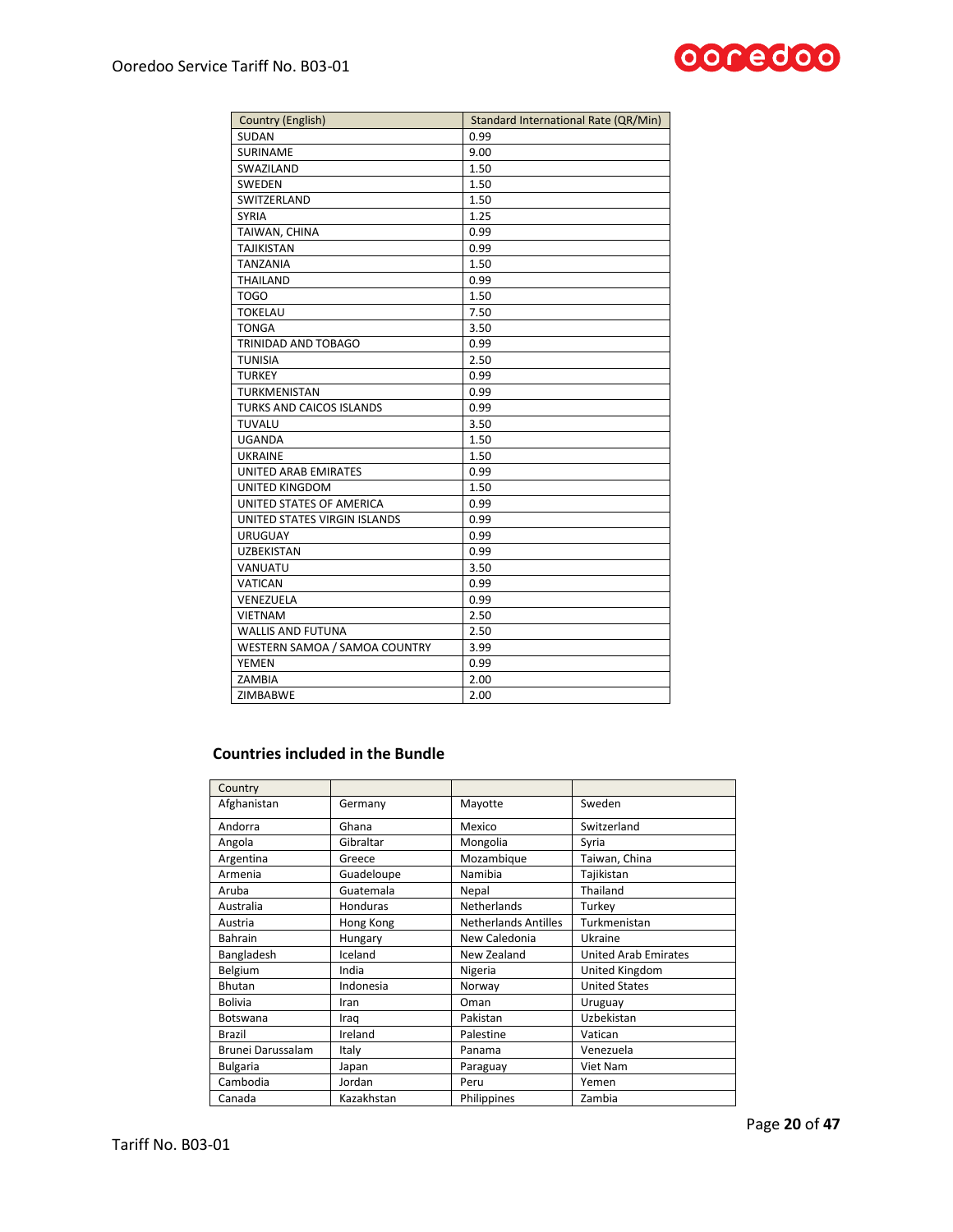

| <b>Country (English)</b>        | <b>Standard International Rate (QR/Min)</b> |
|---------------------------------|---------------------------------------------|
| SUDAN                           | 0.99                                        |
| SURINAME                        | 9.00                                        |
| SWAZILAND                       | 1.50                                        |
| SWEDEN                          | 1.50                                        |
| SWITZERLAND                     | 1.50                                        |
| <b>SYRIA</b>                    | 1.25                                        |
| TAIWAN, CHINA                   | 0.99                                        |
| <b>TAJIKISTAN</b>               | 0.99                                        |
| <b>TANZANIA</b>                 | 1.50                                        |
| THAILAND                        | 0.99                                        |
| <b>TOGO</b>                     | 1.50                                        |
| <b>TOKELAU</b>                  | 7.50                                        |
| <b>TONGA</b>                    | 3.50                                        |
| TRINIDAD AND TOBAGO             | 0.99                                        |
| <b>TUNISIA</b>                  | 2.50                                        |
| <b>TURKEY</b>                   | 0.99                                        |
| <b>TURKMENISTAN</b>             | 0.99                                        |
| <b>TURKS AND CAICOS ISLANDS</b> | 0.99                                        |
| TUVALU                          | 3.50                                        |
| <b>UGANDA</b>                   | 1.50                                        |
| <b>UKRAINE</b>                  | 1.50                                        |
| UNITED ARAB EMIRATES            | 0.99                                        |
| <b>UNITED KINGDOM</b>           | 1.50                                        |
| UNITED STATES OF AMERICA        | 0.99                                        |
| UNITED STATES VIRGIN ISLANDS    | 0.99                                        |
| <b>URUGUAY</b>                  | 0.99                                        |
| <b>UZBEKISTAN</b>               | 0.99                                        |
| VANUATU                         | 3.50                                        |
| <b>VATICAN</b>                  | 0.99                                        |
| VENEZUELA                       | 0.99                                        |
| <b>VIETNAM</b>                  | 2.50                                        |
| <b>WALLIS AND FUTUNA</b>        | 2.50                                        |
| WESTERN SAMOA / SAMOA COUNTRY   | 3.99                                        |
| YEMEN                           | 0.99                                        |
| ZAMBIA                          | 2.00                                        |
| ZIMBABWE                        | 2.00                                        |

# **Countries included in the Bundle**

| Country           |                 |                             |                             |
|-------------------|-----------------|-----------------------------|-----------------------------|
| Afghanistan       | Germany         | Mayotte                     | Sweden                      |
| Andorra           | Ghana           | Mexico                      | Switzerland                 |
| Angola            | Gibraltar       | Mongolia                    | Syria                       |
| Argentina         | Greece          | Mozambique                  | Taiwan, China               |
| Armenia           | Guadeloupe      | Namibia                     | Tajikistan                  |
| Aruba             | Guatemala       | Nepal                       | Thailand                    |
| Australia         | <b>Honduras</b> | Netherlands                 | Turkey                      |
| Austria           | Hong Kong       | <b>Netherlands Antilles</b> | Turkmenistan                |
| Bahrain           | Hungary         | New Caledonia               | Ukraine                     |
| Bangladesh        | Iceland         | New Zealand                 | <b>United Arab Emirates</b> |
| Belgium           | India           | Nigeria                     | United Kingdom              |
| Bhutan            | Indonesia       | Norway                      | <b>United States</b>        |
| <b>Bolivia</b>    | Iran            | Oman                        | Uruguay                     |
| Botswana          | Iraq            | Pakistan                    | Uzbekistan                  |
| <b>Brazil</b>     | Ireland         | Palestine                   | Vatican                     |
| Brunei Darussalam | Italy           | Panama                      | Venezuela                   |
| <b>Bulgaria</b>   | Japan           | Paraguay                    | Viet Nam                    |
| Cambodia          | Jordan          | Peru                        | Yemen                       |
| Canada            | Kazakhstan      | Philippines                 | Zambia                      |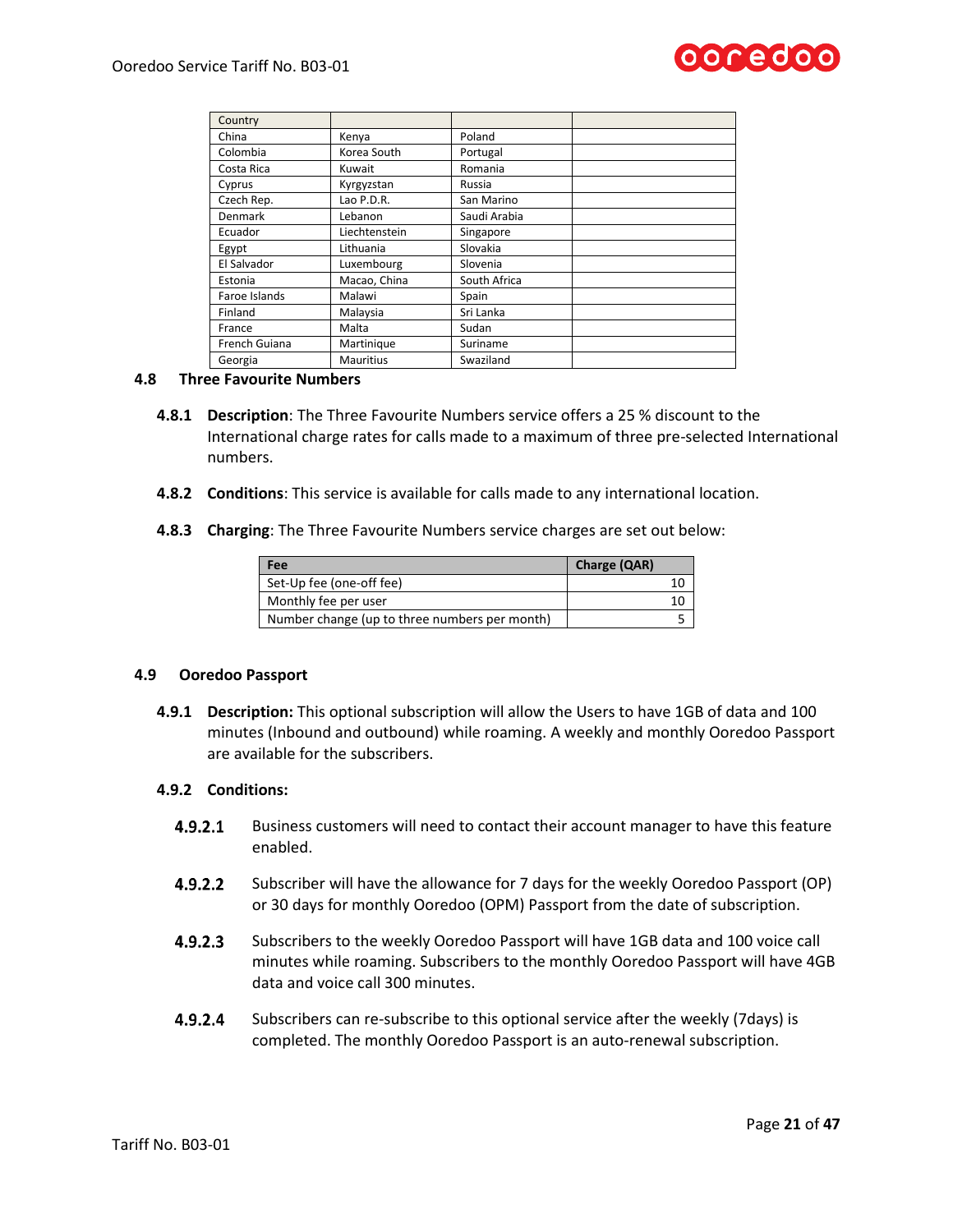

| Country       |                  |              |
|---------------|------------------|--------------|
| China         | Kenya            | Poland       |
| Colombia      | Korea South      | Portugal     |
| Costa Rica    | Kuwait           | Romania      |
| Cyprus        | Kyrgyzstan       | Russia       |
| Czech Rep.    | Lao P.D.R.       | San Marino   |
| Denmark       | Lebanon          | Saudi Arabia |
| Ecuador       | Liechtenstein    | Singapore    |
| Egypt         | Lithuania        | Slovakia     |
| El Salvador   | Luxembourg       | Slovenia     |
| Estonia       | Macao, China     | South Africa |
| Faroe Islands | Malawi           | Spain        |
| Finland       | Malaysia         | Sri Lanka    |
| France        | Malta            | Sudan        |
| French Guiana | Martinique       | Suriname     |
| Georgia       | <b>Mauritius</b> | Swaziland    |

### **4.8 Three Favourite Numbers**

- **4.8.1 Description**: The Three Favourite Numbers service offers a 25 % discount to the International charge rates for calls made to a maximum of three pre-selected International numbers.
- **4.8.2 Conditions**: This service is available for calls made to any international location.
- **4.8.3 Charging**: The Three Favourite Numbers service charges are set out below:

| Fee                                           | Charge (QAR) |
|-----------------------------------------------|--------------|
| Set-Up fee (one-off fee)                      | 10           |
| Monthly fee per user                          | 10           |
| Number change (up to three numbers per month) |              |

### **4.9 Ooredoo Passport**

**4.9.1 Description:** This optional subscription will allow the Users to have 1GB of data and 100 minutes (Inbound and outbound) while roaming. A weekly and monthly Ooredoo Passport are available for the subscribers.

### **4.9.2 Conditions:**

- $4.9.2.1$ Business customers will need to contact their account manager to have this feature enabled.
- $4.9.2.2$ Subscriber will have the allowance for 7 days for the weekly Ooredoo Passport (OP) or 30 days for monthly Ooredoo (OPM) Passport from the date of subscription.
- $4.9.2.3$ Subscribers to the weekly Ooredoo Passport will have 1GB data and 100 voice call minutes while roaming. Subscribers to the monthly Ooredoo Passport will have 4GB data and voice call 300 minutes.
- $4.9.2.4$ Subscribers can re-subscribe to this optional service after the weekly (7days) is completed. The monthly Ooredoo Passport is an auto-renewal subscription.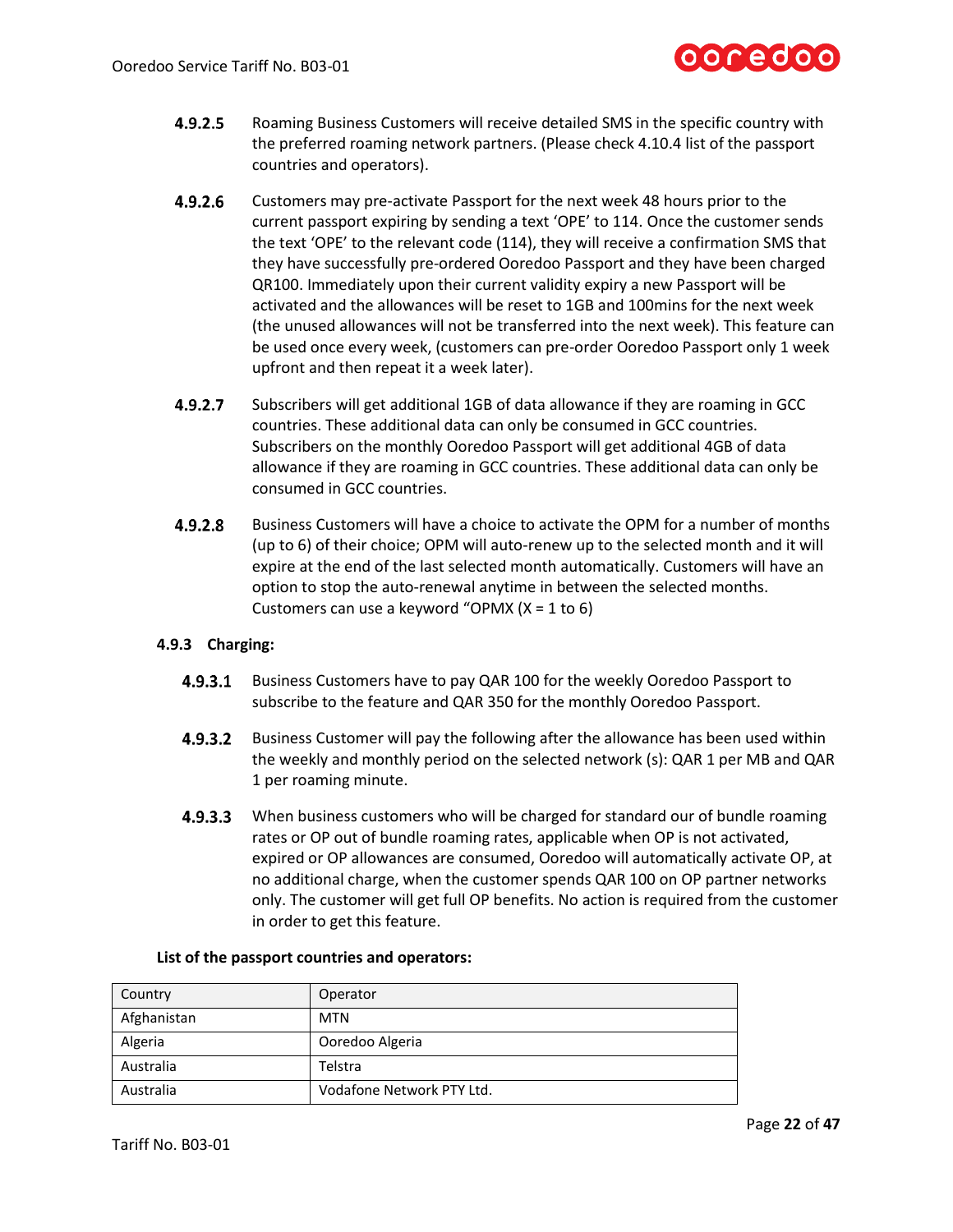

- $4.9.2.5$ Roaming Business Customers will receive detailed SMS in the specific country with the preferred roaming network partners. (Please check 4.10.4 list of the passport countries and operators).
- $4.9.2.6$ Customers may pre-activate Passport for the next week 48 hours prior to the current passport expiring by sending a text 'OPE' to 114. Once the customer sends the text 'OPE' to the relevant code (114), they will receive a confirmation SMS that they have successfully pre-ordered Ooredoo Passport and they have been charged QR100. Immediately upon their current validity expiry a new Passport will be activated and the allowances will be reset to 1GB and 100mins for the next week (the unused allowances will not be transferred into the next week). This feature can be used once every week, (customers can pre-order Ooredoo Passport only 1 week upfront and then repeat it a week later).
- 4.9.2.7 Subscribers will get additional 1GB of data allowance if they are roaming in GCC countries. These additional data can only be consumed in GCC countries. Subscribers on the monthly Ooredoo Passport will get additional 4GB of data allowance if they are roaming in GCC countries. These additional data can only be consumed in GCC countries.
- $4.9.2.8$ Business Customers will have a choice to activate the OPM for a number of months (up to 6) of their choice; OPM will auto-renew up to the selected month and it will expire at the end of the last selected month automatically. Customers will have an option to stop the auto-renewal anytime in between the selected months. Customers can use a keyword "OPMX  $(X = 1$  to 6)

# **4.9.3 Charging:**

- $4.9.3.1$ Business Customers have to pay QAR 100 for the weekly Ooredoo Passport to subscribe to the feature and QAR 350 for the monthly Ooredoo Passport.
- $4.9.3.2$ Business Customer will pay the following after the allowance has been used within the weekly and monthly period on the selected network (s): QAR 1 per MB and QAR 1 per roaming minute.
- $4.9.3.3$ When business customers who will be charged for standard our of bundle roaming rates or OP out of bundle roaming rates, applicable when OP is not activated, expired or OP allowances are consumed, Ooredoo will automatically activate OP, at no additional charge, when the customer spends QAR 100 on OP partner networks only. The customer will get full OP benefits. No action is required from the customer in order to get this feature.

| Country     | Operator                  |
|-------------|---------------------------|
| Afghanistan | <b>MTN</b>                |
| Algeria     | Ooredoo Algeria           |
| Australia   | Telstra                   |
| Australia   | Vodafone Network PTY Ltd. |

# **List of the passport countries and operators:**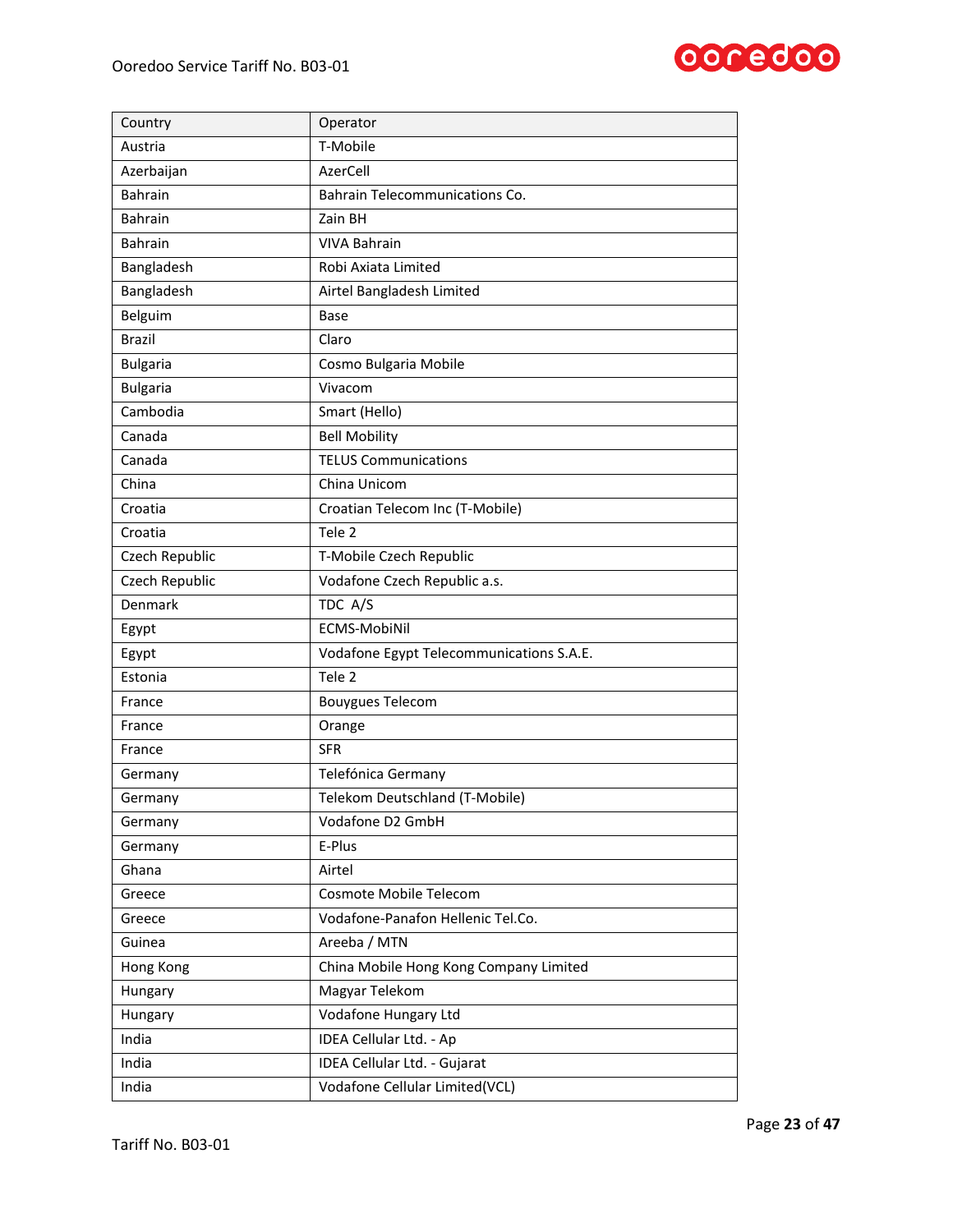

| Country         | Operator                                 |
|-----------------|------------------------------------------|
| Austria         | T-Mobile                                 |
| Azerbaijan      | AzerCell                                 |
| <b>Bahrain</b>  | Bahrain Telecommunications Co.           |
| <b>Bahrain</b>  | Zain BH                                  |
| <b>Bahrain</b>  | <b>VIVA Bahrain</b>                      |
| Bangladesh      | Robi Axiata Limited                      |
| Bangladesh      | Airtel Bangladesh Limited                |
| Belguim         | Base                                     |
| <b>Brazil</b>   | Claro                                    |
| <b>Bulgaria</b> | Cosmo Bulgaria Mobile                    |
| <b>Bulgaria</b> | Vivacom                                  |
| Cambodia        | Smart (Hello)                            |
| Canada          | <b>Bell Mobility</b>                     |
| Canada          | <b>TELUS Communications</b>              |
| China           | China Unicom                             |
| Croatia         | Croatian Telecom Inc (T-Mobile)          |
| Croatia         | Tele <sub>2</sub>                        |
| Czech Republic  | T-Mobile Czech Republic                  |
| Czech Republic  | Vodafone Czech Republic a.s.             |
| Denmark         | TDC A/S                                  |
| Egypt           | ECMS-MobiNil                             |
| Egypt           | Vodafone Egypt Telecommunications S.A.E. |
| Estonia         | Tele <sub>2</sub>                        |
| France          | <b>Bouygues Telecom</b>                  |
| France          | Orange                                   |
| France          | <b>SFR</b>                               |
| Germany         | Telefónica Germany                       |
| Germany         | Telekom Deutschland (T-Mobile)           |
| Germany         | Vodafone D2 GmbH                         |
| Germany         | E-Plus                                   |
| Ghana           | Airtel                                   |
| Greece          | Cosmote Mobile Telecom                   |
| Greece          | Vodafone-Panafon Hellenic Tel.Co.        |
| Guinea          | Areeba / MTN                             |
| Hong Kong       | China Mobile Hong Kong Company Limited   |
| Hungary         | Magyar Telekom                           |
| Hungary         | Vodafone Hungary Ltd                     |
| India           | IDEA Cellular Ltd. - Ap                  |
| India           | IDEA Cellular Ltd. - Gujarat             |
| India           | Vodafone Cellular Limited(VCL)           |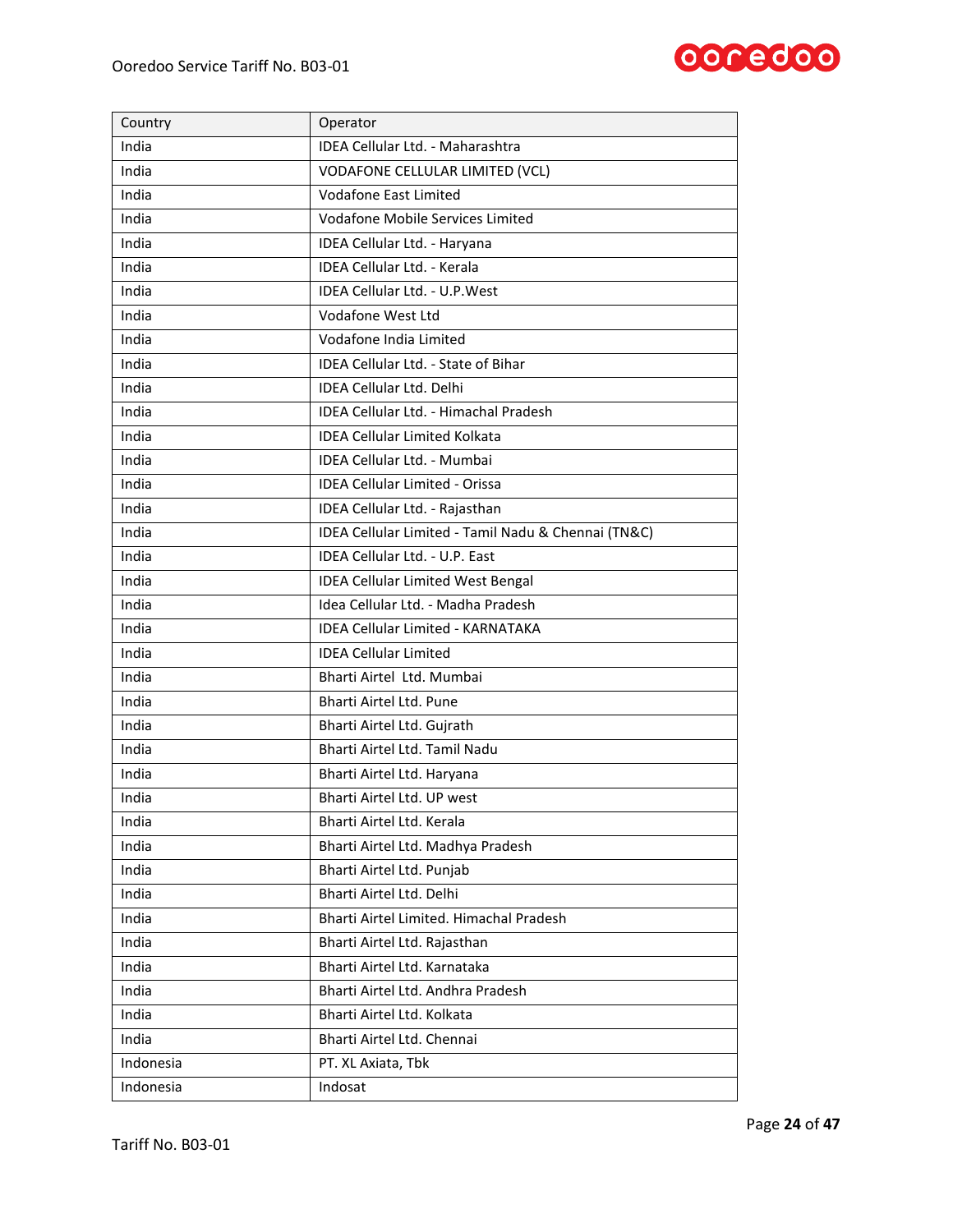

| Country   | Operator                                            |
|-----------|-----------------------------------------------------|
| India     | IDEA Cellular Ltd. - Maharashtra                    |
| India     | VODAFONE CELLULAR LIMITED (VCL)                     |
| India     | Vodafone East Limited                               |
| India     | <b>Vodafone Mobile Services Limited</b>             |
| India     | IDEA Cellular Ltd. - Haryana                        |
| India     | <b>IDEA Cellular Ltd. - Kerala</b>                  |
| India     | <b>IDEA Cellular Ltd. - U.P. West</b>               |
| India     | Vodafone West Ltd                                   |
| India     | Vodafone India Limited                              |
| India     | IDEA Cellular Ltd. - State of Bihar                 |
| India     | <b>IDEA Cellular Ltd. Delhi</b>                     |
| India     | IDEA Cellular Ltd. - Himachal Pradesh               |
| India     | <b>IDEA Cellular Limited Kolkata</b>                |
| India     | IDEA Cellular Ltd. - Mumbai                         |
| India     | <b>IDEA Cellular Limited - Orissa</b>               |
| India     | IDEA Cellular Ltd. - Rajasthan                      |
| India     | IDEA Cellular Limited - Tamil Nadu & Chennai (TN&C) |
| India     | IDEA Cellular Ltd. - U.P. East                      |
| India     | <b>IDEA Cellular Limited West Bengal</b>            |
| India     | Idea Cellular Ltd. - Madha Pradesh                  |
| India     | <b>IDEA Cellular Limited - KARNATAKA</b>            |
| India     | <b>IDEA Cellular Limited</b>                        |
| India     | Bharti Airtel Ltd. Mumbai                           |
| India     | Bharti Airtel Ltd. Pune                             |
| India     | Bharti Airtel Ltd. Gujrath                          |
| India     | Bharti Airtel Ltd. Tamil Nadu                       |
| India     | Bharti Airtel Ltd. Haryana                          |
| India     | Bharti Airtel Ltd. UP west                          |
| India     | Bharti Airtel Ltd. Kerala                           |
| India     | Bharti Airtel Ltd. Madhya Pradesh                   |
| India     | Bharti Airtel Ltd. Punjab                           |
| India     | Bharti Airtel Ltd. Delhi                            |
| India     | Bharti Airtel Limited. Himachal Pradesh             |
| India     | Bharti Airtel Ltd. Rajasthan                        |
| India     | Bharti Airtel Ltd. Karnataka                        |
| India     | Bharti Airtel Ltd. Andhra Pradesh                   |
| India     | Bharti Airtel Ltd. Kolkata                          |
| India     | Bharti Airtel Ltd. Chennai                          |
| Indonesia | PT. XL Axiata, Tbk                                  |
| Indonesia | Indosat                                             |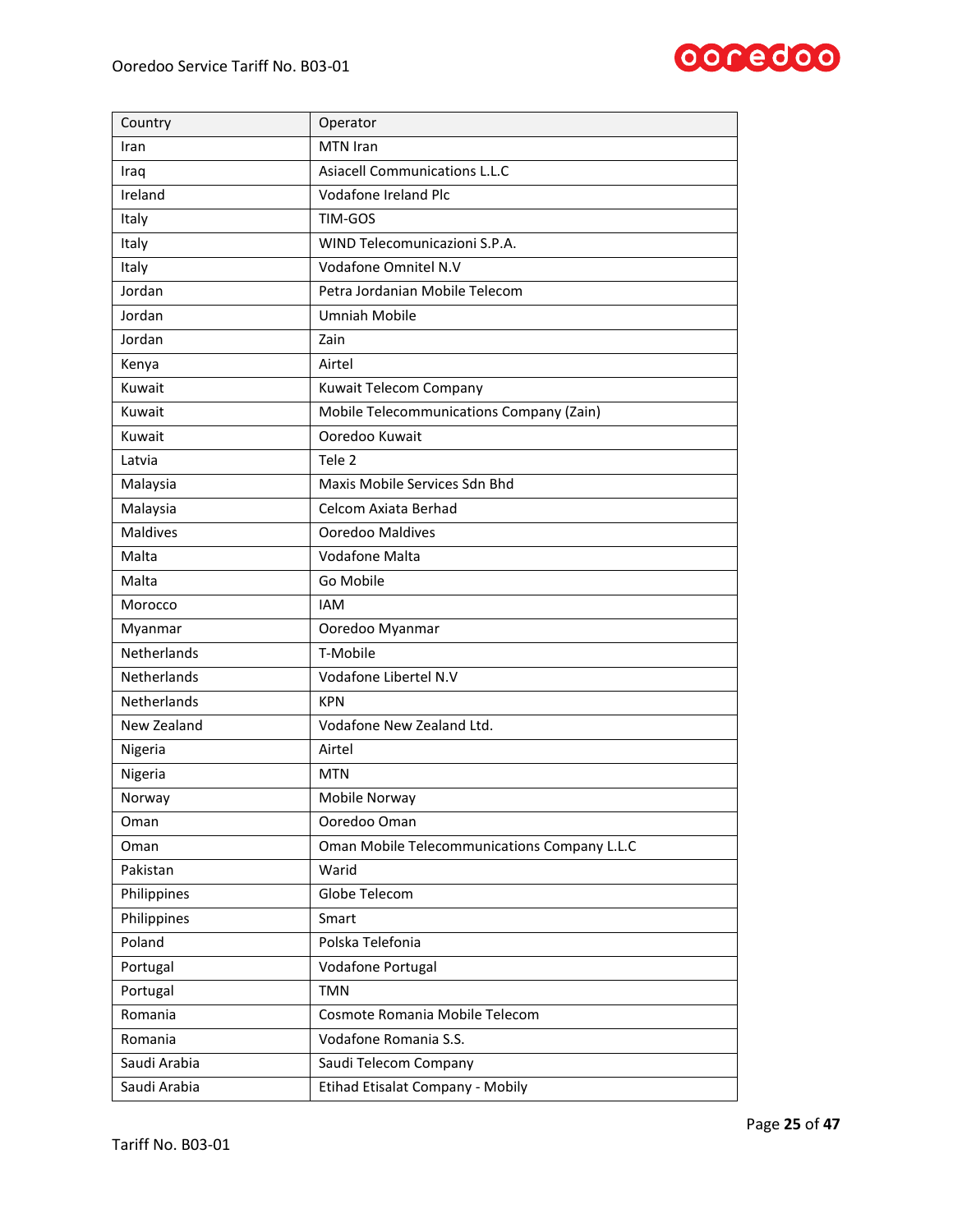

| Country            | Operator                                     |
|--------------------|----------------------------------------------|
| Iran               | MTN Iran                                     |
| Iraq               | Asiacell Communications L.L.C                |
| Ireland            | Vodafone Ireland Plc                         |
| Italy              | TIM-GOS                                      |
| Italy              | WIND Telecomunicazioni S.P.A.                |
| Italy              | Vodafone Omnitel N.V                         |
| Jordan             | Petra Jordanian Mobile Telecom               |
| Jordan             | <b>Umniah Mobile</b>                         |
| Jordan             | Zain                                         |
| Kenya              | Airtel                                       |
| Kuwait             | Kuwait Telecom Company                       |
| Kuwait             | Mobile Telecommunications Company (Zain)     |
| Kuwait             | Ooredoo Kuwait                               |
| Latvia             | Tele 2                                       |
| Malaysia           | Maxis Mobile Services Sdn Bhd                |
| Malaysia           | Celcom Axiata Berhad                         |
| <b>Maldives</b>    | Ooredoo Maldives                             |
| Malta              | Vodafone Malta                               |
| Malta              | Go Mobile                                    |
| Morocco            | <b>IAM</b>                                   |
| Myanmar            | Ooredoo Myanmar                              |
| Netherlands        | T-Mobile                                     |
| Netherlands        | Vodafone Libertel N.V                        |
| <b>Netherlands</b> | <b>KPN</b>                                   |
| New Zealand        | Vodafone New Zealand Ltd.                    |
| Nigeria            | Airtel                                       |
| Nigeria            | <b>MTN</b>                                   |
| Norway             | Mobile Norway                                |
| Oman               | Ooredoo Oman                                 |
| Oman               | Oman Mobile Telecommunications Company L.L.C |
| Pakistan           | Warid                                        |
| Philippines        | Globe Telecom                                |
| Philippines        | Smart                                        |
| Poland             | Polska Telefonia                             |
| Portugal           | Vodafone Portugal                            |
| Portugal           | <b>TMN</b>                                   |
| Romania            | Cosmote Romania Mobile Telecom               |
| Romania            | Vodafone Romania S.S.                        |
| Saudi Arabia       | Saudi Telecom Company                        |
| Saudi Arabia       | Etihad Etisalat Company - Mobily             |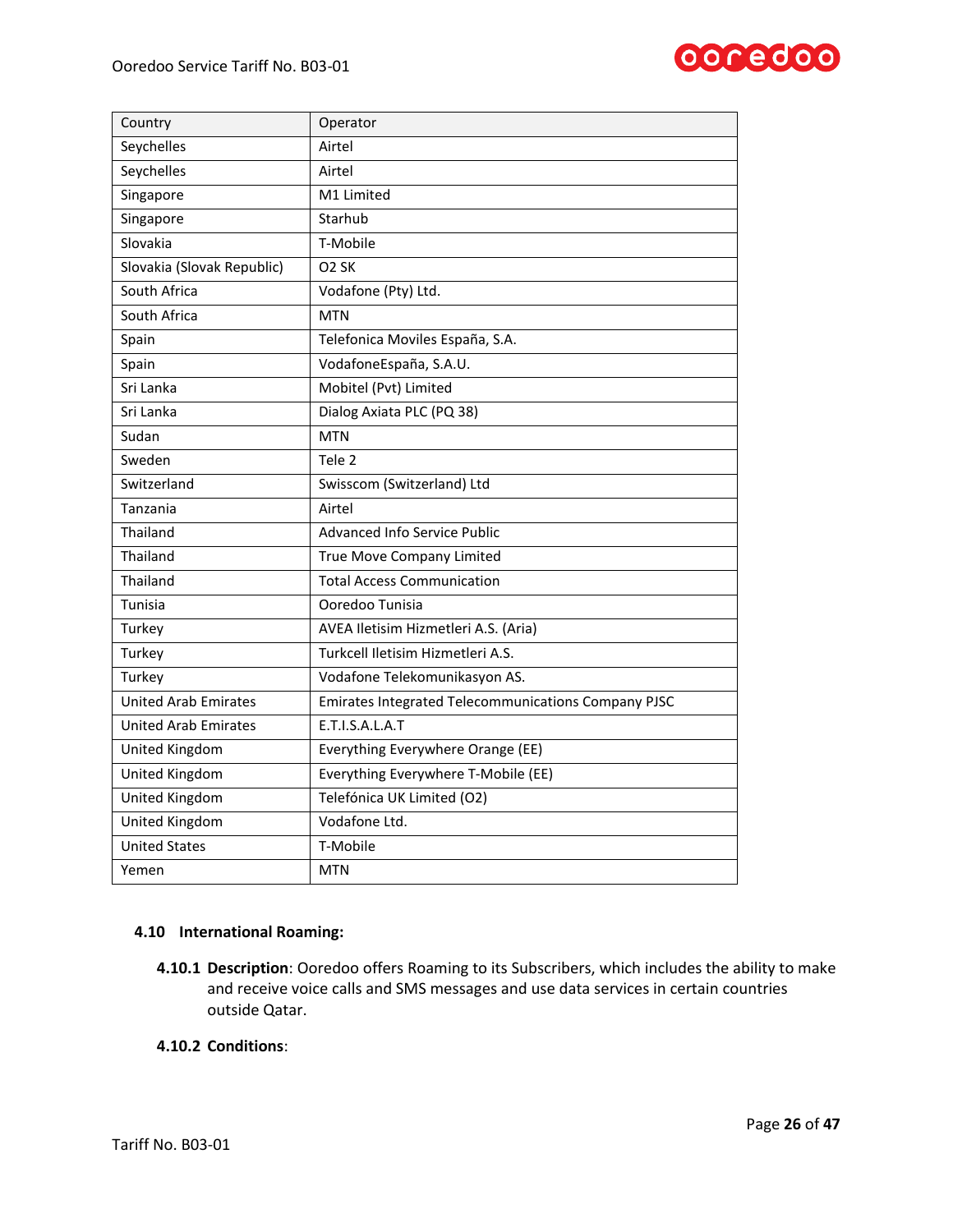

| Country                     | Operator                                            |
|-----------------------------|-----------------------------------------------------|
| Seychelles                  | Airtel                                              |
| Seychelles                  | Airtel                                              |
| Singapore                   | M1 Limited                                          |
| Singapore                   | Starhub                                             |
| Slovakia                    | T-Mobile                                            |
| Slovakia (Slovak Republic)  | O <sub>2</sub> SK                                   |
| South Africa                | Vodafone (Pty) Ltd.                                 |
| South Africa                | <b>MTN</b>                                          |
| Spain                       | Telefonica Moviles España, S.A.                     |
| Spain                       | VodafoneEspaña, S.A.U.                              |
| Sri Lanka                   | Mobitel (Pvt) Limited                               |
| Sri Lanka                   | Dialog Axiata PLC (PQ 38)                           |
| Sudan                       | <b>MTN</b>                                          |
| Sweden                      | Tele <sub>2</sub>                                   |
| Switzerland                 | Swisscom (Switzerland) Ltd                          |
| Tanzania                    | Airtel                                              |
| Thailand                    | <b>Advanced Info Service Public</b>                 |
| Thailand                    | True Move Company Limited                           |
| Thailand                    | <b>Total Access Communication</b>                   |
| Tunisia                     | Ooredoo Tunisia                                     |
| Turkey                      | AVEA Iletisim Hizmetleri A.S. (Aria)                |
| Turkey                      | Turkcell Iletisim Hizmetleri A.S.                   |
| Turkey                      | Vodafone Telekomunikasyon AS.                       |
| <b>United Arab Emirates</b> | Emirates Integrated Telecommunications Company PJSC |
| <b>United Arab Emirates</b> | E.T.I.S.A.L.A.T                                     |
| United Kingdom              | Everything Everywhere Orange (EE)                   |
| United Kingdom              | Everything Everywhere T-Mobile (EE)                 |
| United Kingdom              | Telefónica UK Limited (O2)                          |
| United Kingdom              | Vodafone Ltd.                                       |
| <b>United States</b>        | T-Mobile                                            |
| Yemen                       | <b>MTN</b>                                          |

# **4.10 International Roaming:**

**4.10.1 Description**: Ooredoo offers Roaming to its Subscribers, which includes the ability to make and receive voice calls and SMS messages and use data services in certain countries outside Qatar.

# **4.10.2 Conditions**: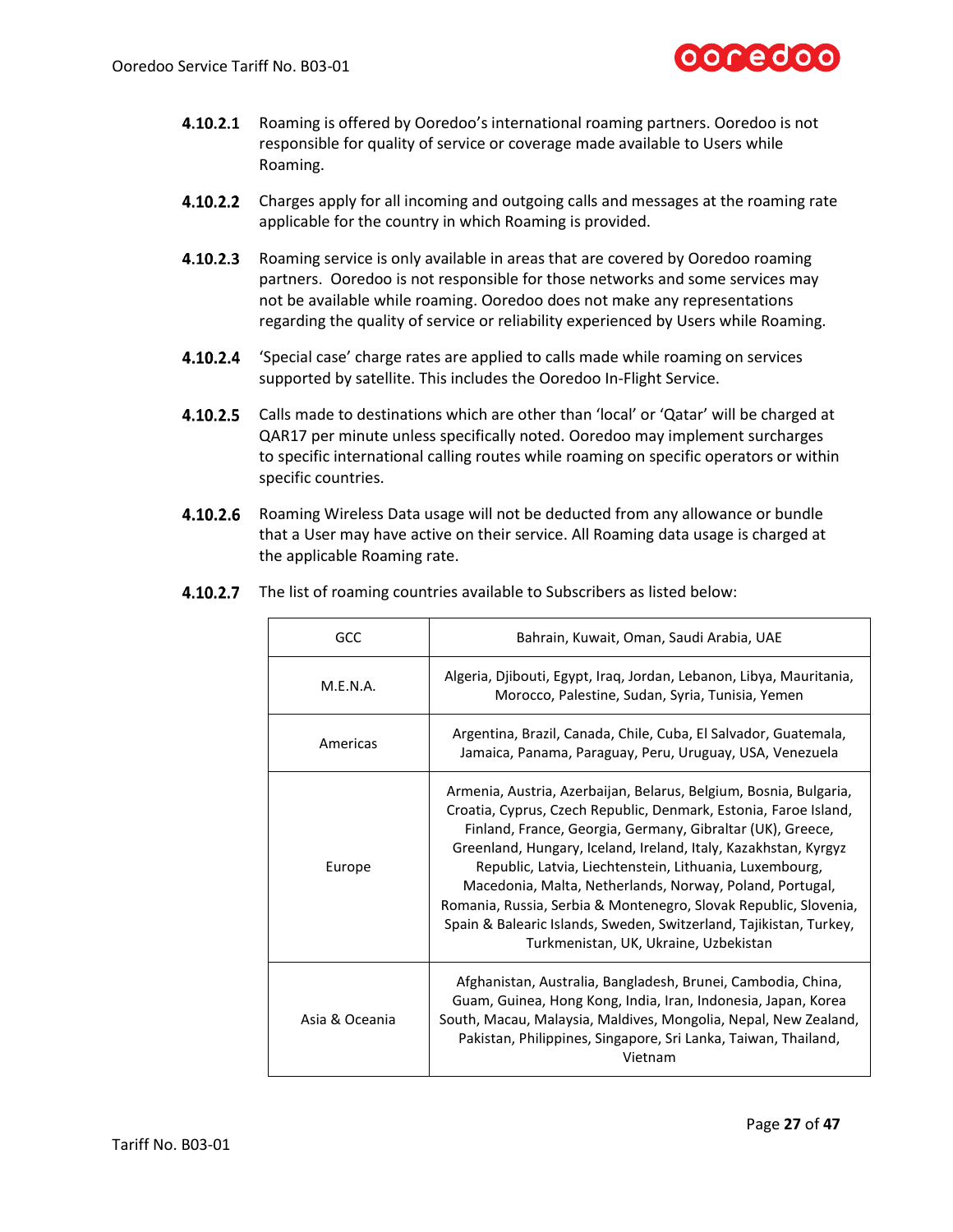

- 4.10.2.1 Roaming is offered by Ooredoo's international roaming partners. Ooredoo is not responsible for quality of service or coverage made available to Users while Roaming.
- **4.10.2.2** Charges apply for all incoming and outgoing calls and messages at the roaming rate applicable for the country in which Roaming is provided.
- 4.10.2.3 Roaming service is only available in areas that are covered by Ooredoo roaming partners. Ooredoo is not responsible for those networks and some services may not be available while roaming. Ooredoo does not make any representations regarding the quality of service or reliability experienced by Users while Roaming.
- $4.10.2.4$ 'Special case' charge rates are applied to calls made while roaming on services supported by satellite. This includes the Ooredoo In-Flight Service.
- **4.10.2.5** Calls made to destinations which are other than 'local' or 'Qatar' will be charged at QAR17 per minute unless specifically noted. Ooredoo may implement surcharges to specific international calling routes while roaming on specific operators or within specific countries.
- 4.10.2.6 Roaming Wireless Data usage will not be deducted from any allowance or bundle that a User may have active on their service. All Roaming data usage is charged at the applicable Roaming rate.

| GCC            | Bahrain, Kuwait, Oman, Saudi Arabia, UAE                                                                                                                                                                                                                                                                                                                                                                                                                                                                                                                                         |
|----------------|----------------------------------------------------------------------------------------------------------------------------------------------------------------------------------------------------------------------------------------------------------------------------------------------------------------------------------------------------------------------------------------------------------------------------------------------------------------------------------------------------------------------------------------------------------------------------------|
| M.E.N.A.       | Algeria, Djibouti, Egypt, Iraq, Jordan, Lebanon, Libya, Mauritania,<br>Morocco, Palestine, Sudan, Syria, Tunisia, Yemen                                                                                                                                                                                                                                                                                                                                                                                                                                                          |
| Americas       | Argentina, Brazil, Canada, Chile, Cuba, El Salvador, Guatemala,<br>Jamaica, Panama, Paraguay, Peru, Uruguay, USA, Venezuela                                                                                                                                                                                                                                                                                                                                                                                                                                                      |
| Europe         | Armenia, Austria, Azerbaijan, Belarus, Belgium, Bosnia, Bulgaria,<br>Croatia, Cyprus, Czech Republic, Denmark, Estonia, Faroe Island,<br>Finland, France, Georgia, Germany, Gibraltar (UK), Greece,<br>Greenland, Hungary, Iceland, Ireland, Italy, Kazakhstan, Kyrgyz<br>Republic, Latvia, Liechtenstein, Lithuania, Luxembourg,<br>Macedonia, Malta, Netherlands, Norway, Poland, Portugal,<br>Romania, Russia, Serbia & Montenegro, Slovak Republic, Slovenia,<br>Spain & Balearic Islands, Sweden, Switzerland, Tajikistan, Turkey,<br>Turkmenistan, UK, Ukraine, Uzbekistan |
| Asia & Oceania | Afghanistan, Australia, Bangladesh, Brunei, Cambodia, China,<br>Guam, Guinea, Hong Kong, India, Iran, Indonesia, Japan, Korea<br>South, Macau, Malaysia, Maldives, Mongolia, Nepal, New Zealand,<br>Pakistan, Philippines, Singapore, Sri Lanka, Taiwan, Thailand,<br>Vietnam                                                                                                                                                                                                                                                                                                    |

4.10.2.7 The list of roaming countries available to Subscribers as listed below: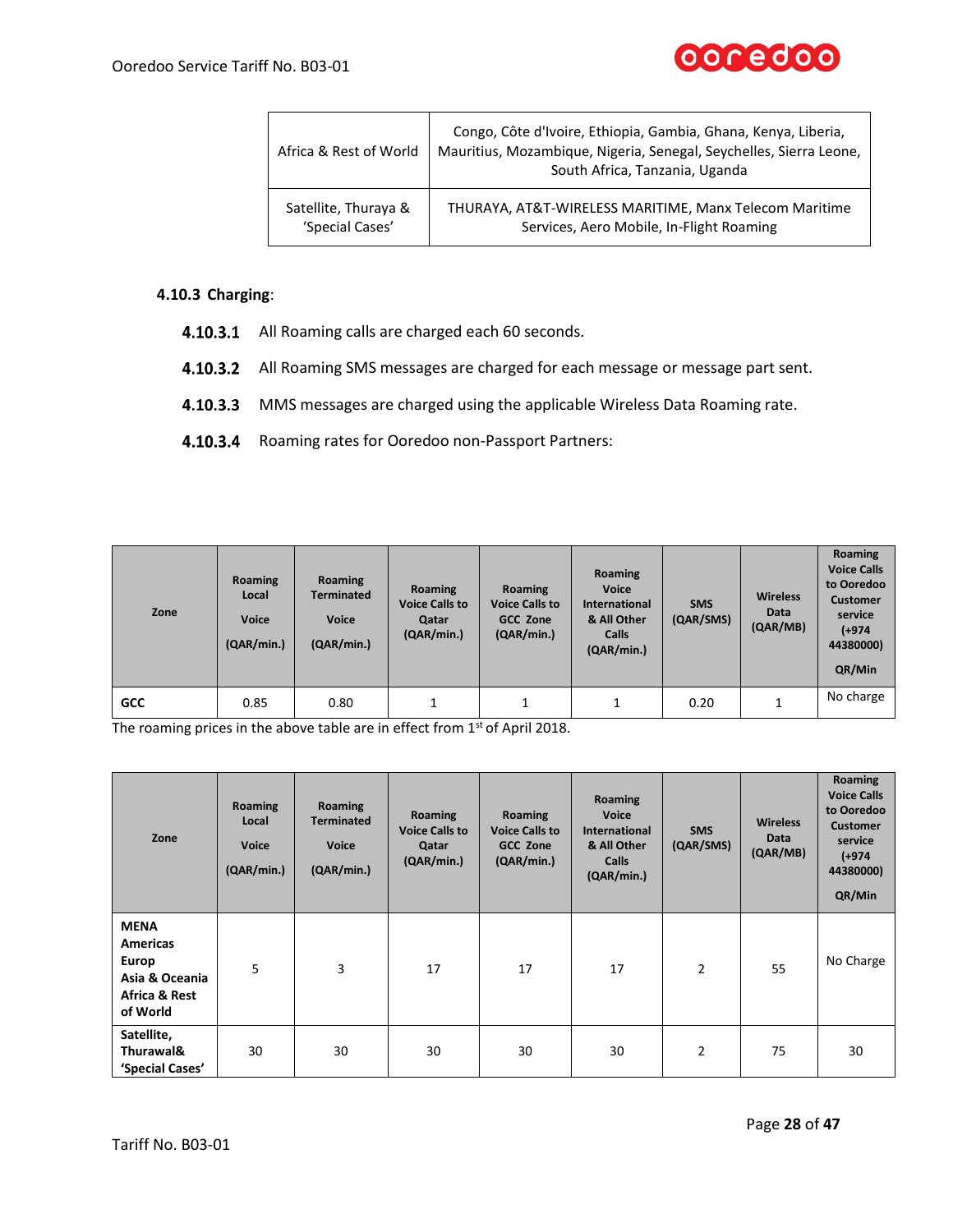

| Africa & Rest of World | Congo, Côte d'Ivoire, Ethiopia, Gambia, Ghana, Kenya, Liberia,<br>Mauritius, Mozambique, Nigeria, Senegal, Seychelles, Sierra Leone,<br>South Africa, Tanzania, Uganda |
|------------------------|------------------------------------------------------------------------------------------------------------------------------------------------------------------------|
| Satellite, Thuraya &   | THURAYA, AT&T-WIRELESS MARITIME, Manx Telecom Maritime                                                                                                                 |
| 'Special Cases'        | Services, Aero Mobile, In-Flight Roaming                                                                                                                               |

### **4.10.3 Charging**:

- 4.10.3.1 All Roaming calls are charged each 60 seconds.
- 4.10.3.2 All Roaming SMS messages are charged for each message or message part sent.
- 4.10.3.3 MMS messages are charged using the applicable Wireless Data Roaming rate.
- 4.10.3.4 Roaming rates for Ooredoo non-Passport Partners:

| Zone       | Roaming<br>Local<br><b>Voice</b><br>(QAR/min.) | Roaming<br><b>Terminated</b><br><b>Voice</b><br>(QAR/min.) | Roaming<br><b>Voice Calls to</b><br>Qatar<br>(QAR/min.) | Roaming<br><b>Voice Calls to</b><br><b>GCC Zone</b><br>(QAR/min.) | Roaming<br><b>Voice</b><br><b>International</b><br>& All Other<br>Calls<br>(QAR/min.) | <b>SMS</b><br>(QAR/SMS) | <b>Wireless</b><br>Data<br>(QAR/MB) | Roaming<br><b>Voice Calls</b><br>to Ooredoo<br><b>Customer</b><br>service<br>$(+974)$<br>44380000)<br>QR/Min |
|------------|------------------------------------------------|------------------------------------------------------------|---------------------------------------------------------|-------------------------------------------------------------------|---------------------------------------------------------------------------------------|-------------------------|-------------------------------------|--------------------------------------------------------------------------------------------------------------|
| <b>GCC</b> | 0.85                                           | 0.80                                                       |                                                         |                                                                   |                                                                                       | 0.20                    |                                     | No charge                                                                                                    |

The roaming prices in the above table are in effect from 1<sup>st</sup> of April 2018.

| Zone                                                                                   | Roaming<br>Local<br><b>Voice</b><br>(QAR/min.) | Roaming<br><b>Terminated</b><br><b>Voice</b><br>(QAR/min.) | Roaming<br><b>Voice Calls to</b><br>Qatar<br>(QAR/min.) | Roaming<br><b>Voice Calls to</b><br><b>GCC Zone</b><br>(QAR/min.) | Roaming<br><b>Voice</b><br><b>International</b><br>& All Other<br>Calls<br>(QAR/min.) | <b>SMS</b><br>(QAR/SMS) | <b>Wireless</b><br>Data<br>(QAR/MB) | Roaming<br><b>Voice Calls</b><br>to Ooredoo<br><b>Customer</b><br>service<br>(+974<br>44380000)<br>QR/Min |
|----------------------------------------------------------------------------------------|------------------------------------------------|------------------------------------------------------------|---------------------------------------------------------|-------------------------------------------------------------------|---------------------------------------------------------------------------------------|-------------------------|-------------------------------------|-----------------------------------------------------------------------------------------------------------|
| <b>MENA</b><br><b>Americas</b><br>Europ<br>Asia & Oceania<br>Africa & Rest<br>of World | 5                                              | 3                                                          | 17                                                      | 17                                                                | 17                                                                                    | $\overline{2}$          | 55                                  | No Charge                                                                                                 |
| Satellite,<br>Thurawal&<br>'Special Cases'                                             | 30                                             | 30                                                         | 30                                                      | 30                                                                | 30                                                                                    | 2                       | 75                                  | 30                                                                                                        |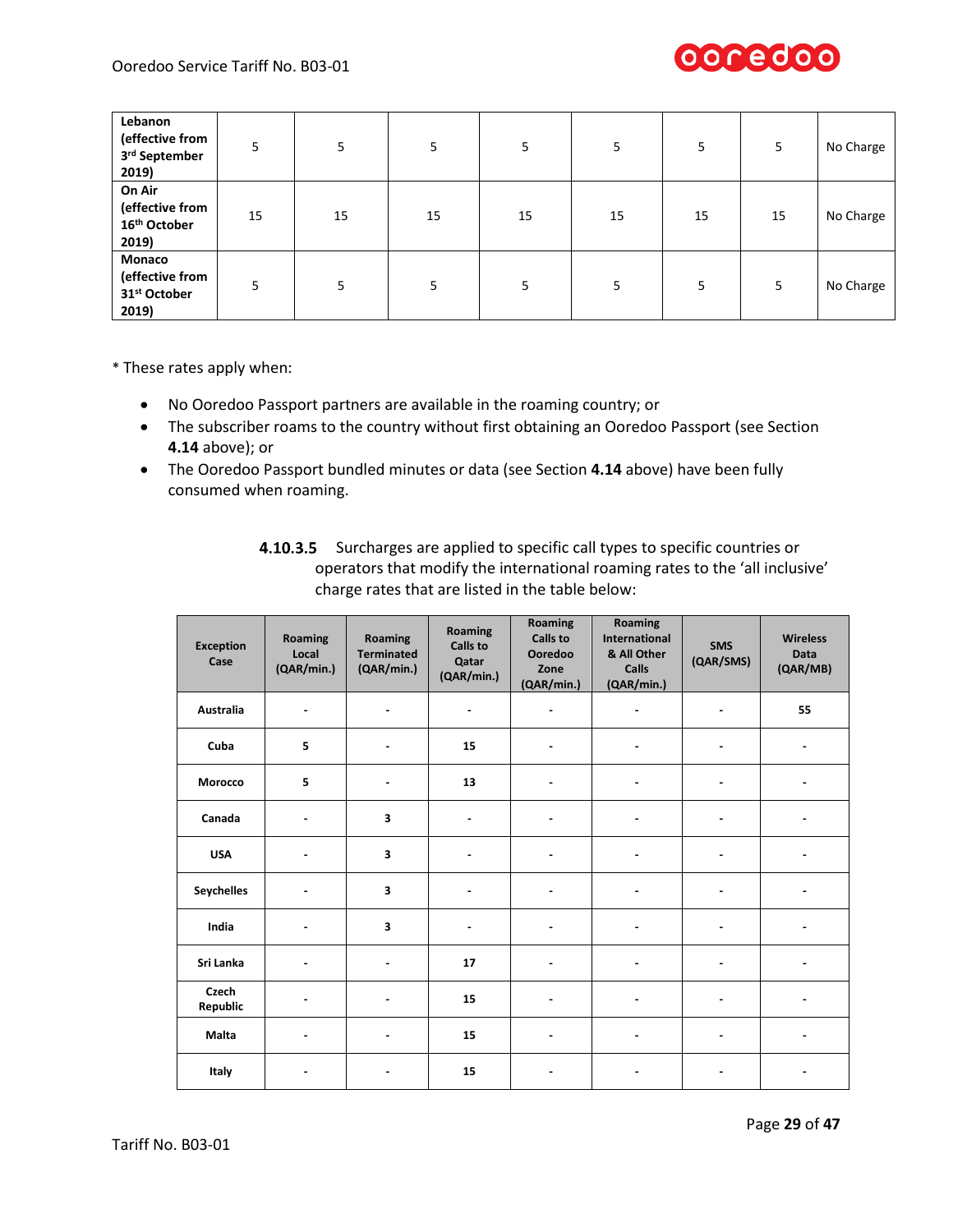

| Lebanon<br>(effective from<br>3rd September<br>2019)           | 5  | 5  | 5  | 5  | 5  | 5  | 5  | No Charge |
|----------------------------------------------------------------|----|----|----|----|----|----|----|-----------|
| On Air<br>(effective from<br>16th October<br>2019)             | 15 | 15 | 15 | 15 | 15 | 15 | 15 | No Charge |
| Monaco<br>(effective from<br>31 <sup>st</sup> October<br>2019) | 5  | 5  | 5  |    | 5  | 5  | 5  | No Charge |

\* These rates apply when:

- No Ooredoo Passport partners are available in the roaming country; or
- The subscriber roams to the country without first obtaining an Ooredoo Passport (see Section **4.14** above); or
- The Ooredoo Passport bundled minutes or data (see Section **4.14** above) have been fully consumed when roaming.

| 4.10.3.5 Surcharges are applied to specific call types to specific countries or |
|---------------------------------------------------------------------------------|
| operators that modify the international roaming rates to the 'all inclusive'    |
| charge rates that are listed in the table below:                                |

| <b>Exception</b><br>Case | Roaming<br>Local<br>(QAR/min.) | Roaming<br><b>Terminated</b><br>(QAR/min.) | Roaming<br><b>Calls to</b><br>Qatar<br>(QAR/min.) | <b>Roaming</b><br><b>Calls to</b><br>Ooredoo<br>Zone<br>(QAR/min.) | Roaming<br><b>International</b><br>& All Other<br><b>Calls</b><br>(QAR/min.) | <b>SMS</b><br>(QAR/SMS)  | <b>Wireless</b><br><b>Data</b><br>(QAR/MB) |
|--------------------------|--------------------------------|--------------------------------------------|---------------------------------------------------|--------------------------------------------------------------------|------------------------------------------------------------------------------|--------------------------|--------------------------------------------|
| Australia                |                                |                                            | $\qquad \qquad \blacksquare$                      |                                                                    |                                                                              | $\blacksquare$           | 55                                         |
| Cuba                     | 5                              |                                            | 15                                                |                                                                    |                                                                              | $\blacksquare$           |                                            |
| Morocco                  | 5                              | $\blacksquare$                             | 13                                                | $\blacksquare$                                                     | $\blacksquare$                                                               | $\blacksquare$           |                                            |
| Canada                   |                                | 3                                          | $\overline{\phantom{0}}$                          |                                                                    |                                                                              | $\blacksquare$           |                                            |
| <b>USA</b>               |                                | 3                                          | $\blacksquare$                                    |                                                                    |                                                                              | $\blacksquare$           |                                            |
| <b>Seychelles</b>        | $\qquad \qquad \blacksquare$   | 3                                          | $\overline{\phantom{0}}$                          | ٠                                                                  | $\blacksquare$                                                               | $\blacksquare$           |                                            |
| India                    | ۰                              | $\overline{\mathbf{3}}$                    | $\overline{\phantom{0}}$                          | $\blacksquare$                                                     |                                                                              | $\overline{\phantom{a}}$ |                                            |
| Sri Lanka                |                                |                                            | 17                                                |                                                                    |                                                                              | $\blacksquare$           |                                            |
| Czech<br>Republic        |                                |                                            | 15                                                |                                                                    |                                                                              | $\blacksquare$           |                                            |
| Malta                    | $\blacksquare$                 | $\blacksquare$                             | 15                                                | ۰                                                                  | $\blacksquare$                                                               | $\blacksquare$           |                                            |
| Italy                    |                                |                                            | 15                                                |                                                                    |                                                                              | $\blacksquare$           |                                            |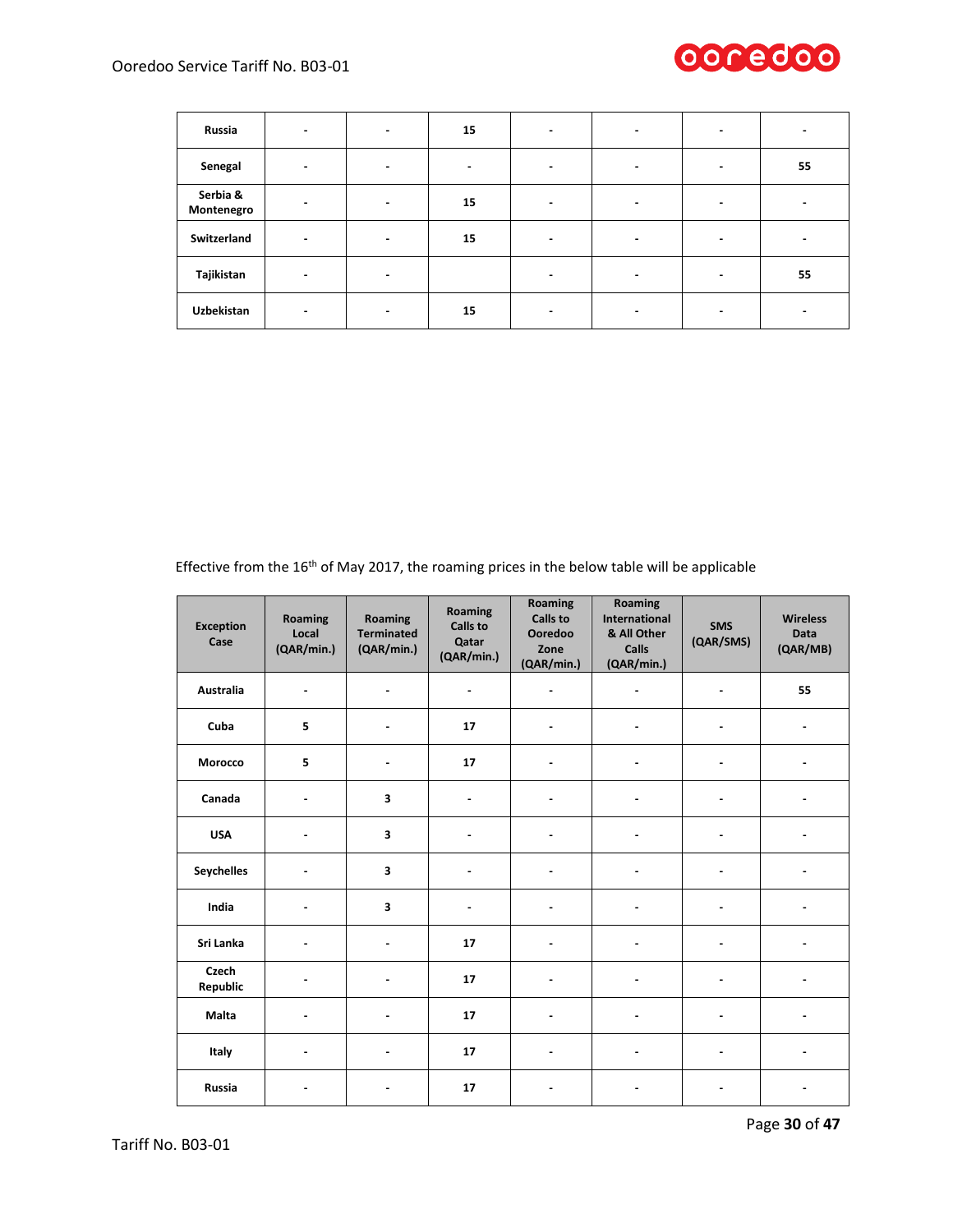

| Russia                 | $\blacksquare$               | $\overline{\phantom{a}}$ | 15             | $\overline{\phantom{a}}$ | $\,$ $\,$                | $\blacksquare$ |    |
|------------------------|------------------------------|--------------------------|----------------|--------------------------|--------------------------|----------------|----|
| Senegal                | ٠                            | $\blacksquare$           | $\blacksquare$ | $\overline{\phantom{0}}$ |                          | ٠              | 55 |
| Serbia &<br>Montenegro | $\blacksquare$               | $\blacksquare$           | 15             | $\overline{\phantom{0}}$ | $\,$                     | $\blacksquare$ |    |
| Switzerland            | $\qquad \qquad \blacksquare$ | $\blacksquare$           | 15             |                          |                          | ۰              |    |
| Tajikistan             | $\blacksquare$               | $\overline{\phantom{a}}$ |                | ۰                        | $\overline{\phantom{0}}$ | $\blacksquare$ | 55 |
| Uzbekistan             | $\blacksquare$               | $\overline{\phantom{0}}$ | 15             |                          |                          | $\,$           |    |

Effective from the 16<sup>th</sup> of May 2017, the roaming prices in the below table will be applicable

| <b>Exception</b><br>Case | Roaming<br>Local<br>(QAR/min.) | Roaming<br><b>Terminated</b><br>(QAR/min.) | Roaming<br><b>Calls to</b><br>Qatar<br>(QAR/min.) | Roaming<br><b>Calls to</b><br>Ooredoo<br>Zone<br>(QAR/min.) | Roaming<br><b>International</b><br>& All Other<br>Calls<br>(QAR/min.) | <b>SMS</b><br>(QAR/SMS) | <b>Wireless</b><br>Data<br>(QAR/MB) |
|--------------------------|--------------------------------|--------------------------------------------|---------------------------------------------------|-------------------------------------------------------------|-----------------------------------------------------------------------|-------------------------|-------------------------------------|
| Australia                | $\blacksquare$                 | $\blacksquare$                             | $\blacksquare$                                    | $\blacksquare$                                              | $\blacksquare$                                                        | ä,                      | 55                                  |
| Cuba                     | 5                              |                                            | 17                                                |                                                             |                                                                       | ä,                      |                                     |
| Morocco                  | 5                              |                                            | 17                                                |                                                             |                                                                       |                         |                                     |
| Canada                   | $\blacksquare$                 | $\overline{\mathbf{3}}$                    | $\blacksquare$                                    |                                                             |                                                                       | ä,                      |                                     |
| <b>USA</b>               | $\overline{\phantom{a}}$       | 3                                          | $\blacksquare$                                    |                                                             |                                                                       | ٠                       |                                     |
| <b>Seychelles</b>        | $\blacksquare$                 | 3                                          |                                                   |                                                             |                                                                       |                         |                                     |
| India                    |                                | 3                                          | $\blacksquare$                                    |                                                             |                                                                       |                         |                                     |
| Sri Lanka                | $\blacksquare$                 | $\overline{a}$                             | 17                                                |                                                             | $\blacksquare$                                                        | ä,                      |                                     |
| Czech<br>Republic        |                                |                                            | 17                                                |                                                             |                                                                       |                         |                                     |
| Malta                    |                                |                                            | 17                                                |                                                             |                                                                       |                         |                                     |
| Italy                    | $\blacksquare$                 |                                            | 17                                                |                                                             | $\blacksquare$                                                        | ä,                      |                                     |
| <b>Russia</b>            | $\overline{\phantom{a}}$       |                                            | 17                                                |                                                             |                                                                       | ٠                       |                                     |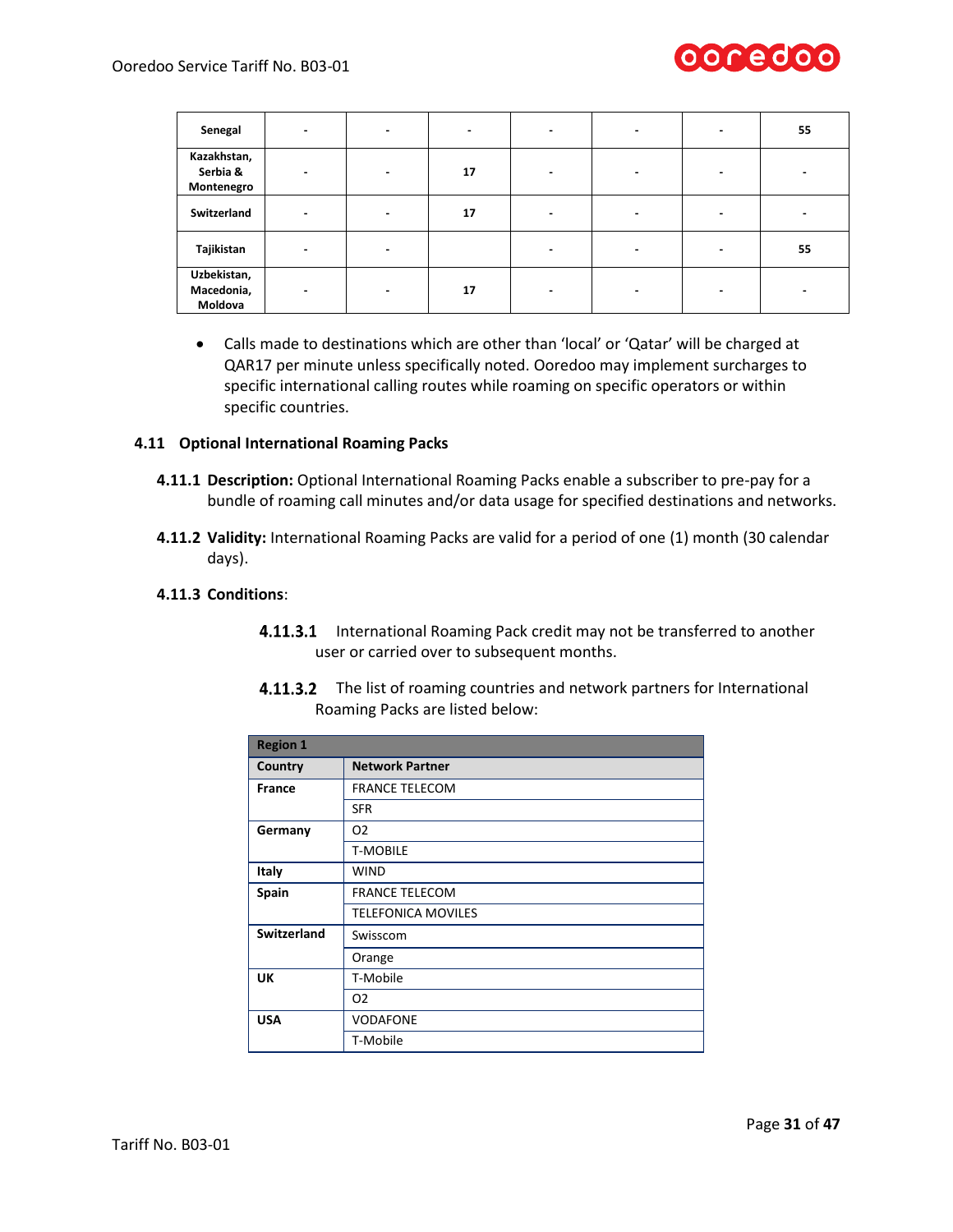

| Senegal                               | $\blacksquare$ | $\blacksquare$           | $\blacksquare$ | $\,$ | $\,$                     | $\blacksquare$           | 55 |
|---------------------------------------|----------------|--------------------------|----------------|------|--------------------------|--------------------------|----|
| Kazakhstan,<br>Serbia &<br>Montenegro | $\blacksquare$ | $\overline{\phantom{0}}$ | 17             |      | -                        | $\,$                     |    |
| Switzerland                           | $\blacksquare$ | $\overline{\phantom{0}}$ | 17             |      | -                        | $\overline{\phantom{0}}$ |    |
| Tajikistan                            | $\blacksquare$ | $\overline{\phantom{0}}$ |                |      |                          | $\blacksquare$           | 55 |
| Uzbekistan,<br>Macedonia,<br>Moldova  | $\blacksquare$ | $\overline{\phantom{0}}$ | 17             |      | $\overline{\phantom{0}}$ | -                        |    |

• Calls made to destinations which are other than 'local' or 'Qatar' will be charged at QAR17 per minute unless specifically noted. Ooredoo may implement surcharges to specific international calling routes while roaming on specific operators or within specific countries.

### **4.11 Optional International Roaming Packs**

- **4.11.1 Description:** Optional International Roaming Packs enable a subscriber to pre-pay for a bundle of roaming call minutes and/or data usage for specified destinations and networks.
- **4.11.2 Validity:** International Roaming Packs are valid for a period of one (1) month (30 calendar days).

### **4.11.3 Conditions**:

**4.11.3.1** International Roaming Pack credit may not be transferred to another user or carried over to subsequent months.

| <b>Region 1</b>    |                           |  |  |  |
|--------------------|---------------------------|--|--|--|
| Country            | <b>Network Partner</b>    |  |  |  |
| <b>France</b>      | <b>FRANCE TELECOM</b>     |  |  |  |
|                    | <b>SFR</b>                |  |  |  |
| Germany            | O <sub>2</sub>            |  |  |  |
|                    | <b>T-MOBILE</b>           |  |  |  |
| Italy              | <b>WIND</b>               |  |  |  |
| Spain              | <b>FRANCE TELECOM</b>     |  |  |  |
|                    | <b>TELEFONICA MOVILES</b> |  |  |  |
| <b>Switzerland</b> | Swisscom                  |  |  |  |
|                    | Orange                    |  |  |  |
| UK                 | T-Mobile                  |  |  |  |
|                    | O <sub>2</sub>            |  |  |  |
| <b>USA</b>         | <b>VODAFONE</b>           |  |  |  |
|                    | T-Mobile                  |  |  |  |

4.11.3.2 The list of roaming countries and network partners for International Roaming Packs are listed below: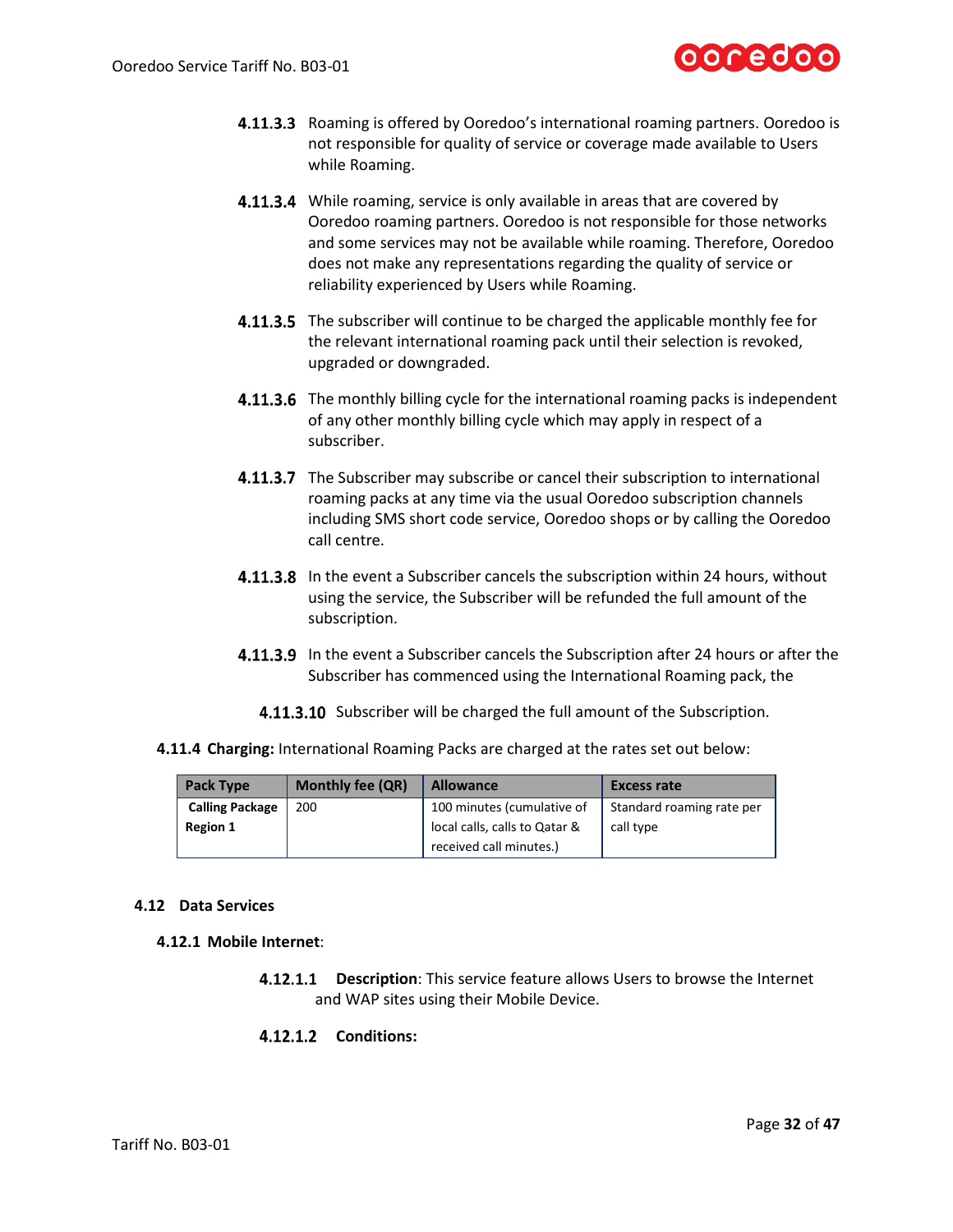

- **4.11.3.3** Roaming is offered by Ooredoo's international roaming partners. Ooredoo is not responsible for quality of service or coverage made available to Users while Roaming.
- **4.11.3.4** While roaming, service is only available in areas that are covered by Ooredoo roaming partners. Ooredoo is not responsible for those networks and some services may not be available while roaming. Therefore, Ooredoo does not make any representations regarding the quality of service or reliability experienced by Users while Roaming.
- 4.11.3.5 The subscriber will continue to be charged the applicable monthly fee for the relevant international roaming pack until their selection is revoked, upgraded or downgraded.
- **4.11.3.6** The monthly billing cycle for the international roaming packs is independent of any other monthly billing cycle which may apply in respect of a subscriber.
- **4.11.3.7** The Subscriber may subscribe or cancel their subscription to international roaming packs at any time via the usual Ooredoo subscription channels including SMS short code service, Ooredoo shops or by calling the Ooredoo call centre.
- **4.11.3.8** In the event a Subscriber cancels the subscription within 24 hours, without using the service, the Subscriber will be refunded the full amount of the subscription.
- **4.11.3.9** In the event a Subscriber cancels the Subscription after 24 hours or after the Subscriber has commenced using the International Roaming pack, the
	- 4.11.3.10 Subscriber will be charged the full amount of the Subscription.
- **4.11.4 Charging:** International Roaming Packs are charged at the rates set out below:

| <b>Pack Type</b>       | <b>Monthly fee (QR)</b> | <b>Allowance</b>              | <b>Excess rate</b>        |
|------------------------|-------------------------|-------------------------------|---------------------------|
| <b>Calling Package</b> | 200                     | 100 minutes (cumulative of    | Standard roaming rate per |
| <b>Region 1</b>        |                         | local calls, calls to Qatar & | call type                 |
|                        |                         | received call minutes.)       |                           |

### **4.12 Data Services**

### **4.12.1 Mobile Internet**:

**Description**: This service feature allows Users to browse the Internet and WAP sites using their Mobile Device.

# **Conditions:**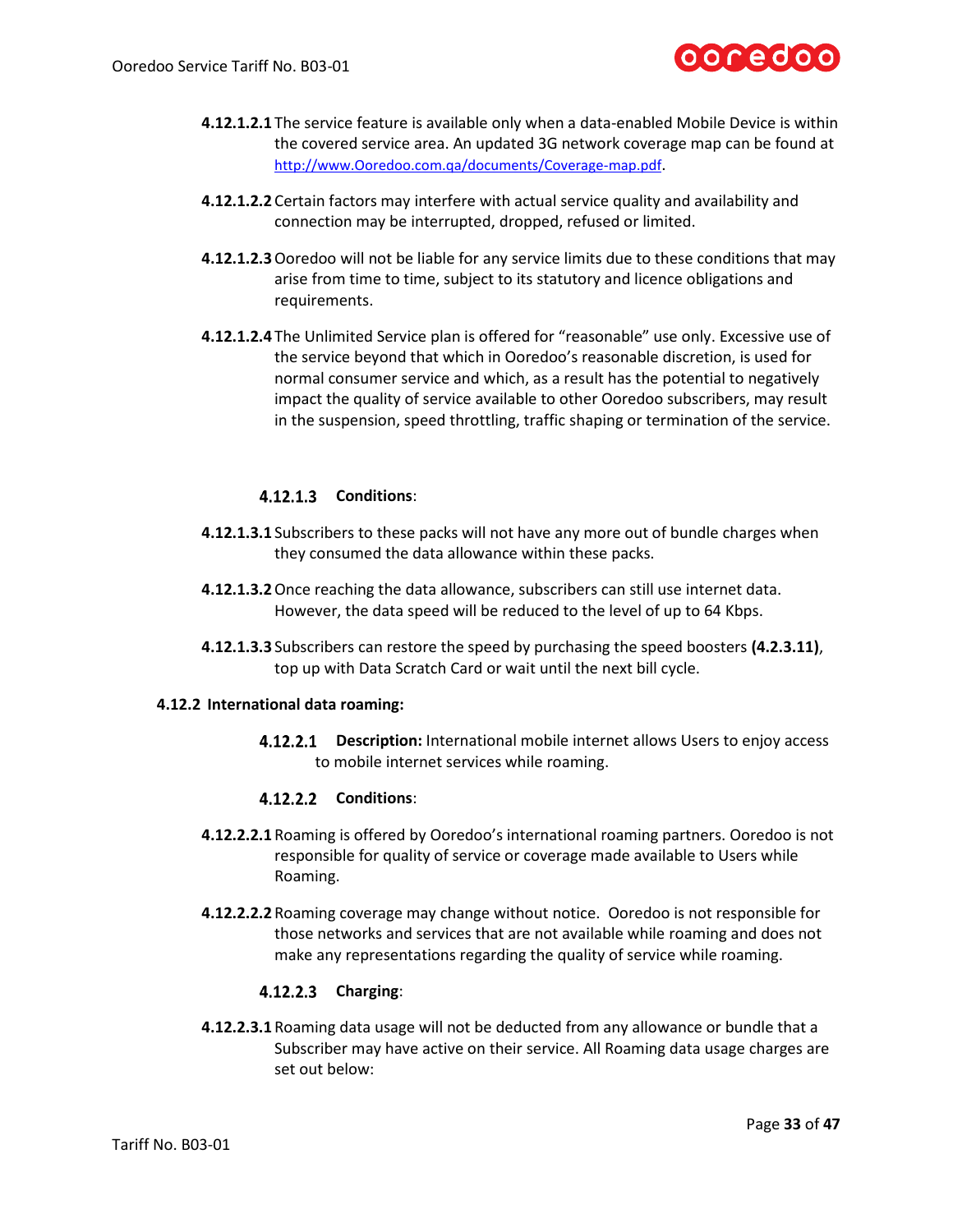

- **4.12.1.2.1** The service feature is available only when a data-enabled Mobile Device is within the covered service area. An updated 3G network coverage map can be found at [http://www.Ooredoo.com.qa/documents/Coverage-map.pdf](http://www.qtel.com.qa/documents/Coverage-map.pdf).
- **4.12.1.2.2** Certain factors may interfere with actual service quality and availability and connection may be interrupted, dropped, refused or limited.
- **4.12.1.2.3**Ooredoo will not be liable for any service limits due to these conditions that may arise from time to time, subject to its statutory and licence obligations and requirements.
- **4.12.1.2.4** The Unlimited Service plan is offered for "reasonable" use only. Excessive use of the service beyond that which in Ooredoo's reasonable discretion, is used for normal consumer service and which, as a result has the potential to negatively impact the quality of service available to other Ooredoo subscribers, may result in the suspension, speed throttling, traffic shaping or termination of the service.

# **4.12.1.3** Conditions:

- **4.12.1.3.1** Subscribers to these packs will not have any more out of bundle charges when they consumed the data allowance within these packs.
- **4.12.1.3.2**Once reaching the data allowance, subscribers can still use internet data. However, the data speed will be reduced to the level of up to 64 Kbps.
- **4.12.1.3.3** Subscribers can restore the speed by purchasing the speed boosters **(4.2.3.11)**, top up with Data Scratch Card or wait until the next bill cycle.

### **4.12.2 International data roaming:**

**4.12.2.1 Description:** International mobile internet allows Users to enjoy access to mobile internet services while roaming.

### **Conditions**:

- **4.12.2.2.1** Roaming is offered by Ooredoo's international roaming partners. Ooredoo is not responsible for quality of service or coverage made available to Users while Roaming.
- **4.12.2.2.2** Roaming coverage may change without notice. Ooredoo is not responsible for those networks and services that are not available while roaming and does not make any representations regarding the quality of service while roaming.

# **Charging**:

**4.12.2.3.1** Roaming data usage will not be deducted from any allowance or bundle that a Subscriber may have active on their service. All Roaming data usage charges are set out below: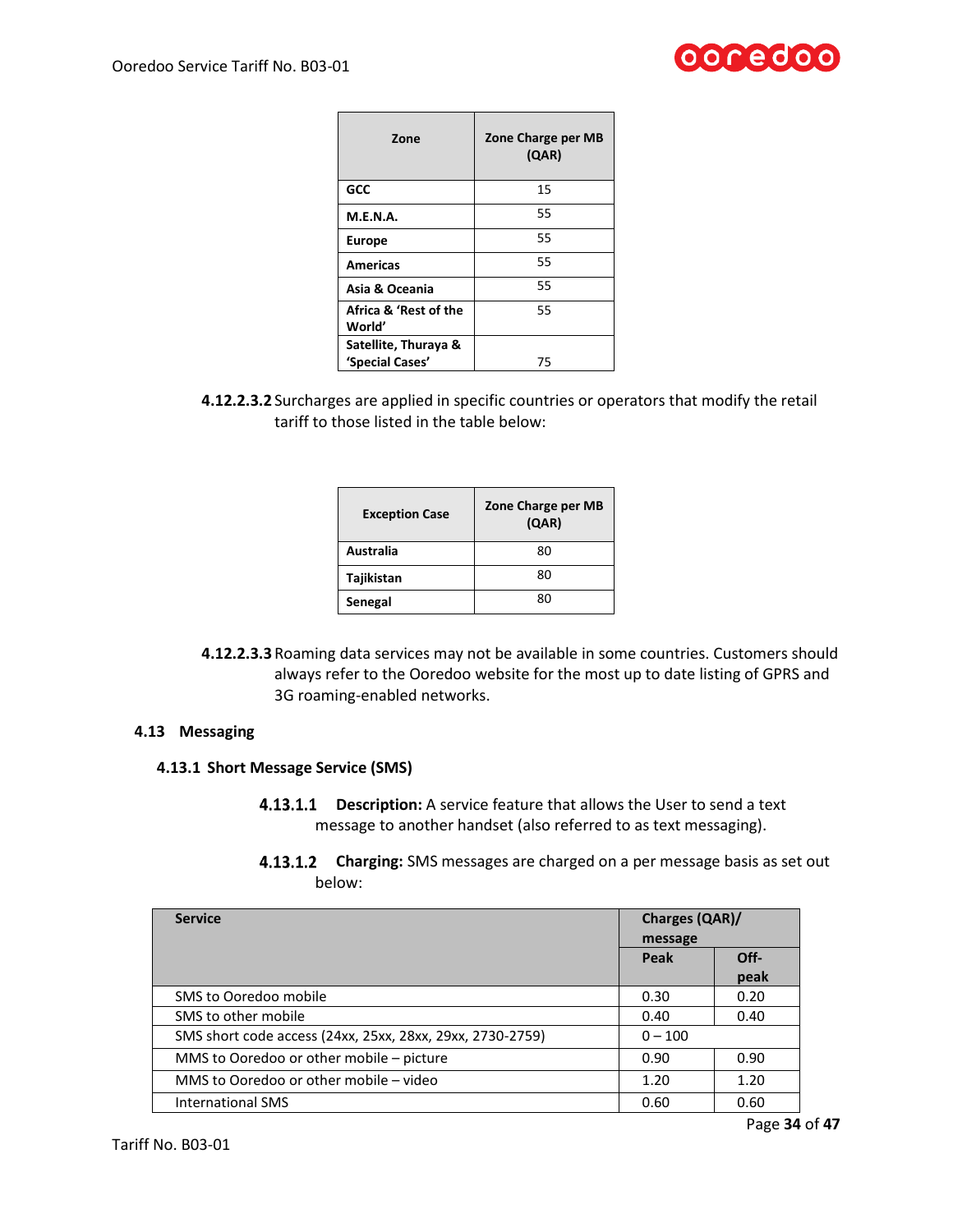

| Zone                                    | Zone Charge per MB<br>(QAR) |
|-----------------------------------------|-----------------------------|
| GCC                                     | 15                          |
| <b>M.E.N.A.</b>                         | 55                          |
| <b>Europe</b>                           | 55                          |
| <b>Americas</b>                         | 55                          |
| Asia & Oceania                          | 55                          |
| Africa & 'Rest of the<br>World'         | 55                          |
| Satellite, Thuraya &<br>'Special Cases' | 75                          |

**4.12.2.3.2** Surcharges are applied in specific countries or operators that modify the retail tariff to those listed in the table below:

| <b>Exception Case</b> | Zone Charge per MB<br>(QAR) |
|-----------------------|-----------------------------|
| Australia             | 80                          |
| Tajikistan            | 80                          |
| Senegal               | 80                          |

**4.12.2.3.3** Roaming data services may not be available in some countries. Customers should always refer to the Ooredoo website for the most up to date listing of GPRS and 3G roaming-enabled networks.

### **4.13 Messaging**

### **4.13.1 Short Message Service (SMS)**

- **4.13.1.1 Description:** A service feature that allows the User to send a text message to another handset (also referred to as text messaging).
- **Charging:** SMS messages are charged on a per message basis as set out below:

<span id="page-33-0"></span>

| <b>Service</b>                                            | <b>Charges (QAR)/</b><br>message |              |
|-----------------------------------------------------------|----------------------------------|--------------|
|                                                           | Peak                             | Off-<br>peak |
| SMS to Ooredoo mobile                                     | 0.30                             | 0.20         |
| SMS to other mobile                                       | 0.40                             | 0.40         |
| SMS short code access (24xx, 25xx, 28xx, 29xx, 2730-2759) | $0 - 100$                        |              |
| MMS to Ooredoo or other mobile - picture                  | 0.90                             | 0.90         |
| MMS to Ooredoo or other mobile – video                    | 1.20                             | 1.20         |
| <b>International SMS</b>                                  | 0.60                             | 0.60         |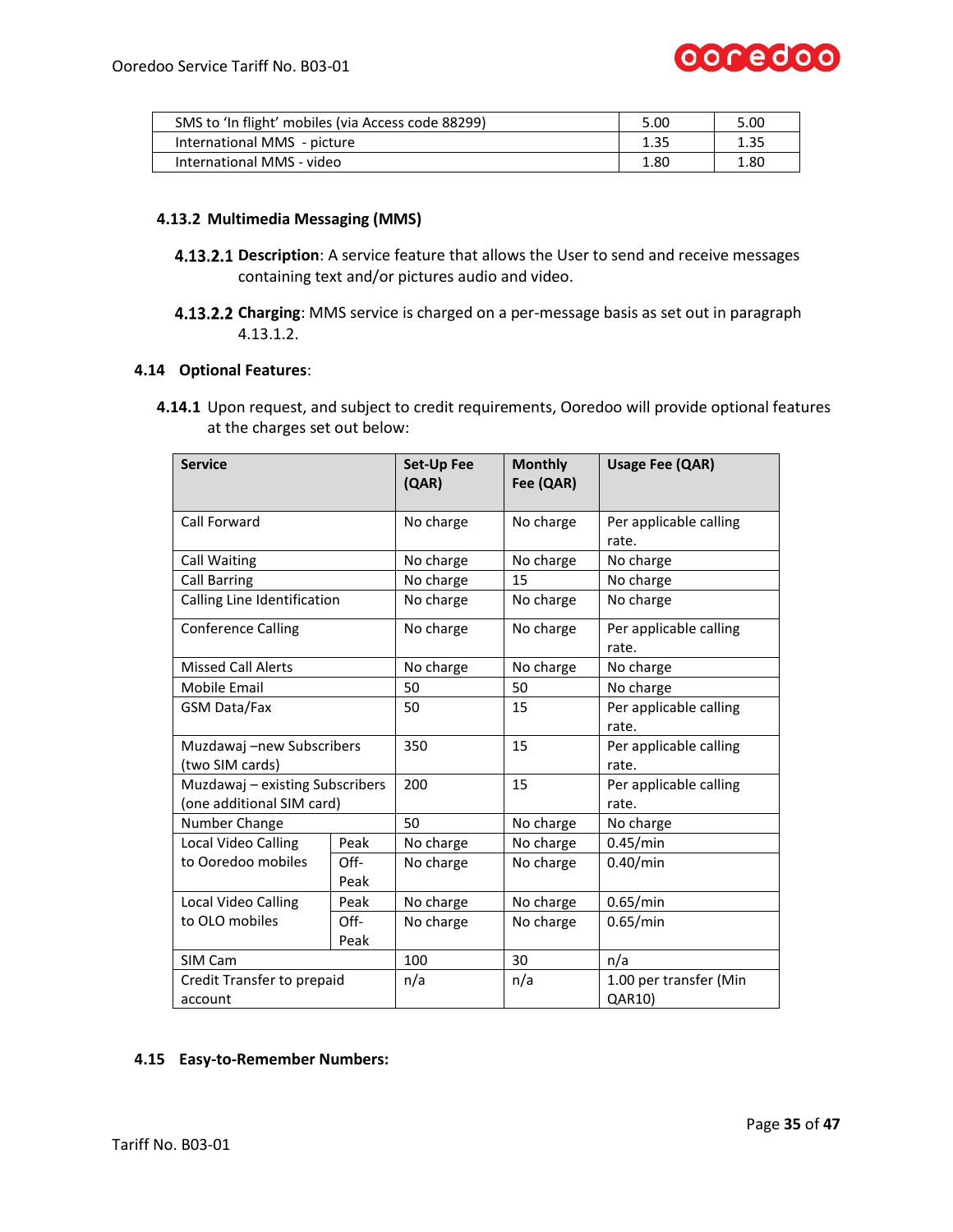

| SMS to 'In flight' mobiles (via Access code 88299) | 5.00 | 5.00 |
|----------------------------------------------------|------|------|
| International MMS - picture                        | 1.35 | 1.35 |
| International MMS - video                          | 1.80 | 1.80 |

# **4.13.2 Multimedia Messaging (MMS)**

- **4.13.2.1 Description**: A service feature that allows the User to send and receive messages containing text and/or pictures audio and video.
- **Charging**: MMS service is charged on a per-message basis as set out in paragraph [4.13.1.2.](#page-33-0)

#### **4.14 Optional Features**:

**4.14.1** Upon request, and subject to credit requirements, Ooredoo will provide optional features at the charges set out below:

| <b>Service</b>                  |      | Set-Up Fee<br>(QAR) | <b>Monthly</b><br>Fee (QAR) | <b>Usage Fee (QAR)</b>          |
|---------------------------------|------|---------------------|-----------------------------|---------------------------------|
| Call Forward                    |      | No charge           | No charge                   | Per applicable calling<br>rate. |
| Call Waiting                    |      | No charge           | No charge                   | No charge                       |
| <b>Call Barring</b>             |      | No charge           | 15                          | No charge                       |
| Calling Line Identification     |      | No charge           | No charge                   | No charge                       |
| <b>Conference Calling</b>       |      | No charge           | No charge                   | Per applicable calling<br>rate. |
| <b>Missed Call Alerts</b>       |      | No charge           | No charge                   | No charge                       |
| Mobile Email                    |      | 50                  | 50                          | No charge                       |
| GSM Data/Fax                    |      | 50                  | 15                          | Per applicable calling<br>rate. |
| Muzdawaj -new Subscribers       |      | 350                 | 15                          | Per applicable calling          |
| (two SIM cards)                 |      |                     |                             | rate.                           |
| Muzdawaj - existing Subscribers |      | 200                 | 15                          | Per applicable calling          |
| (one additional SIM card)       |      |                     |                             | rate.                           |
| Number Change                   |      | 50                  | No charge                   | No charge                       |
| Local Video Calling             | Peak | No charge           | No charge                   | 0.45/min                        |
| to Ooredoo mobiles              | Off- | No charge           | No charge                   | 0.40/min                        |
|                                 | Peak |                     |                             |                                 |
| Local Video Calling             | Peak | No charge           | No charge                   | 0.65/min                        |
| to OLO mobiles                  | Off- | No charge           | No charge                   | 0.65/min                        |
| Peak                            |      |                     |                             |                                 |
| SIM Cam                         |      | 100                 | 30                          | n/a                             |
| Credit Transfer to prepaid      |      | n/a                 | n/a                         | 1.00 per transfer (Min          |
| account                         |      |                     |                             | QAR10)                          |

# **4.15 Easy-to-Remember Numbers:**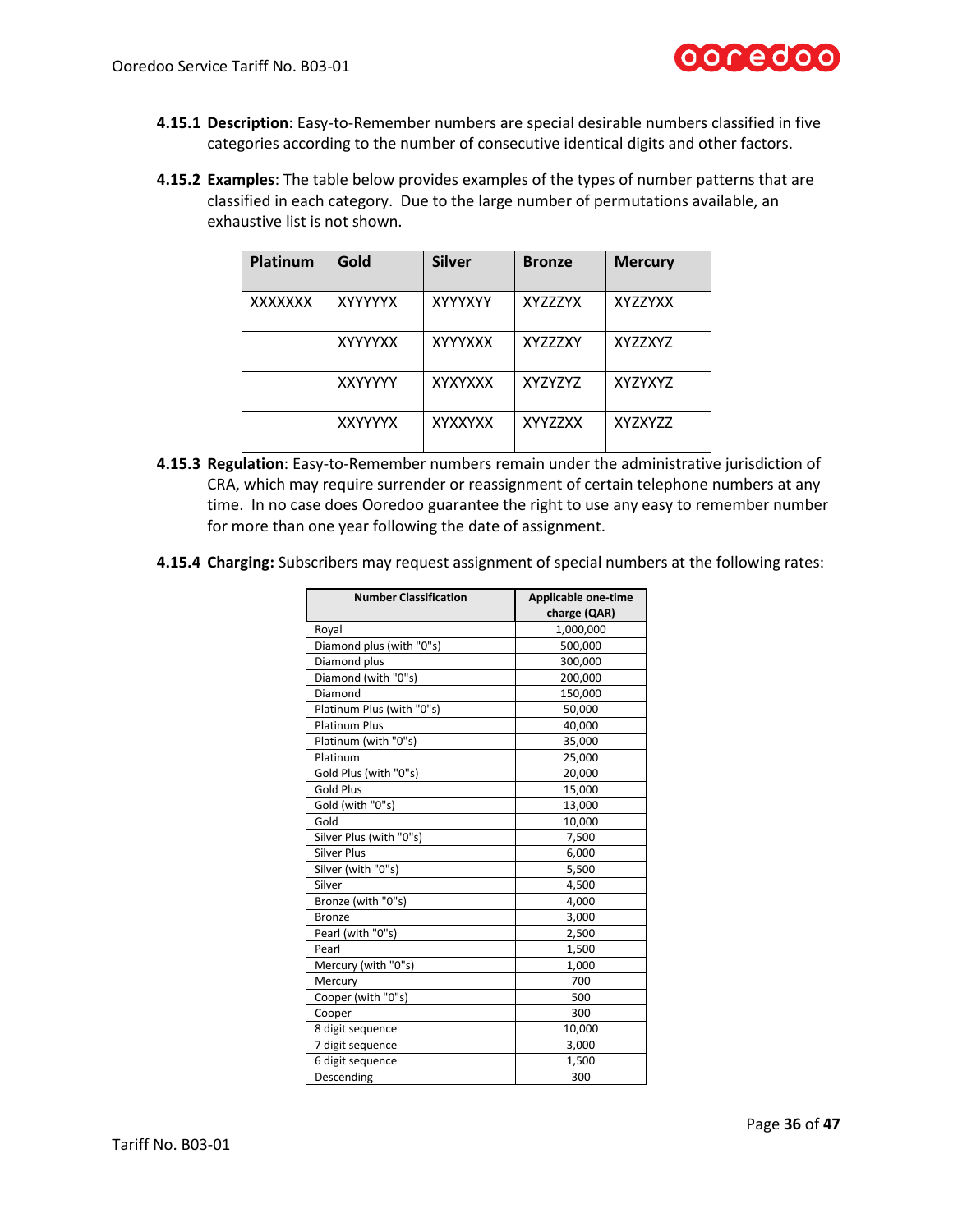

- **4.15.1 Description**: Easy-to-Remember numbers are special desirable numbers classified in five categories according to the number of consecutive identical digits and other factors.
- **4.15.2 Examples**: The table below provides examples of the types of number patterns that are classified in each category. Due to the large number of permutations available, an exhaustive list is not shown.

| <b>Platinum</b> | Gold           | <b>Silver</b>  | <b>Bronze</b>  | <b>Mercury</b> |
|-----------------|----------------|----------------|----------------|----------------|
| <b>XXXXXXX</b>  | <b>XYYYYYX</b> | <b>XYYYXYY</b> | <b>XYZZZYX</b> | XYZZYXX        |
|                 | <b>XYYYYXX</b> | <b>XYYYXXX</b> | <b>XYZZZXY</b> | <b>XYZZXYZ</b> |
|                 | <b>XXYYYYY</b> | <b>XYXYXXX</b> | XYZYZYZ        | XYZYXYZ        |
|                 | <b>XXYYYYX</b> | <b>XYXXYXX</b> | <b>XYYZZXX</b> | XYZXYZZ        |

- **4.15.3 Regulation**: Easy-to-Remember numbers remain under the administrative jurisdiction of CRA, which may require surrender or reassignment of certain telephone numbers at any time. In no case does Ooredoo guarantee the right to use any easy to remember number for more than one year following the date of assignment.
- **4.15.4 Charging:** Subscribers may request assignment of special numbers at the following rates:

| <b>Number Classification</b> | Applicable one-time<br>charge (QAR) |
|------------------------------|-------------------------------------|
| Royal                        | 1,000,000                           |
| Diamond plus (with "0"s)     | 500,000                             |
| Diamond plus                 | 300,000                             |
| Diamond (with "0"s)          | 200,000                             |
| Diamond                      | 150,000                             |
| Platinum Plus (with "0"s)    | 50,000                              |
| <b>Platinum Plus</b>         | 40,000                              |
| Platinum (with "0"s)         | 35,000                              |
| Platinum                     | 25,000                              |
| Gold Plus (with "0"s)        | 20,000                              |
| <b>Gold Plus</b>             | 15,000                              |
| Gold (with "0"s)             | 13,000                              |
| Gold                         | 10,000                              |
| Silver Plus (with "0"s)      | 7,500                               |
| <b>Silver Plus</b>           | 6,000                               |
| Silver (with "0"s)           | 5,500                               |
| Silver                       | 4,500                               |
| Bronze (with "0"s)           | 4,000                               |
| <b>Bronze</b>                | 3,000                               |
| Pearl (with "0"s)            | 2,500                               |
| Pearl                        | 1,500                               |
| Mercury (with "0"s)          | 1,000                               |
| Mercury                      | 700                                 |
| Cooper (with "0"s)           | 500                                 |
| Cooper                       | 300                                 |
| 8 digit sequence             | 10,000                              |
| 7 digit sequence             | 3,000                               |
| 6 digit sequence             | 1,500                               |
| Descending                   | 300                                 |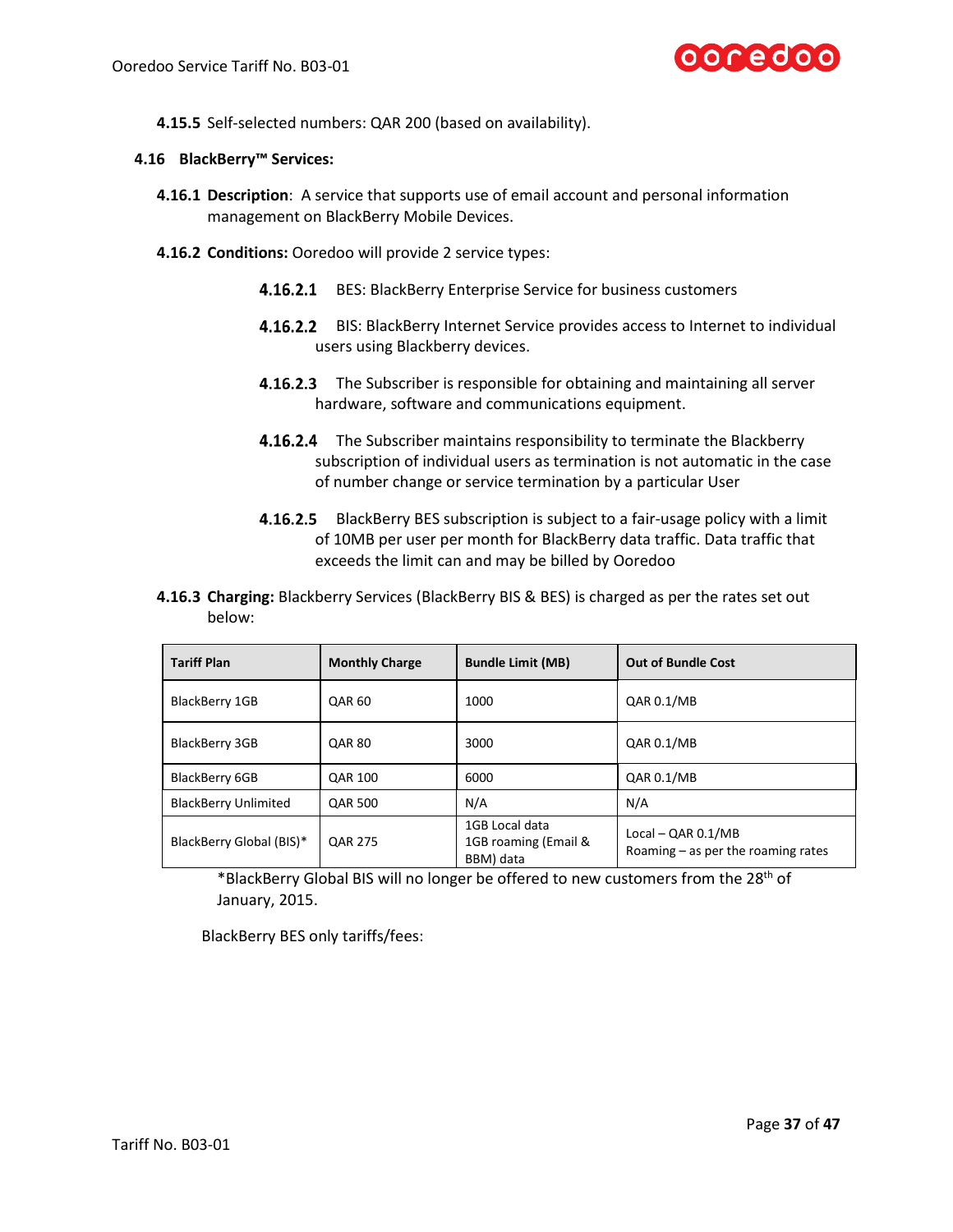

**4.15.5** Self-selected numbers: QAR 200 (based on availability).

### **4.16 BlackBerry™ Services:**

- **4.16.1 Description**: A service that supports use of email account and personal information management on BlackBerry Mobile Devices.
- **4.16.2 Conditions:** Ooredoo will provide 2 service types:
	- 4.16.2.1 BES: BlackBerry Enterprise Service for business customers
	- 4.16.2.2 BIS: BlackBerry Internet Service provides access to Internet to individual users using Blackberry devices.
	- **4.16.2.3** The Subscriber is responsible for obtaining and maintaining all server hardware, software and communications equipment.
	- 4.16.2.4 The Subscriber maintains responsibility to terminate the Blackberry subscription of individual users as termination is not automatic in the case of number change or service termination by a particular User
	- 4.16.2.5 BlackBerry BES subscription is subject to a fair-usage policy with a limit of 10MB per user per month for BlackBerry data traffic. Data traffic that exceeds the limit can and may be billed by Ooredoo
- **4.16.3 Charging:** Blackberry Services (BlackBerry BIS & BES) is charged as per the rates set out below:

| <b>Tariff Plan</b>          | <b>Monthly Charge</b> | <b>Bundle Limit (MB)</b>                            | <b>Out of Bundle Cost</b>                                    |
|-----------------------------|-----------------------|-----------------------------------------------------|--------------------------------------------------------------|
| BlackBerry 1GB              | <b>QAR 60</b>         | 1000                                                | QAR 0.1/MB                                                   |
| BlackBerry 3GB              | <b>QAR 80</b>         | 3000                                                | QAR 0.1/MB                                                   |
| BlackBerry 6GB              | <b>QAR 100</b>        | 6000                                                | QAR 0.1/MB                                                   |
| <b>BlackBerry Unlimited</b> | <b>QAR 500</b>        | N/A                                                 | N/A                                                          |
| BlackBerry Global (BIS)*    | <b>QAR 275</b>        | 1GB Local data<br>1GB roaming (Email &<br>BBM) data | Local $-$ QAR 0.1/MB<br>Roaming $-$ as per the roaming rates |

\*BlackBerry Global BIS will no longer be offered to new customers from the 28<sup>th</sup> of January, 2015.

BlackBerry BES only tariffs/fees: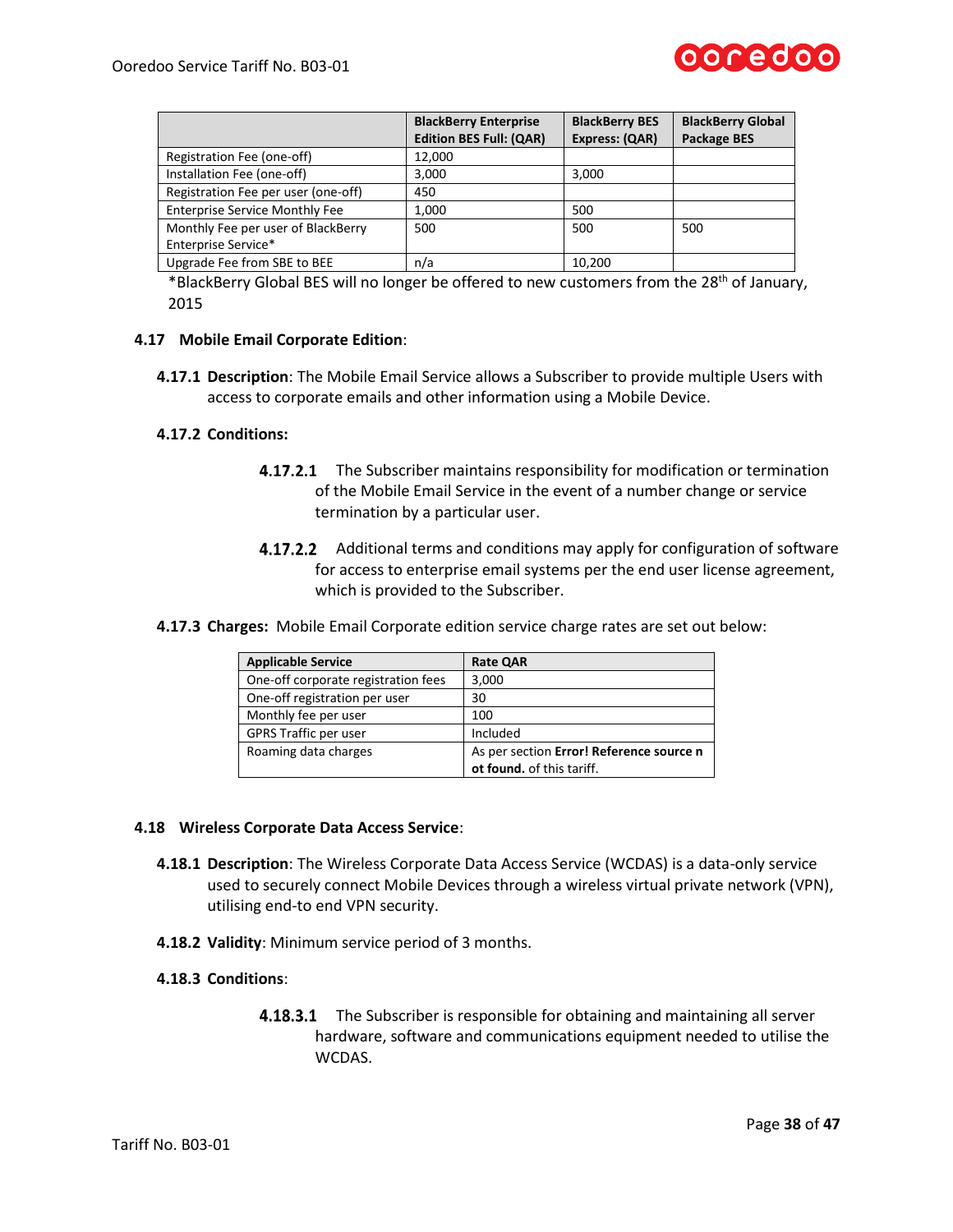

|                                       | <b>BlackBerry Enterprise</b><br><b>Edition BES Full: (QAR)</b> | <b>BlackBerry BES</b><br>Express: (QAR) | <b>BlackBerry Global</b><br><b>Package BES</b> |
|---------------------------------------|----------------------------------------------------------------|-----------------------------------------|------------------------------------------------|
| Registration Fee (one-off)            | 12,000                                                         |                                         |                                                |
| Installation Fee (one-off)            | 3.000                                                          | 3,000                                   |                                                |
| Registration Fee per user (one-off)   | 450                                                            |                                         |                                                |
| <b>Enterprise Service Monthly Fee</b> | 1,000                                                          | 500                                     |                                                |
| Monthly Fee per user of BlackBerry    | 500                                                            | 500                                     | 500                                            |
| Enterprise Service*                   |                                                                |                                         |                                                |
| Upgrade Fee from SBE to BEE           | n/a                                                            | 10,200                                  |                                                |

\*BlackBerry Global BES will no longer be offered to new customers from the 28<sup>th</sup> of January, 2015

### **4.17 Mobile Email Corporate Edition**:

**4.17.1 Description**: The Mobile Email Service allows a Subscriber to provide multiple Users with access to corporate emails and other information using a Mobile Device.

#### **4.17.2 Conditions:**

- **4.17.2.1** The Subscriber maintains responsibility for modification or termination of the Mobile Email Service in the event of a number change or service termination by a particular user.
- **4.17.2.2** Additional terms and conditions may apply for configuration of software for access to enterprise email systems per the end user license agreement, which is provided to the Subscriber.
- **4.17.3 Charges:** Mobile Email Corporate edition service charge rates are set out below:

| <b>Applicable Service</b>           | <b>Rate QAR</b>                                                       |
|-------------------------------------|-----------------------------------------------------------------------|
| One-off corporate registration fees | 3,000                                                                 |
| One-off registration per user       | 30                                                                    |
| Monthly fee per user                | 100                                                                   |
| GPRS Traffic per user               | Included                                                              |
| Roaming data charges                | As per section Error! Reference source n<br>ot found. of this tariff. |

#### **4.18 Wireless Corporate Data Access Service**:

- **4.18.1 Description**: The Wireless Corporate Data Access Service (WCDAS) is a data-only service used to securely connect Mobile Devices through a wireless virtual private network (VPN), utilising end-to end VPN security.
- **4.18.2 Validity**: Minimum service period of 3 months.

### **4.18.3 Conditions**:

**4.18.3.1** The Subscriber is responsible for obtaining and maintaining all server hardware, software and communications equipment needed to utilise the WCDAS.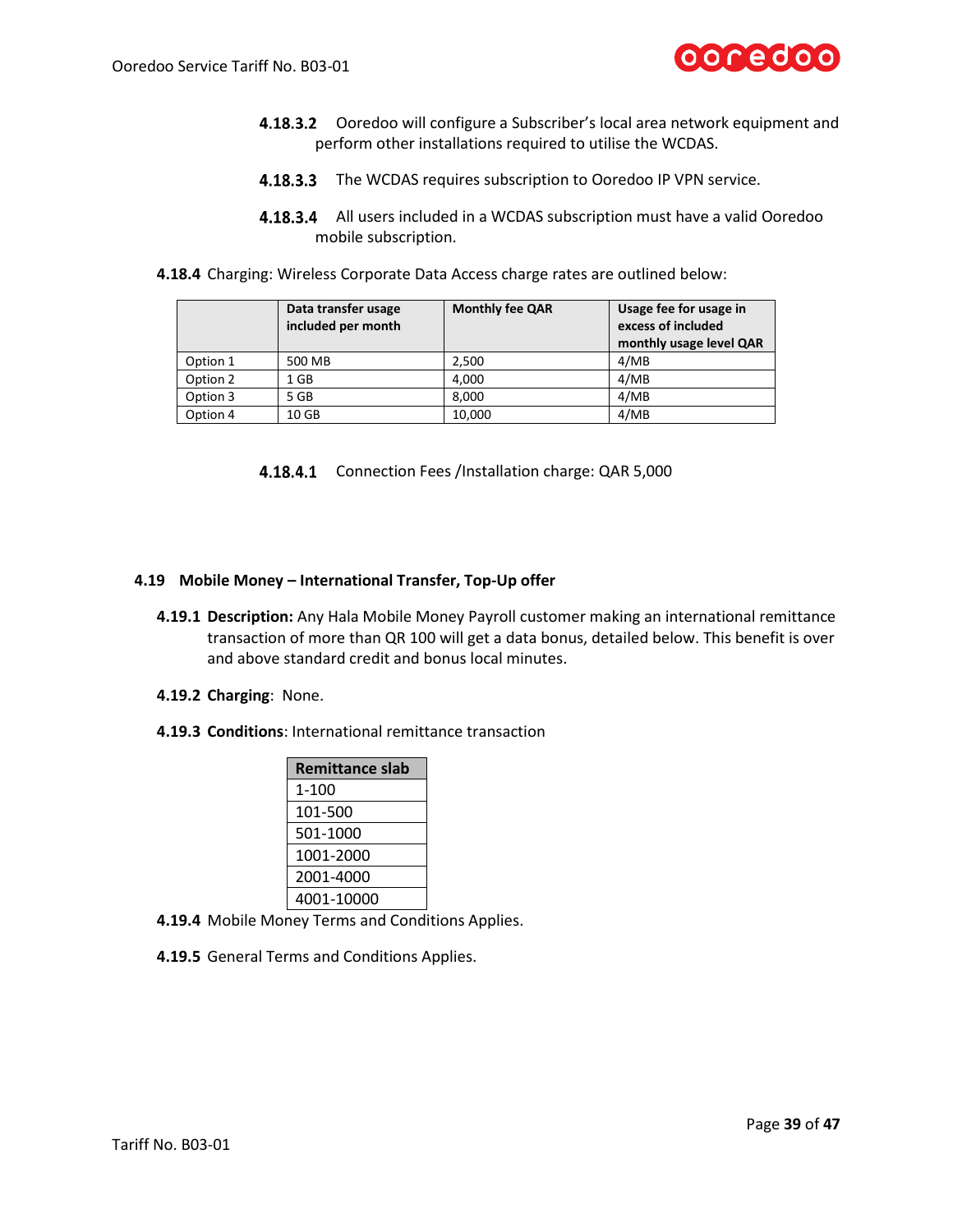

- 4.18.3.2 Ooredoo will configure a Subscriber's local area network equipment and perform other installations required to utilise the WCDAS.
- 4.18.3.3 The WCDAS requires subscription to Ooredoo IP VPN service.
- **4.18.3.4** All users included in a WCDAS subscription must have a valid Ooredoo mobile subscription.
- **4.18.4** Charging: Wireless Corporate Data Access charge rates are outlined below:

|          | Data transfer usage<br>included per month | <b>Monthly fee QAR</b> | Usage fee for usage in<br>excess of included<br>monthly usage level QAR |
|----------|-------------------------------------------|------------------------|-------------------------------------------------------------------------|
| Option 1 | 500 MB                                    | 2.500                  | 4/MB                                                                    |
| Option 2 | 1 GB                                      | 4.000                  | 4/MB                                                                    |
| Option 3 | 5 GB                                      | 8.000                  | 4/MB                                                                    |
| Option 4 | 10 GB                                     | 10.000                 | 4/MB                                                                    |

4.18.4.1 Connection Fees /Installation charge: QAR 5,000

### **4.19 Mobile Money – International Transfer, Top-Up offer**

- **4.19.1 Description:** Any Hala Mobile Money Payroll customer making an international remittance transaction of more than QR 100 will get a data bonus, detailed below. This benefit is over and above standard credit and bonus local minutes.
- **4.19.2 Charging**: None.
- **4.19.3 Conditions**: International remittance transaction

| <b>Remittance slab</b> |
|------------------------|
| 1-100                  |
| 101-500                |
| 501-1000               |
| 1001-2000              |
| 2001-4000              |
| 4001-10000             |

- **4.19.4** Mobile Money Terms and Conditions Applies.
- **4.19.5** General Terms and Conditions Applies.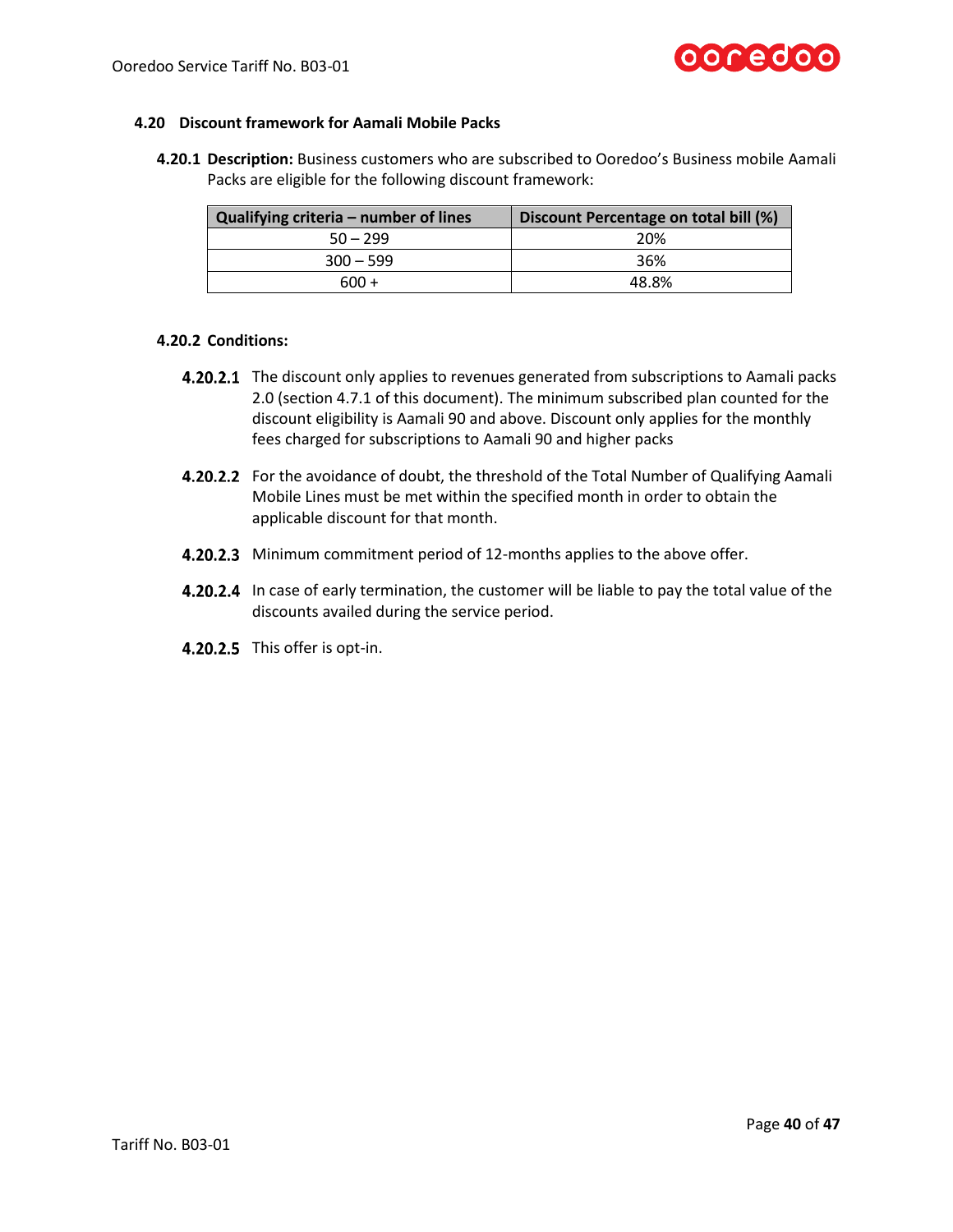

### **4.20 Discount framework for Aamali Mobile Packs**

**4.20.1 Description:** Business customers who are subscribed to Ooredoo's Business mobile Aamali Packs are eligible for the following discount framework:

| Qualifying criteria - number of lines | Discount Percentage on total bill (%) |
|---------------------------------------|---------------------------------------|
| $50 - 299$                            | 20%                                   |
| $300 - 599$                           | 36%                                   |
| 600 +                                 | 48.8%                                 |

### **4.20.2 Conditions:**

- **4.20.2.1** The discount only applies to revenues generated from subscriptions to Aamali packs 2.0 (section 4.7.1 of this document). The minimum subscribed plan counted for the discount eligibility is Aamali 90 and above. Discount only applies for the monthly fees charged for subscriptions to Aamali 90 and higher packs
- **4.20.2.2** For the avoidance of doubt, the threshold of the Total Number of Qualifying Aamali Mobile Lines must be met within the specified month in order to obtain the applicable discount for that month.
- 4.20.2.3 Minimum commitment period of 12-months applies to the above offer.
- **4.20.2.4** In case of early termination, the customer will be liable to pay the total value of the discounts availed during the service period.
- 4.20.2.5 This offer is opt-in.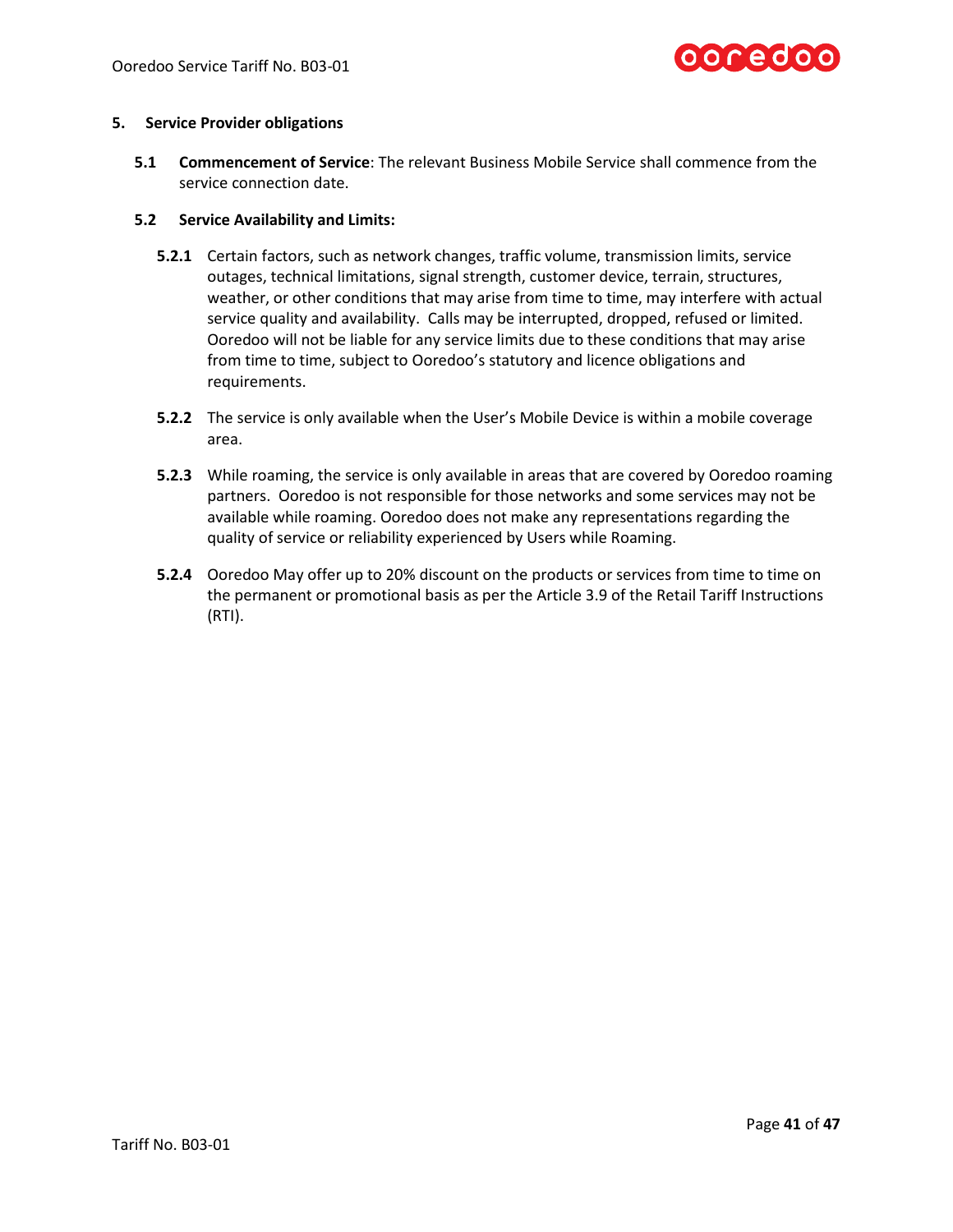

### **5. Service Provider obligations**

**5.1 Commencement of Service**: The relevant Business Mobile Service shall commence from the service connection date.

### **5.2 Service Availability and Limits:**

- **5.2.1** Certain factors, such as network changes, traffic volume, transmission limits, service outages, technical limitations, signal strength, customer device, terrain, structures, weather, or other conditions that may arise from time to time, may interfere with actual service quality and availability. Calls may be interrupted, dropped, refused or limited. Ooredoo will not be liable for any service limits due to these conditions that may arise from time to time, subject to Ooredoo's statutory and licence obligations and requirements.
- **5.2.2** The service is only available when the User's Mobile Device is within a mobile coverage area.
- **5.2.3** While roaming, the service is only available in areas that are covered by Ooredoo roaming partners. Ooredoo is not responsible for those networks and some services may not be available while roaming. Ooredoo does not make any representations regarding the quality of service or reliability experienced by Users while Roaming.
- **5.2.4** Ooredoo May offer up to 20% discount on the products or services from time to time on the permanent or promotional basis as per the Article 3.9 of the Retail Tariff Instructions (RTI).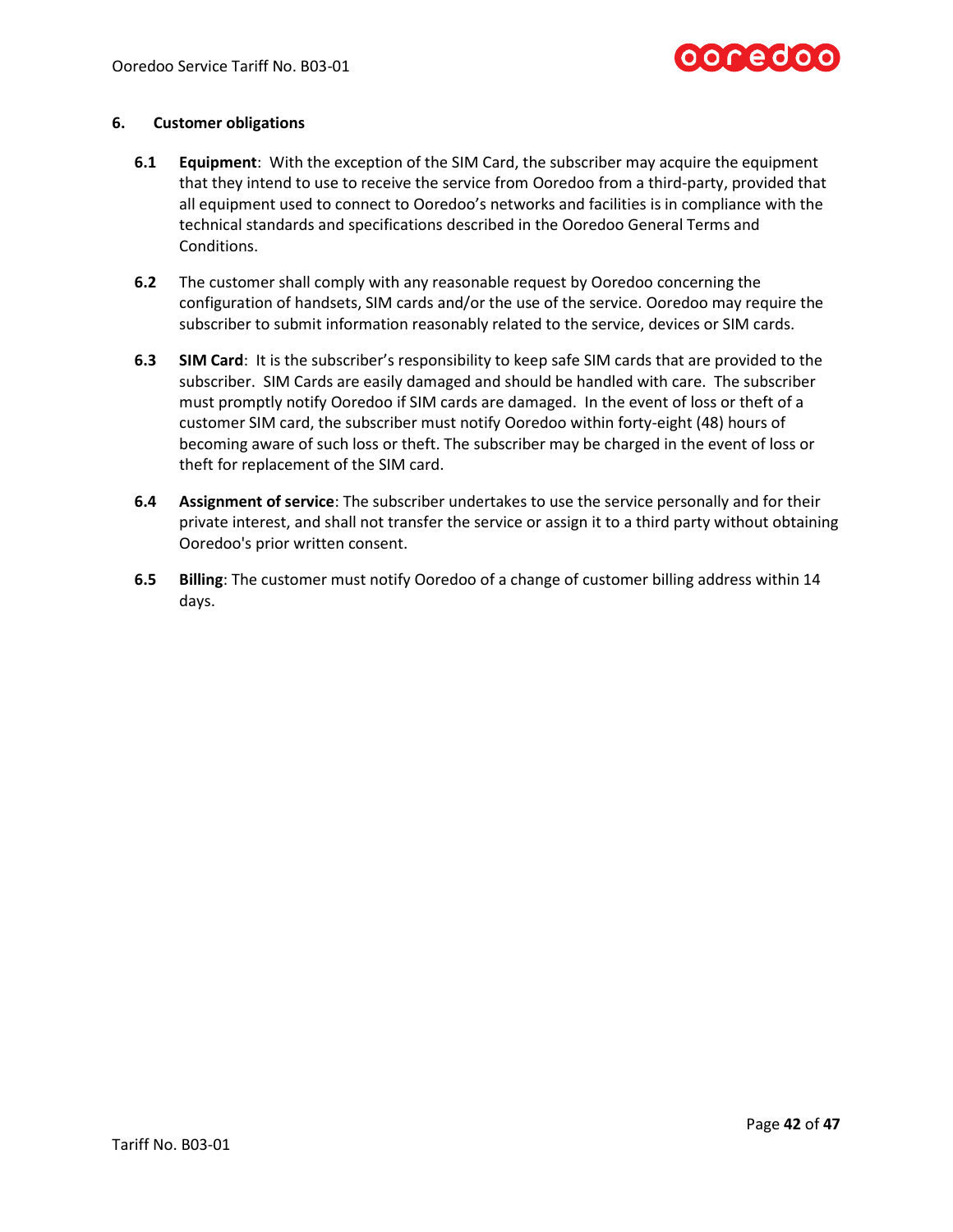

### **6. Customer obligations**

- **6.1 Equipment**: With the exception of the SIM Card, the subscriber may acquire the equipment that they intend to use to receive the service from Ooredoo from a third-party, provided that all equipment used to connect to Ooredoo's networks and facilities is in compliance with the technical standards and specifications described in the Ooredoo General Terms and Conditions.
- **6.2** The customer shall comply with any reasonable request by Ooredoo concerning the configuration of handsets, SIM cards and/or the use of the service. Ooredoo may require the subscriber to submit information reasonably related to the service, devices or SIM cards.
- **6.3 SIM Card**: It is the subscriber's responsibility to keep safe SIM cards that are provided to the subscriber. SIM Cards are easily damaged and should be handled with care. The subscriber must promptly notify Ooredoo if SIM cards are damaged. In the event of loss or theft of a customer SIM card, the subscriber must notify Ooredoo within forty-eight (48) hours of becoming aware of such loss or theft. The subscriber may be charged in the event of loss or theft for replacement of the SIM card.
- **6.4 Assignment of service**: The subscriber undertakes to use the service personally and for their private interest, and shall not transfer the service or assign it to a third party without obtaining Ooredoo's prior written consent.
- **6.5 Billing**: The customer must notify Ooredoo of a change of customer billing address within 14 days.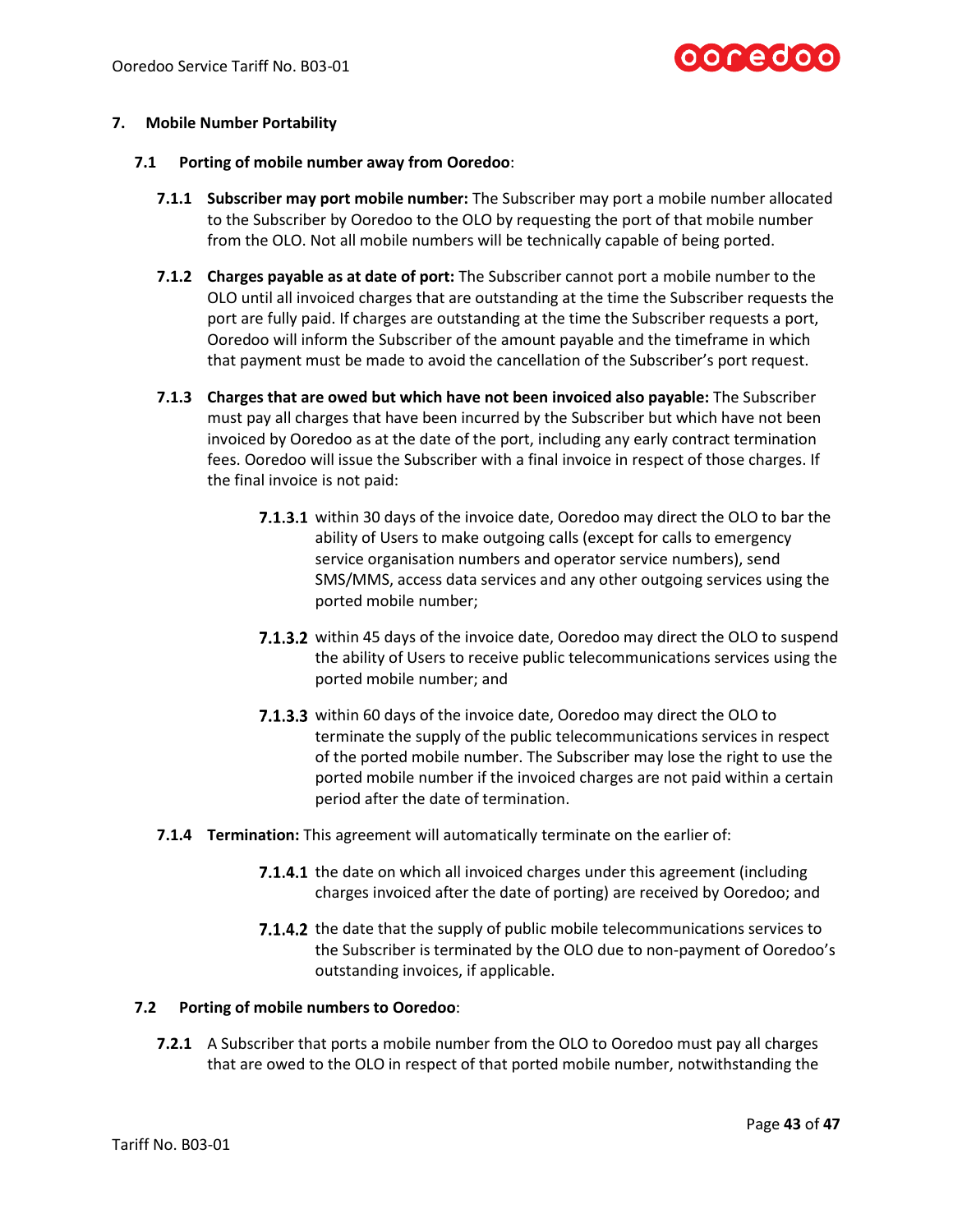

# **7. Mobile Number Portability**

- **7.1 Porting of mobile number away from Ooredoo**:
	- **7.1.1 Subscriber may port mobile number:** The Subscriber may port a mobile number allocated to the Subscriber by Ooredoo to the OLO by requesting the port of that mobile number from the OLO. Not all mobile numbers will be technically capable of being ported.
	- **7.1.2 Charges payable as at date of port:** The Subscriber cannot port a mobile number to the OLO until all invoiced charges that are outstanding at the time the Subscriber requests the port are fully paid. If charges are outstanding at the time the Subscriber requests a port, Ooredoo will inform the Subscriber of the amount payable and the timeframe in which that payment must be made to avoid the cancellation of the Subscriber's port request.
	- **7.1.3 Charges that are owed but which have not been invoiced also payable:** The Subscriber must pay all charges that have been incurred by the Subscriber but which have not been invoiced by Ooredoo as at the date of the port, including any early contract termination fees. Ooredoo will issue the Subscriber with a final invoice in respect of those charges. If the final invoice is not paid:
		- **7.1.3.1** within 30 days of the invoice date, Ooredoo may direct the OLO to bar the ability of Users to make outgoing calls (except for calls to emergency service organisation numbers and operator service numbers), send SMS/MMS, access data services and any other outgoing services using the ported mobile number;
		- 7.1.3.2 within 45 days of the invoice date, Ooredoo may direct the OLO to suspend the ability of Users to receive public telecommunications services using the ported mobile number; and
		- 7.1.3.3 within 60 days of the invoice date, Ooredoo may direct the OLO to terminate the supply of the public telecommunications services in respect of the ported mobile number. The Subscriber may lose the right to use the ported mobile number if the invoiced charges are not paid within a certain period after the date of termination.
	- **7.1.4 Termination:** This agreement will automatically terminate on the earlier of:
		- 7.1.4.1 the date on which all invoiced charges under this agreement (including charges invoiced after the date of porting) are received by Ooredoo; and
		- 7.1.4.2 the date that the supply of public mobile telecommunications services to the Subscriber is terminated by the OLO due to non-payment of Ooredoo's outstanding invoices, if applicable.

### **7.2 Porting of mobile numbers to Ooredoo**:

**7.2.1** A Subscriber that ports a mobile number from the OLO to Ooredoo must pay all charges that are owed to the OLO in respect of that ported mobile number, notwithstanding the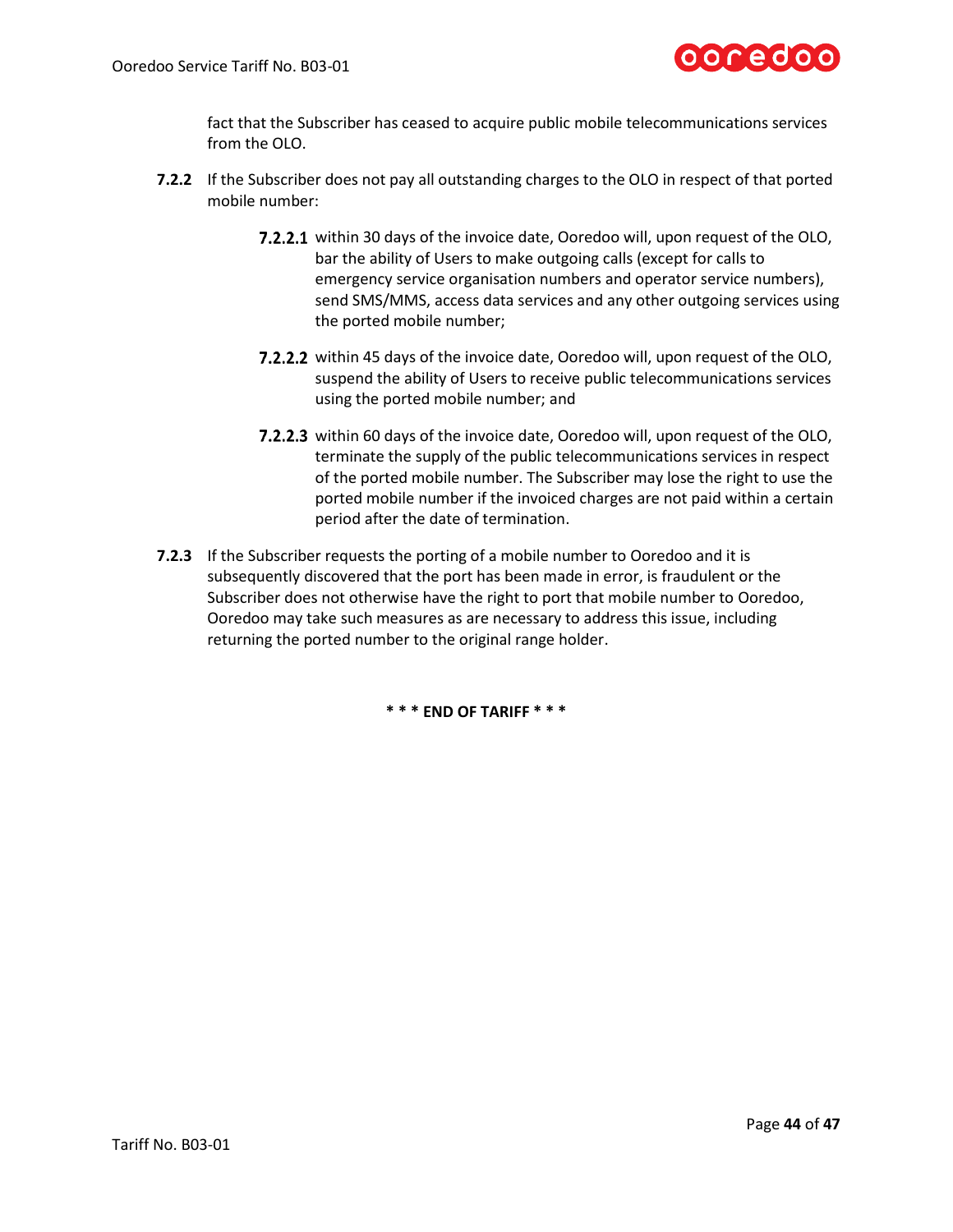

fact that the Subscriber has ceased to acquire public mobile telecommunications services from the OLO.

- **7.2.2** If the Subscriber does not pay all outstanding charges to the OLO in respect of that ported mobile number:
	- **7.2.2.1** within 30 days of the invoice date, Ooredoo will, upon request of the OLO, bar the ability of Users to make outgoing calls (except for calls to emergency service organisation numbers and operator service numbers), send SMS/MMS, access data services and any other outgoing services using the ported mobile number;
	- 7.2.2.2 within 45 days of the invoice date, Ooredoo will, upon request of the OLO, suspend the ability of Users to receive public telecommunications services using the ported mobile number; and
	- 7.2.2.3 within 60 days of the invoice date, Ooredoo will, upon request of the OLO, terminate the supply of the public telecommunications services in respect of the ported mobile number. The Subscriber may lose the right to use the ported mobile number if the invoiced charges are not paid within a certain period after the date of termination.
- **7.2.3** If the Subscriber requests the porting of a mobile number to Ooredoo and it is subsequently discovered that the port has been made in error, is fraudulent or the Subscriber does not otherwise have the right to port that mobile number to Ooredoo, Ooredoo may take such measures as are necessary to address this issue, including returning the ported number to the original range holder.

**\* \* \* END OF TARIFF \* \* \***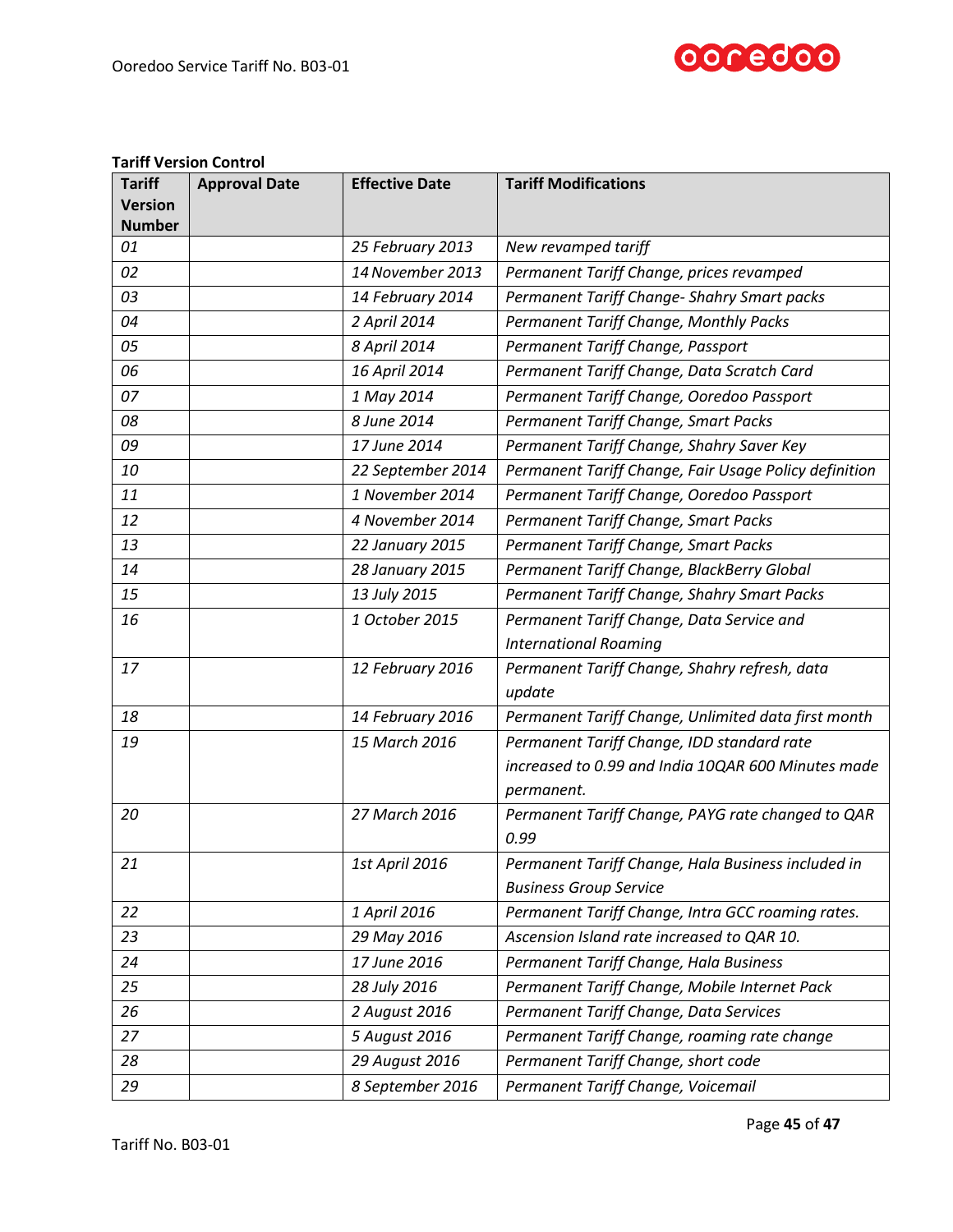

### **Tariff Version Control**

| <b>Tariff</b>  | <b>Approval Date</b> | <b>Effective Date</b> | <b>Tariff Modifications</b>                           |
|----------------|----------------------|-----------------------|-------------------------------------------------------|
| <b>Version</b> |                      |                       |                                                       |
| <b>Number</b>  |                      |                       |                                                       |
| 01             |                      | 25 February 2013      | New revamped tariff                                   |
| 02             |                      | 14 November 2013      | Permanent Tariff Change, prices revamped              |
| 03             |                      | 14 February 2014      | Permanent Tariff Change- Shahry Smart packs           |
| 04             |                      | 2 April 2014          | Permanent Tariff Change, Monthly Packs                |
| 05             |                      | 8 April 2014          | Permanent Tariff Change, Passport                     |
| 06             |                      | 16 April 2014         | Permanent Tariff Change, Data Scratch Card            |
| 07             |                      | 1 May 2014            | Permanent Tariff Change, Ooredoo Passport             |
| 08             |                      | 8 June 2014           | Permanent Tariff Change, Smart Packs                  |
| 09             |                      | 17 June 2014          | Permanent Tariff Change, Shahry Saver Key             |
| 10             |                      | 22 September 2014     | Permanent Tariff Change, Fair Usage Policy definition |
| 11             |                      | 1 November 2014       | Permanent Tariff Change, Ooredoo Passport             |
| 12             |                      | 4 November 2014       | Permanent Tariff Change, Smart Packs                  |
| 13             |                      | 22 January 2015       | Permanent Tariff Change, Smart Packs                  |
| 14             |                      | 28 January 2015       | Permanent Tariff Change, BlackBerry Global            |
| 15             |                      | 13 July 2015          | Permanent Tariff Change, Shahry Smart Packs           |
| 16             |                      | 1 October 2015        | Permanent Tariff Change, Data Service and             |
|                |                      |                       | <b>International Roaming</b>                          |
| 17             |                      | 12 February 2016      | Permanent Tariff Change, Shahry refresh, data         |
|                |                      |                       | update                                                |
| 18             |                      | 14 February 2016      | Permanent Tariff Change, Unlimited data first month   |
| 19             |                      | 15 March 2016         | Permanent Tariff Change, IDD standard rate            |
|                |                      |                       | increased to 0.99 and India 10QAR 600 Minutes made    |
|                |                      |                       | permanent.                                            |
| 20             |                      | 27 March 2016         | Permanent Tariff Change, PAYG rate changed to QAR     |
|                |                      |                       | 0.99                                                  |
| 21             |                      | 1st April 2016        | Permanent Tariff Change, Hala Business included in    |
|                |                      |                       | <b>Business Group Service</b>                         |
| 22             |                      | 1 April 2016          | Permanent Tariff Change, Intra GCC roaming rates.     |
| 23             |                      | 29 May 2016           | Ascension Island rate increased to QAR 10.            |
| 24             |                      | 17 June 2016          | Permanent Tariff Change, Hala Business                |
| 25             |                      | 28 July 2016          | Permanent Tariff Change, Mobile Internet Pack         |
| 26             |                      | 2 August 2016         | Permanent Tariff Change, Data Services                |
| 27             |                      | 5 August 2016         | Permanent Tariff Change, roaming rate change          |
| 28             |                      | 29 August 2016        | Permanent Tariff Change, short code                   |
| 29             |                      | 8 September 2016      | Permanent Tariff Change, Voicemail                    |

Page **45** of **47**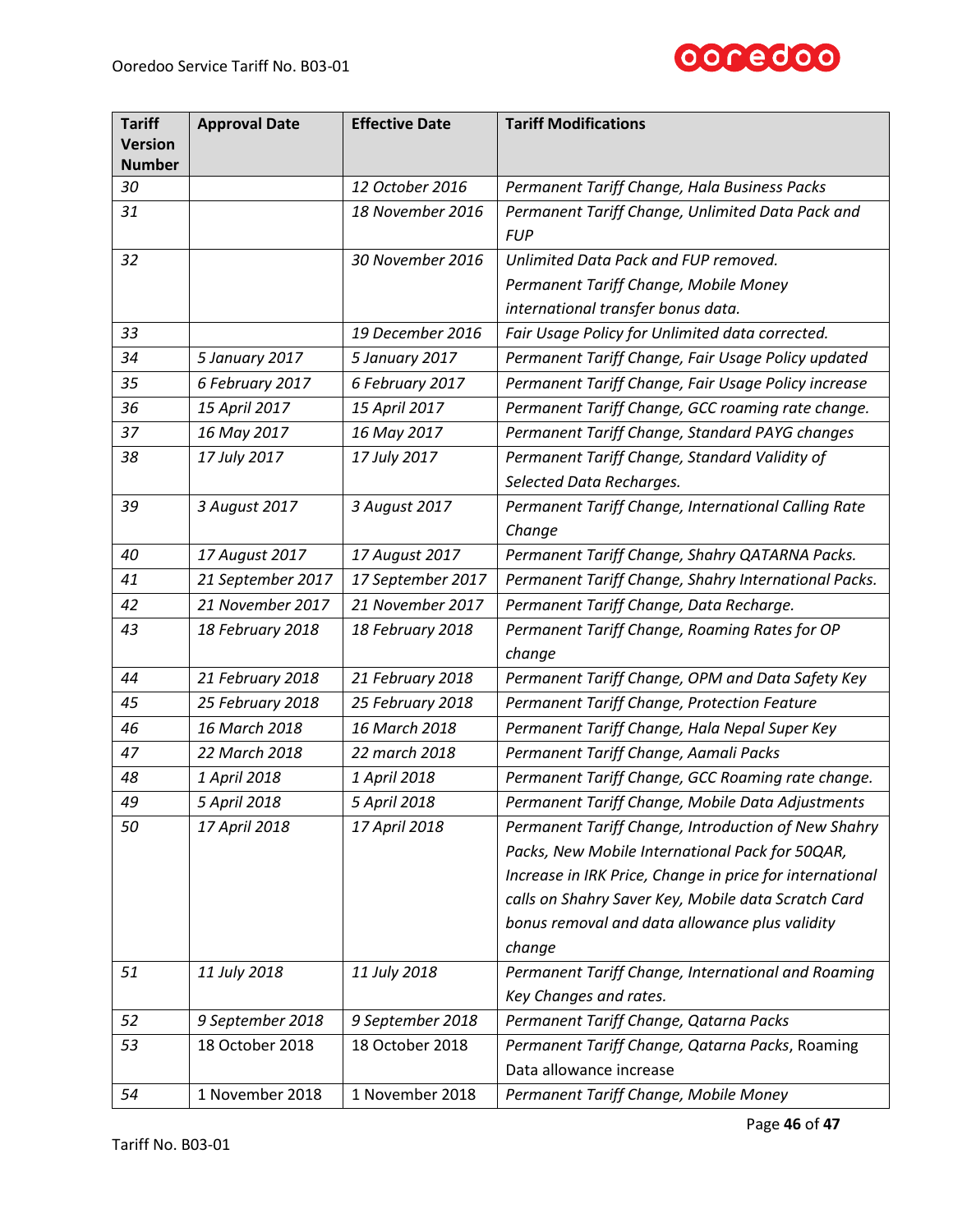

| <b>Tariff</b><br><b>Version</b> | <b>Approval Date</b> | <b>Effective Date</b> | <b>Tariff Modifications</b>                                    |
|---------------------------------|----------------------|-----------------------|----------------------------------------------------------------|
| <b>Number</b>                   |                      |                       |                                                                |
| 30                              |                      | 12 October 2016       | Permanent Tariff Change, Hala Business Packs                   |
| 31                              |                      | 18 November 2016      | Permanent Tariff Change, Unlimited Data Pack and<br><b>FUP</b> |
| 32                              |                      | 30 November 2016      | Unlimited Data Pack and FUP removed.                           |
|                                 |                      |                       | Permanent Tariff Change, Mobile Money                          |
|                                 |                      |                       | international transfer bonus data.                             |
| 33                              |                      | 19 December 2016      | Fair Usage Policy for Unlimited data corrected.                |
| 34                              | 5 January 2017       | 5 January 2017        | Permanent Tariff Change, Fair Usage Policy updated             |
| 35                              | 6 February 2017      | 6 February 2017       | Permanent Tariff Change, Fair Usage Policy increase            |
| 36                              | 15 April 2017        | 15 April 2017         | Permanent Tariff Change, GCC roaming rate change.              |
| 37                              | 16 May 2017          | 16 May 2017           | Permanent Tariff Change, Standard PAYG changes                 |
| 38                              | 17 July 2017         | 17 July 2017          | Permanent Tariff Change, Standard Validity of                  |
|                                 |                      |                       | Selected Data Recharges.                                       |
| 39                              | 3 August 2017        | 3 August 2017         | Permanent Tariff Change, International Calling Rate            |
|                                 |                      |                       | Change                                                         |
| 40                              | 17 August 2017       | 17 August 2017        | Permanent Tariff Change, Shahry QATARNA Packs.                 |
| 41                              | 21 September 2017    | 17 September 2017     | Permanent Tariff Change, Shahry International Packs.           |
| 42                              | 21 November 2017     | 21 November 2017      | Permanent Tariff Change, Data Recharge.                        |
| 43                              | 18 February 2018     | 18 February 2018      | Permanent Tariff Change, Roaming Rates for OP                  |
|                                 |                      |                       | change                                                         |
| 44                              | 21 February 2018     | 21 February 2018      | Permanent Tariff Change, OPM and Data Safety Key               |
| 45                              | 25 February 2018     | 25 February 2018      | Permanent Tariff Change, Protection Feature                    |
| 46                              | 16 March 2018        | 16 March 2018         | Permanent Tariff Change, Hala Nepal Super Key                  |
| 47                              | 22 March 2018        | 22 march 2018         | Permanent Tariff Change, Aamali Packs                          |
| 48                              | 1 April 2018         | 1 April 2018          | Permanent Tariff Change, GCC Roaming rate change.              |
| 49                              | 5 April 2018         | 5 April 2018          | Permanent Tariff Change, Mobile Data Adjustments               |
| 50                              | 17 April 2018        | 17 April 2018         | Permanent Tariff Change, Introduction of New Shahry            |
|                                 |                      |                       | Packs, New Mobile International Pack for 50QAR,                |
|                                 |                      |                       | Increase in IRK Price, Change in price for international       |
|                                 |                      |                       | calls on Shahry Saver Key, Mobile data Scratch Card            |
|                                 |                      |                       | bonus removal and data allowance plus validity                 |
|                                 |                      |                       | change                                                         |
| 51                              | 11 July 2018         | 11 July 2018          | Permanent Tariff Change, International and Roaming             |
|                                 |                      |                       | Key Changes and rates.                                         |
| 52                              | 9 September 2018     | 9 September 2018      | Permanent Tariff Change, Qatarna Packs                         |
| 53                              | 18 October 2018      | 18 October 2018       | Permanent Tariff Change, Qatarna Packs, Roaming                |
|                                 |                      |                       | Data allowance increase                                        |
| 54                              | 1 November 2018      | 1 November 2018       | Permanent Tariff Change, Mobile Money                          |

Page **46** of **47**